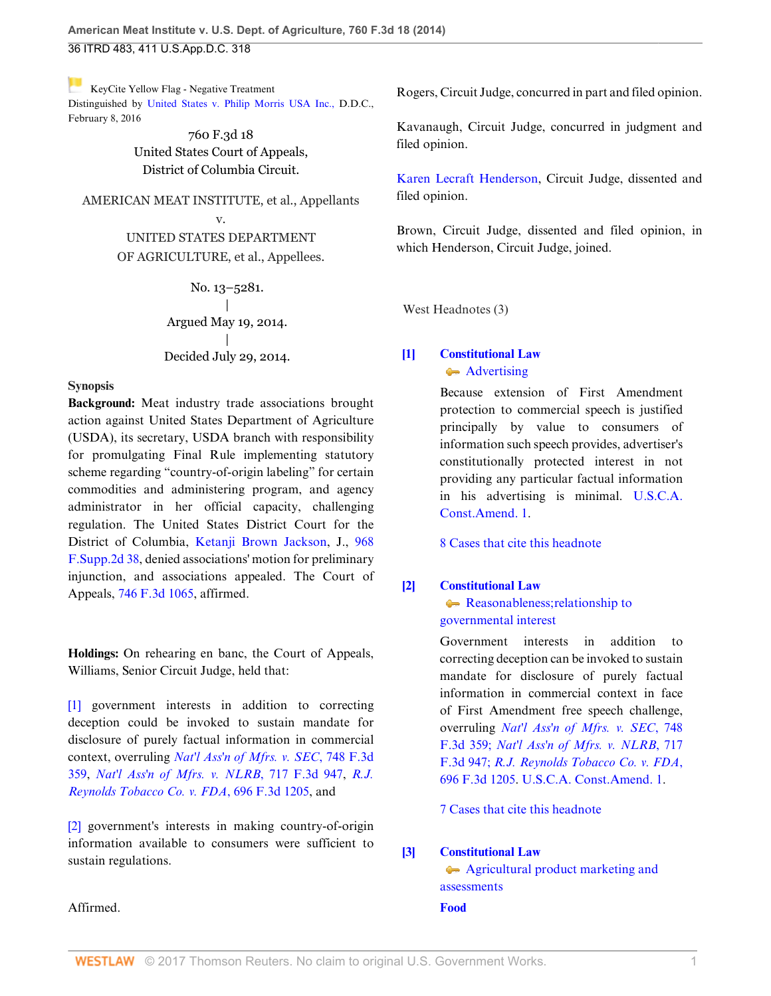[K](https://1.next.westlaw.com/Link/RelatedInformation/Flag?documentGuid=Ibd3810a6181711e490d4edf60ce7d742&transitionType=Document&originationContext=docHeaderFlag&contextData=(sc.History*oc.UserEnteredCitation))eyCite Yellow Flag - Negative Treatment Distinguished by [United States v. Philip Morris USA Inc.,](https://1.next.westlaw.com/Document/I065cca70d00011e5b10893af99153f48/View/FullText.html?navigationPath=RelatedInfo%2Fv4%2Fkeycite%2Fnav%2F%3Fguid%3DI065cca70d00011e5b10893af99153f48%26ss%3D2033934194%26ds%3D2038256749&listSource=RelatedInfo&list=NegativeCitingReferences&rank=0&originationContext=docHeader&transitionType=NegativeTreatment&contextData=%28sc.History*oc.UserEnteredCitation%29) D.D.C., February 8, 2016

> 760 F.3d 18 United States Court of Appeals, District of Columbia Circuit.

AMERICAN MEAT INSTITUTE, et al., Appellants v. UNITED STATES DEPARTMENT OF AGRICULTURE, et al., Appellees.

> No. 13–5281. | Argued May 19, 2014. | Decided July 29, 2014.

### **Synopsis**

**Background:** Meat industry trade associations brought action against United States Department of Agriculture (USDA), its secretary, USDA branch with responsibility for promulgating Final Rule implementing statutory scheme regarding "country-of-origin labeling" for certain commodities and administering program, and agency administrator in her official capacity, challenging regulation. The United States District Court for the District of Columbia, [Ketanji Brown Jackson,](http://www.westlaw.com/Link/Document/FullText?findType=h&pubNum=176284&cite=0384965701&originatingDoc=Ibd3810a6181711e490d4edf60ce7d742&refType=RQ&originationContext=document&vr=3.0&rs=cblt1.0&transitionType=DocumentItem&contextData=(sc.History*oc.UserEnteredCitation)) J., [968](http://www.westlaw.com/Link/Document/FullText?findType=Y&serNum=2031527722&pubNum=0004637&originatingDoc=Ibd3810a6181711e490d4edf60ce7d742&refType=RP&originationContext=document&vr=3.0&rs=cblt1.0&transitionType=DocumentItem&contextData=(sc.History*oc.UserEnteredCitation)) [F.Supp.2d 38,](http://www.westlaw.com/Link/Document/FullText?findType=Y&serNum=2031527722&pubNum=0004637&originatingDoc=Ibd3810a6181711e490d4edf60ce7d742&refType=RP&originationContext=document&vr=3.0&rs=cblt1.0&transitionType=DocumentItem&contextData=(sc.History*oc.UserEnteredCitation)) denied associations' motion for preliminary injunction, and associations appealed. The Court of Appeals, [746 F.3d 1065,](http://www.westlaw.com/Link/Document/FullText?findType=Y&serNum=2032982812&pubNum=0000506&originatingDoc=Ibd3810a6181711e490d4edf60ce7d742&refType=RP&originationContext=document&vr=3.0&rs=cblt1.0&transitionType=DocumentItem&contextData=(sc.History*oc.UserEnteredCitation)) affirmed.

**Holdings:** On rehearing en banc, the Court of Appeals, Williams, Senior Circuit Judge, held that:

[\[1\]](#page-0-0) government interests in addition to correcting deception could be invoked to sustain mandate for disclosure of purely factual information in commercial context, overruling *[Nat'l Ass'n of Mfrs. v. SEC](http://www.westlaw.com/Link/Document/FullText?findType=Y&serNum=2033156188&pubNum=0000506&originatingDoc=Ibd3810a6181711e490d4edf60ce7d742&refType=RP&originationContext=document&vr=3.0&rs=cblt1.0&transitionType=DocumentItem&contextData=(sc.History*oc.UserEnteredCitation))*, 748 F.3d [359](http://www.westlaw.com/Link/Document/FullText?findType=Y&serNum=2033156188&pubNum=0000506&originatingDoc=Ibd3810a6181711e490d4edf60ce7d742&refType=RP&originationContext=document&vr=3.0&rs=cblt1.0&transitionType=DocumentItem&contextData=(sc.History*oc.UserEnteredCitation)), *[Nat'l Ass'n of Mfrs. v. NLRB](http://www.westlaw.com/Link/Document/FullText?findType=Y&serNum=2030484118&pubNum=0000506&originatingDoc=Ibd3810a6181711e490d4edf60ce7d742&refType=RP&originationContext=document&vr=3.0&rs=cblt1.0&transitionType=DocumentItem&contextData=(sc.History*oc.UserEnteredCitation))*, 717 F.3d 947, *[R.J.](http://www.westlaw.com/Link/Document/FullText?findType=Y&serNum=2028474677&pubNum=0000506&originatingDoc=Ibd3810a6181711e490d4edf60ce7d742&refType=RP&originationContext=document&vr=3.0&rs=cblt1.0&transitionType=DocumentItem&contextData=(sc.History*oc.UserEnteredCitation)) [Reynolds Tobacco Co. v. FDA](http://www.westlaw.com/Link/Document/FullText?findType=Y&serNum=2028474677&pubNum=0000506&originatingDoc=Ibd3810a6181711e490d4edf60ce7d742&refType=RP&originationContext=document&vr=3.0&rs=cblt1.0&transitionType=DocumentItem&contextData=(sc.History*oc.UserEnteredCitation))*, 696 F.3d 1205, and

[\[2\]](#page-0-1) government's interests in making country-of-origin information available to consumers were sufficient to sustain regulations.

Rogers, Circuit Judge, concurred in part and filed opinion.

Kavanaugh, Circuit Judge, concurred in judgment and filed opinion.

[Karen Lecraft Henderson](http://www.westlaw.com/Link/Document/FullText?findType=h&pubNum=176284&cite=0181344001&originatingDoc=Ibd3810a6181711e490d4edf60ce7d742&refType=RQ&originationContext=document&vr=3.0&rs=cblt1.0&transitionType=DocumentItem&contextData=(sc.History*oc.UserEnteredCitation)), Circuit Judge, dissented and filed opinion.

Brown, Circuit Judge, dissented and filed opinion, in which Henderson, Circuit Judge, joined.

West Headnotes (3)

## <span id="page-0-2"></span>**[\[1\]](#page-3-0) [Constitutional Law](http://www.westlaw.com/Browse/Home/KeyNumber/92/View.html?docGuid=Ibd3810a6181711e490d4edf60ce7d742&originationContext=document&vr=3.0&rs=cblt1.0&transitionType=DocumentItem&contextData=(sc.History*oc.UserEnteredCitation))** [Advertising](http://www.westlaw.com/Browse/Home/KeyNumber/92XVIII(E)2/View.html?docGuid=Ibd3810a6181711e490d4edf60ce7d742&originationContext=document&vr=3.0&rs=cblt1.0&transitionType=DocumentItem&contextData=(sc.History*oc.UserEnteredCitation))

Because extension of First Amendment protection to commercial speech is justified principally by value to consumers of information such speech provides, advertiser's constitutionally protected interest in not providing any particular factual information in his advertising is minimal. [U.S.C.A.](http://www.westlaw.com/Link/Document/FullText?findType=L&pubNum=1000583&cite=USCOAMENDI&originatingDoc=Ibd3810a6181711e490d4edf60ce7d742&refType=LQ&originationContext=document&vr=3.0&rs=cblt1.0&transitionType=DocumentItem&contextData=(sc.History*oc.UserEnteredCitation)) [Const.Amend. 1](http://www.westlaw.com/Link/Document/FullText?findType=L&pubNum=1000583&cite=USCOAMENDI&originatingDoc=Ibd3810a6181711e490d4edf60ce7d742&refType=LQ&originationContext=document&vr=3.0&rs=cblt1.0&transitionType=DocumentItem&contextData=(sc.History*oc.UserEnteredCitation)).

[8 Cases that cite this headnote](http://www.westlaw.com/Link/RelatedInformation/DocHeadnoteLink?docGuid=Ibd3810a6181711e490d4edf60ce7d742&headnoteId=203393419400120150914113229&originationContext=document&vr=3.0&rs=cblt1.0&transitionType=CitingReferences&contextData=(sc.History*oc.UserEnteredCitation))

### <span id="page-0-0"></span>**[\[2\]](#page-3-1) [Constitutional Law](http://www.westlaw.com/Browse/Home/KeyNumber/92/View.html?docGuid=Ibd3810a6181711e490d4edf60ce7d742&originationContext=document&vr=3.0&rs=cblt1.0&transitionType=DocumentItem&contextData=(sc.History*oc.UserEnteredCitation))**

[Reasonableness; relationship to](http://www.westlaw.com/Browse/Home/KeyNumber/92k1541/View.html?docGuid=Ibd3810a6181711e490d4edf60ce7d742&originationContext=document&vr=3.0&rs=cblt1.0&transitionType=DocumentItem&contextData=(sc.History*oc.UserEnteredCitation)) [governmental interest](http://www.westlaw.com/Browse/Home/KeyNumber/92k1541/View.html?docGuid=Ibd3810a6181711e490d4edf60ce7d742&originationContext=document&vr=3.0&rs=cblt1.0&transitionType=DocumentItem&contextData=(sc.History*oc.UserEnteredCitation))

Government interests in addition to correcting deception can be invoked to sustain mandate for disclosure of purely factual information in commercial context in face of First Amendment free speech challenge, overruling *[Nat'l Ass'n of Mfrs. v. SEC](http://www.westlaw.com/Link/Document/FullText?findType=Y&serNum=2033156188&pubNum=506&originatingDoc=Ibd3810a6181711e490d4edf60ce7d742&refType=RP&originationContext=document&vr=3.0&rs=cblt1.0&transitionType=DocumentItem&contextData=(sc.History*oc.UserEnteredCitation))*, 748 [F.3d 359;](http://www.westlaw.com/Link/Document/FullText?findType=Y&serNum=2033156188&pubNum=506&originatingDoc=Ibd3810a6181711e490d4edf60ce7d742&refType=RP&originationContext=document&vr=3.0&rs=cblt1.0&transitionType=DocumentItem&contextData=(sc.History*oc.UserEnteredCitation)) *[Nat'l Ass'n of Mfrs. v. NLRB](http://www.westlaw.com/Link/Document/FullText?findType=Y&serNum=2030484118&pubNum=506&originatingDoc=Ibd3810a6181711e490d4edf60ce7d742&refType=RP&originationContext=document&vr=3.0&rs=cblt1.0&transitionType=DocumentItem&contextData=(sc.History*oc.UserEnteredCitation))*, 717 [F.3d 947;](http://www.westlaw.com/Link/Document/FullText?findType=Y&serNum=2030484118&pubNum=506&originatingDoc=Ibd3810a6181711e490d4edf60ce7d742&refType=RP&originationContext=document&vr=3.0&rs=cblt1.0&transitionType=DocumentItem&contextData=(sc.History*oc.UserEnteredCitation)) *[R.J. Reynolds Tobacco Co. v. FDA](http://www.westlaw.com/Link/Document/FullText?findType=Y&serNum=2028474677&pubNum=0000506&originatingDoc=Ibd3810a6181711e490d4edf60ce7d742&refType=RP&originationContext=document&vr=3.0&rs=cblt1.0&transitionType=DocumentItem&contextData=(sc.History*oc.UserEnteredCitation))*, [696 F.3d 1205](http://www.westlaw.com/Link/Document/FullText?findType=Y&serNum=2028474677&pubNum=0000506&originatingDoc=Ibd3810a6181711e490d4edf60ce7d742&refType=RP&originationContext=document&vr=3.0&rs=cblt1.0&transitionType=DocumentItem&contextData=(sc.History*oc.UserEnteredCitation)). [U.S.C.A. Const.Amend. 1](http://www.westlaw.com/Link/Document/FullText?findType=L&pubNum=1000583&cite=USCOAMENDI&originatingDoc=Ibd3810a6181711e490d4edf60ce7d742&refType=LQ&originationContext=document&vr=3.0&rs=cblt1.0&transitionType=DocumentItem&contextData=(sc.History*oc.UserEnteredCitation)).

[7 Cases that cite this headnote](http://www.westlaw.com/Link/RelatedInformation/DocHeadnoteLink?docGuid=Ibd3810a6181711e490d4edf60ce7d742&headnoteId=203393419400220150914113229&originationContext=document&vr=3.0&rs=cblt1.0&transitionType=CitingReferences&contextData=(sc.History*oc.UserEnteredCitation))

### <span id="page-0-1"></span>**[\[3\]](#page-4-0) [Constitutional Law](http://www.westlaw.com/Browse/Home/KeyNumber/92/View.html?docGuid=Ibd3810a6181711e490d4edf60ce7d742&originationContext=document&vr=3.0&rs=cblt1.0&transitionType=DocumentItem&contextData=(sc.History*oc.UserEnteredCitation))**

[Agricultural product marketing and](http://www.westlaw.com/Browse/Home/KeyNumber/92k1615/View.html?docGuid=Ibd3810a6181711e490d4edf60ce7d742&originationContext=document&vr=3.0&rs=cblt1.0&transitionType=DocumentItem&contextData=(sc.History*oc.UserEnteredCitation)) [assessments](http://www.westlaw.com/Browse/Home/KeyNumber/92k1615/View.html?docGuid=Ibd3810a6181711e490d4edf60ce7d742&originationContext=document&vr=3.0&rs=cblt1.0&transitionType=DocumentItem&contextData=(sc.History*oc.UserEnteredCitation)) **[Food](http://www.westlaw.com/Browse/Home/KeyNumber/178/View.html?docGuid=Ibd3810a6181711e490d4edf60ce7d742&originationContext=document&vr=3.0&rs=cblt1.0&transitionType=DocumentItem&contextData=(sc.History*oc.UserEnteredCitation))**

Affirmed.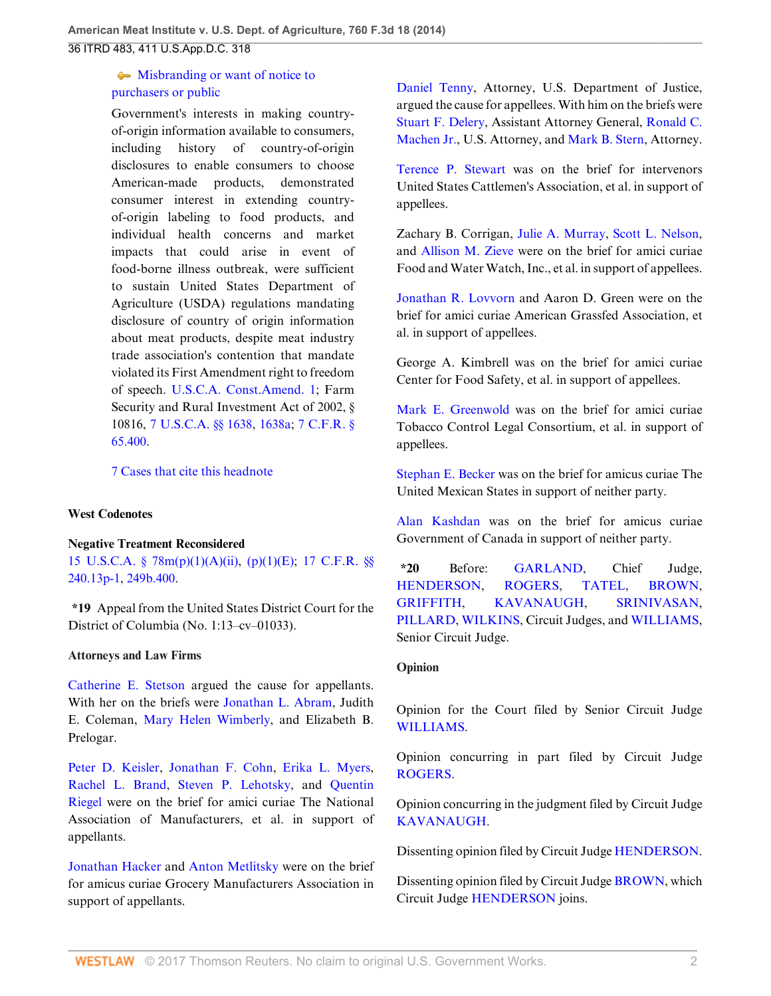## $\blacktriangleright$  [Misbranding or want of notice to](http://www.westlaw.com/Browse/Home/KeyNumber/178k15/View.html?docGuid=Ibd3810a6181711e490d4edf60ce7d742&originationContext=document&vr=3.0&rs=cblt1.0&transitionType=DocumentItem&contextData=(sc.History*oc.UserEnteredCitation)) [purchasers or public](http://www.westlaw.com/Browse/Home/KeyNumber/178k15/View.html?docGuid=Ibd3810a6181711e490d4edf60ce7d742&originationContext=document&vr=3.0&rs=cblt1.0&transitionType=DocumentItem&contextData=(sc.History*oc.UserEnteredCitation))

Government's interests in making countryof-origin information available to consumers, including history of country-of-origin disclosures to enable consumers to choose American-made products, demonstrated consumer interest in extending countryof-origin labeling to food products, and individual health concerns and market impacts that could arise in event of food-borne illness outbreak, were sufficient to sustain United States Department of Agriculture (USDA) regulations mandating disclosure of country of origin information about meat products, despite meat industry trade association's contention that mandate violated its First Amendment right to freedom of speech. [U.S.C.A. Const.Amend. 1;](http://www.westlaw.com/Link/Document/FullText?findType=L&pubNum=1000583&cite=USCOAMENDI&originatingDoc=Ibd3810a6181711e490d4edf60ce7d742&refType=LQ&originationContext=document&vr=3.0&rs=cblt1.0&transitionType=DocumentItem&contextData=(sc.History*oc.UserEnteredCitation)) Farm Security and Rural Investment Act of 2002, § 10816, [7 U.S.C.A. §§ 1638](http://www.westlaw.com/Link/Document/FullText?findType=L&pubNum=1000546&cite=7USCAS1638&originatingDoc=Ibd3810a6181711e490d4edf60ce7d742&refType=LQ&originationContext=document&vr=3.0&rs=cblt1.0&transitionType=DocumentItem&contextData=(sc.History*oc.UserEnteredCitation)), [1638a](http://www.westlaw.com/Link/Document/FullText?findType=L&pubNum=1000546&cite=7USCAS1638A&originatingDoc=Ibd3810a6181711e490d4edf60ce7d742&refType=LQ&originationContext=document&vr=3.0&rs=cblt1.0&transitionType=DocumentItem&contextData=(sc.History*oc.UserEnteredCitation)); [7 C.F.R. §](http://www.westlaw.com/Link/Document/FullText?findType=L&pubNum=1000547&cite=7CFRS65.400&originatingDoc=Ibd3810a6181711e490d4edf60ce7d742&refType=LQ&originationContext=document&vr=3.0&rs=cblt1.0&transitionType=DocumentItem&contextData=(sc.History*oc.UserEnteredCitation)) [65.400](http://www.westlaw.com/Link/Document/FullText?findType=L&pubNum=1000547&cite=7CFRS65.400&originatingDoc=Ibd3810a6181711e490d4edf60ce7d742&refType=LQ&originationContext=document&vr=3.0&rs=cblt1.0&transitionType=DocumentItem&contextData=(sc.History*oc.UserEnteredCitation)).

[7 Cases that cite this headnote](http://www.westlaw.com/Link/RelatedInformation/DocHeadnoteLink?docGuid=Ibd3810a6181711e490d4edf60ce7d742&headnoteId=203393419400320150914113229&originationContext=document&vr=3.0&rs=cblt1.0&transitionType=CitingReferences&contextData=(sc.History*oc.UserEnteredCitation))

### **West Codenotes**

### **Negative Treatment Reconsidered**

[15 U.S.C.A. § 78m\(p\)\(1\)\(A\)\(ii\)](http://www.westlaw.com/Link/Document/FullText?findType=L&pubNum=1000546&cite=15USCAS78M&originatingDoc=Ibd3810a6181711e490d4edf60ce7d742&refType=RB&originationContext=document&vr=3.0&rs=cblt1.0&transitionType=DocumentItem&contextData=(sc.History*oc.UserEnteredCitation)#co_pp_d4e600009a180), [\(p\)\(1\)\(E\);](http://www.westlaw.com/Link/Document/FullText?findType=L&pubNum=1000546&cite=15USCAS78M&originatingDoc=Ibd3810a6181711e490d4edf60ce7d742&refType=RB&originationContext=document&vr=3.0&rs=cblt1.0&transitionType=DocumentItem&contextData=(sc.History*oc.UserEnteredCitation)#co_pp_c431000026442) [17 C.F.R. §§](http://www.westlaw.com/Link/Document/FullText?findType=L&pubNum=1000547&cite=17CFRS240.13P-1&originatingDoc=Ibd3810a6181711e490d4edf60ce7d742&refType=LQ&originationContext=document&vr=3.0&rs=cblt1.0&transitionType=DocumentItem&contextData=(sc.History*oc.UserEnteredCitation)) [240.13p-1,](http://www.westlaw.com/Link/Document/FullText?findType=L&pubNum=1000547&cite=17CFRS240.13P-1&originatingDoc=Ibd3810a6181711e490d4edf60ce7d742&refType=LQ&originationContext=document&vr=3.0&rs=cblt1.0&transitionType=DocumentItem&contextData=(sc.History*oc.UserEnteredCitation)) [249b.400](http://www.westlaw.com/Link/Document/FullText?findType=L&pubNum=1000547&cite=17CFRS249B.400&originatingDoc=Ibd3810a6181711e490d4edf60ce7d742&refType=LQ&originationContext=document&vr=3.0&rs=cblt1.0&transitionType=DocumentItem&contextData=(sc.History*oc.UserEnteredCitation)).

**\*19** Appeal from the United States District Court for the District of Columbia (No. 1:13–cv–01033).

### **Attorneys and Law Firms**

[Catherine E. Stetson](http://www.westlaw.com/Link/Document/FullText?findType=h&pubNum=176284&cite=0146596201&originatingDoc=Ibd3810a6181711e490d4edf60ce7d742&refType=RQ&originationContext=document&vr=3.0&rs=cblt1.0&transitionType=DocumentItem&contextData=(sc.History*oc.UserEnteredCitation)) argued the cause for appellants. With her on the briefs were [Jonathan L. Abram,](http://www.westlaw.com/Link/Document/FullText?findType=h&pubNum=176284&cite=0127093601&originatingDoc=Ibd3810a6181711e490d4edf60ce7d742&refType=RQ&originationContext=document&vr=3.0&rs=cblt1.0&transitionType=DocumentItem&contextData=(sc.History*oc.UserEnteredCitation)) Judith E. Coleman, [Mary Helen Wimberly,](http://www.westlaw.com/Link/Document/FullText?findType=h&pubNum=176284&cite=0453622501&originatingDoc=Ibd3810a6181711e490d4edf60ce7d742&refType=RQ&originationContext=document&vr=3.0&rs=cblt1.0&transitionType=DocumentItem&contextData=(sc.History*oc.UserEnteredCitation)) and Elizabeth B. Prelogar.

[Peter D. Keisler,](http://www.westlaw.com/Link/Document/FullText?findType=h&pubNum=176284&cite=0164477401&originatingDoc=Ibd3810a6181711e490d4edf60ce7d742&refType=RQ&originationContext=document&vr=3.0&rs=cblt1.0&transitionType=DocumentItem&contextData=(sc.History*oc.UserEnteredCitation)) [Jonathan F. Cohn,](http://www.westlaw.com/Link/Document/FullText?findType=h&pubNum=176284&cite=0329029901&originatingDoc=Ibd3810a6181711e490d4edf60ce7d742&refType=RQ&originationContext=document&vr=3.0&rs=cblt1.0&transitionType=DocumentItem&contextData=(sc.History*oc.UserEnteredCitation)) [Erika L. Myers](http://www.westlaw.com/Link/Document/FullText?findType=h&pubNum=176284&cite=0456090001&originatingDoc=Ibd3810a6181711e490d4edf60ce7d742&refType=RQ&originationContext=document&vr=3.0&rs=cblt1.0&transitionType=DocumentItem&contextData=(sc.History*oc.UserEnteredCitation)), [Rachel L. Brand](http://www.westlaw.com/Link/Document/FullText?findType=h&pubNum=176284&cite=0317812801&originatingDoc=Ibd3810a6181711e490d4edf60ce7d742&refType=RQ&originationContext=document&vr=3.0&rs=cblt1.0&transitionType=DocumentItem&contextData=(sc.History*oc.UserEnteredCitation)), [Steven P. Lehotsky,](http://www.westlaw.com/Link/Document/FullText?findType=h&pubNum=176284&cite=0359937201&originatingDoc=Ibd3810a6181711e490d4edf60ce7d742&refType=RQ&originationContext=document&vr=3.0&rs=cblt1.0&transitionType=DocumentItem&contextData=(sc.History*oc.UserEnteredCitation)) and [Quentin](http://www.westlaw.com/Link/Document/FullText?findType=h&pubNum=176284&cite=0203707201&originatingDoc=Ibd3810a6181711e490d4edf60ce7d742&refType=RQ&originationContext=document&vr=3.0&rs=cblt1.0&transitionType=DocumentItem&contextData=(sc.History*oc.UserEnteredCitation)) [Riegel](http://www.westlaw.com/Link/Document/FullText?findType=h&pubNum=176284&cite=0203707201&originatingDoc=Ibd3810a6181711e490d4edf60ce7d742&refType=RQ&originationContext=document&vr=3.0&rs=cblt1.0&transitionType=DocumentItem&contextData=(sc.History*oc.UserEnteredCitation)) were on the brief for amici curiae The National Association of Manufacturers, et al. in support of appellants.

[Jonathan Hacker](http://www.westlaw.com/Link/Document/FullText?findType=h&pubNum=176284&cite=0156894401&originatingDoc=Ibd3810a6181711e490d4edf60ce7d742&refType=RQ&originationContext=document&vr=3.0&rs=cblt1.0&transitionType=DocumentItem&contextData=(sc.History*oc.UserEnteredCitation)) and [Anton Metlitsky](http://www.westlaw.com/Link/Document/FullText?findType=h&pubNum=176284&cite=0409675901&originatingDoc=Ibd3810a6181711e490d4edf60ce7d742&refType=RQ&originationContext=document&vr=3.0&rs=cblt1.0&transitionType=DocumentItem&contextData=(sc.History*oc.UserEnteredCitation)) were on the brief for amicus curiae Grocery Manufacturers Association in support of appellants.

[Daniel Tenny](http://www.westlaw.com/Link/Document/FullText?findType=h&pubNum=176284&cite=0390646201&originatingDoc=Ibd3810a6181711e490d4edf60ce7d742&refType=RQ&originationContext=document&vr=3.0&rs=cblt1.0&transitionType=DocumentItem&contextData=(sc.History*oc.UserEnteredCitation)), Attorney, U.S. Department of Justice, argued the cause for appellees. With him on the briefs were [Stuart F. Delery](http://www.westlaw.com/Link/Document/FullText?findType=h&pubNum=176284&cite=0242390001&originatingDoc=Ibd3810a6181711e490d4edf60ce7d742&refType=RQ&originationContext=document&vr=3.0&rs=cblt1.0&transitionType=DocumentItem&contextData=(sc.History*oc.UserEnteredCitation)), Assistant Attorney General, [Ronald C.](http://www.westlaw.com/Link/Document/FullText?findType=h&pubNum=176284&cite=0276008801&originatingDoc=Ibd3810a6181711e490d4edf60ce7d742&refType=RQ&originationContext=document&vr=3.0&rs=cblt1.0&transitionType=DocumentItem&contextData=(sc.History*oc.UserEnteredCitation)) [Machen Jr.,](http://www.westlaw.com/Link/Document/FullText?findType=h&pubNum=176284&cite=0276008801&originatingDoc=Ibd3810a6181711e490d4edf60ce7d742&refType=RQ&originationContext=document&vr=3.0&rs=cblt1.0&transitionType=DocumentItem&contextData=(sc.History*oc.UserEnteredCitation)) U.S. Attorney, and [Mark B. Stern,](http://www.westlaw.com/Link/Document/FullText?findType=h&pubNum=176284&cite=0210065101&originatingDoc=Ibd3810a6181711e490d4edf60ce7d742&refType=RQ&originationContext=document&vr=3.0&rs=cblt1.0&transitionType=DocumentItem&contextData=(sc.History*oc.UserEnteredCitation)) Attorney.

[Terence P. Stewart](http://www.westlaw.com/Link/Document/FullText?findType=h&pubNum=176284&cite=0147192201&originatingDoc=Ibd3810a6181711e490d4edf60ce7d742&refType=RQ&originationContext=document&vr=3.0&rs=cblt1.0&transitionType=DocumentItem&contextData=(sc.History*oc.UserEnteredCitation)) was on the brief for intervenors United States Cattlemen's Association, et al. in support of appellees.

Zachary B. Corrigan, [Julie A. Murray,](http://www.westlaw.com/Link/Document/FullText?findType=h&pubNum=176284&cite=0153706701&originatingDoc=Ibd3810a6181711e490d4edf60ce7d742&refType=RQ&originationContext=document&vr=3.0&rs=cblt1.0&transitionType=DocumentItem&contextData=(sc.History*oc.UserEnteredCitation)) [Scott L. Nelson](http://www.westlaw.com/Link/Document/FullText?findType=h&pubNum=176284&cite=0115880301&originatingDoc=Ibd3810a6181711e490d4edf60ce7d742&refType=RQ&originationContext=document&vr=3.0&rs=cblt1.0&transitionType=DocumentItem&contextData=(sc.History*oc.UserEnteredCitation)), and [Allison M. Zieve](http://www.westlaw.com/Link/Document/FullText?findType=h&pubNum=176284&cite=0132128601&originatingDoc=Ibd3810a6181711e490d4edf60ce7d742&refType=RQ&originationContext=document&vr=3.0&rs=cblt1.0&transitionType=DocumentItem&contextData=(sc.History*oc.UserEnteredCitation)) were on the brief for amici curiae Food and Water Watch, Inc., et al. in support of appellees.

[Jonathan R. Lovvorn](http://www.westlaw.com/Link/Document/FullText?findType=h&pubNum=176284&cite=0344301901&originatingDoc=Ibd3810a6181711e490d4edf60ce7d742&refType=RQ&originationContext=document&vr=3.0&rs=cblt1.0&transitionType=DocumentItem&contextData=(sc.History*oc.UserEnteredCitation)) and Aaron D. Green were on the brief for amici curiae American Grassfed Association, et al. in support of appellees.

George A. Kimbrell was on the brief for amici curiae Center for Food Safety, et al. in support of appellees.

[Mark E. Greenwold](http://www.westlaw.com/Link/Document/FullText?findType=h&pubNum=176284&cite=0261348101&originatingDoc=Ibd3810a6181711e490d4edf60ce7d742&refType=RQ&originationContext=document&vr=3.0&rs=cblt1.0&transitionType=DocumentItem&contextData=(sc.History*oc.UserEnteredCitation)) was on the brief for amici curiae Tobacco Control Legal Consortium, et al. in support of appellees.

[Stephan E. Becker](http://www.westlaw.com/Link/Document/FullText?findType=h&pubNum=176284&cite=0305937701&originatingDoc=Ibd3810a6181711e490d4edf60ce7d742&refType=RQ&originationContext=document&vr=3.0&rs=cblt1.0&transitionType=DocumentItem&contextData=(sc.History*oc.UserEnteredCitation)) was on the brief for amicus curiae The United Mexican States in support of neither party.

[Alan Kashdan](http://www.westlaw.com/Link/Document/FullText?findType=h&pubNum=176284&cite=0134098601&originatingDoc=Ibd3810a6181711e490d4edf60ce7d742&refType=RQ&originationContext=document&vr=3.0&rs=cblt1.0&transitionType=DocumentItem&contextData=(sc.History*oc.UserEnteredCitation)) was on the brief for amicus curiae Government of Canada in support of neither party.

**\*20** Before: [GARLAND,](http://www.westlaw.com/Link/Document/FullText?findType=h&pubNum=176284&cite=0218539201&originatingDoc=Ibd3810a6181711e490d4edf60ce7d742&refType=RQ&originationContext=document&vr=3.0&rs=cblt1.0&transitionType=DocumentItem&contextData=(sc.History*oc.UserEnteredCitation)) Chief Judge, [HENDERSON](http://www.westlaw.com/Link/Document/FullText?findType=h&pubNum=176284&cite=0181344001&originatingDoc=Ibd3810a6181711e490d4edf60ce7d742&refType=RQ&originationContext=document&vr=3.0&rs=cblt1.0&transitionType=DocumentItem&contextData=(sc.History*oc.UserEnteredCitation)), [ROGERS](http://www.westlaw.com/Link/Document/FullText?findType=h&pubNum=176284&cite=0145172001&originatingDoc=Ibd3810a6181711e490d4edf60ce7d742&refType=RQ&originationContext=document&vr=3.0&rs=cblt1.0&transitionType=DocumentItem&contextData=(sc.History*oc.UserEnteredCitation)), [TATEL,](http://www.westlaw.com/Link/Document/FullText?findType=h&pubNum=176284&cite=0109856501&originatingDoc=Ibd3810a6181711e490d4edf60ce7d742&refType=RQ&originationContext=document&vr=3.0&rs=cblt1.0&transitionType=DocumentItem&contextData=(sc.History*oc.UserEnteredCitation)) [BROWN](http://www.westlaw.com/Link/Document/FullText?findType=h&pubNum=176284&cite=0120941401&originatingDoc=Ibd3810a6181711e490d4edf60ce7d742&refType=RQ&originationContext=document&vr=3.0&rs=cblt1.0&transitionType=DocumentItem&contextData=(sc.History*oc.UserEnteredCitation)), [GRIFFITH,](http://www.westlaw.com/Link/Document/FullText?findType=h&pubNum=176284&cite=0197248701&originatingDoc=Ibd3810a6181711e490d4edf60ce7d742&refType=RQ&originationContext=document&vr=3.0&rs=cblt1.0&transitionType=DocumentItem&contextData=(sc.History*oc.UserEnteredCitation)) [KAVANAUGH](http://www.westlaw.com/Link/Document/FullText?findType=h&pubNum=176284&cite=0364335801&originatingDoc=Ibd3810a6181711e490d4edf60ce7d742&refType=RQ&originationContext=document&vr=3.0&rs=cblt1.0&transitionType=DocumentItem&contextData=(sc.History*oc.UserEnteredCitation)), [SRINIVASAN](http://www.westlaw.com/Link/Document/FullText?findType=h&pubNum=176284&cite=0390827001&originatingDoc=Ibd3810a6181711e490d4edf60ce7d742&refType=RQ&originationContext=document&vr=3.0&rs=cblt1.0&transitionType=DocumentItem&contextData=(sc.History*oc.UserEnteredCitation)), [PILLARD,](http://www.westlaw.com/Link/Document/FullText?findType=h&pubNum=176284&cite=0483877601&originatingDoc=Ibd3810a6181711e490d4edf60ce7d742&refType=RQ&originationContext=document&vr=3.0&rs=cblt1.0&transitionType=DocumentItem&contextData=(sc.History*oc.UserEnteredCitation)) [WILKINS,](http://www.westlaw.com/Link/Document/FullText?findType=h&pubNum=176284&cite=0326533301&originatingDoc=Ibd3810a6181711e490d4edf60ce7d742&refType=RQ&originationContext=document&vr=3.0&rs=cblt1.0&transitionType=DocumentItem&contextData=(sc.History*oc.UserEnteredCitation)) Circuit Judges, and [WILLIAMS](http://www.westlaw.com/Link/Document/FullText?findType=h&pubNum=176284&cite=0113719001&originatingDoc=Ibd3810a6181711e490d4edf60ce7d742&refType=RQ&originationContext=document&vr=3.0&rs=cblt1.0&transitionType=DocumentItem&contextData=(sc.History*oc.UserEnteredCitation)), Senior Circuit Judge.

### **Opinion**

Opinion for the Court filed by Senior Circuit Judge [WILLIAMS](http://www.westlaw.com/Link/Document/FullText?findType=h&pubNum=176284&cite=0113719001&originatingDoc=Ibd3810a6181711e490d4edf60ce7d742&refType=RQ&originationContext=document&vr=3.0&rs=cblt1.0&transitionType=DocumentItem&contextData=(sc.History*oc.UserEnteredCitation)).

Opinion concurring in part filed by Circuit Judge [ROGERS.](http://www.westlaw.com/Link/Document/FullText?findType=h&pubNum=176284&cite=0145172001&originatingDoc=Ibd3810a6181711e490d4edf60ce7d742&refType=RQ&originationContext=document&vr=3.0&rs=cblt1.0&transitionType=DocumentItem&contextData=(sc.History*oc.UserEnteredCitation))

Opinion concurring in the judgment filed by Circuit Judge [KAVANAUGH](http://www.westlaw.com/Link/Document/FullText?findType=h&pubNum=176284&cite=0364335801&originatingDoc=Ibd3810a6181711e490d4edf60ce7d742&refType=RQ&originationContext=document&vr=3.0&rs=cblt1.0&transitionType=DocumentItem&contextData=(sc.History*oc.UserEnteredCitation)).

Dissenting opinion filed by Circuit Judge [HENDERSON](http://www.westlaw.com/Link/Document/FullText?findType=h&pubNum=176284&cite=0181344001&originatingDoc=Ibd3810a6181711e490d4edf60ce7d742&refType=RQ&originationContext=document&vr=3.0&rs=cblt1.0&transitionType=DocumentItem&contextData=(sc.History*oc.UserEnteredCitation)).

Dissenting opinion filed by Circuit Judge [BROWN](http://www.westlaw.com/Link/Document/FullText?findType=h&pubNum=176284&cite=0120941401&originatingDoc=Ibd3810a6181711e490d4edf60ce7d742&refType=RQ&originationContext=document&vr=3.0&rs=cblt1.0&transitionType=DocumentItem&contextData=(sc.History*oc.UserEnteredCitation)), which Circuit Judge [HENDERSON](http://www.westlaw.com/Link/Document/FullText?findType=h&pubNum=176284&cite=0181344001&originatingDoc=Ibd3810a6181711e490d4edf60ce7d742&refType=RQ&originationContext=document&vr=3.0&rs=cblt1.0&transitionType=DocumentItem&contextData=(sc.History*oc.UserEnteredCitation)) joins.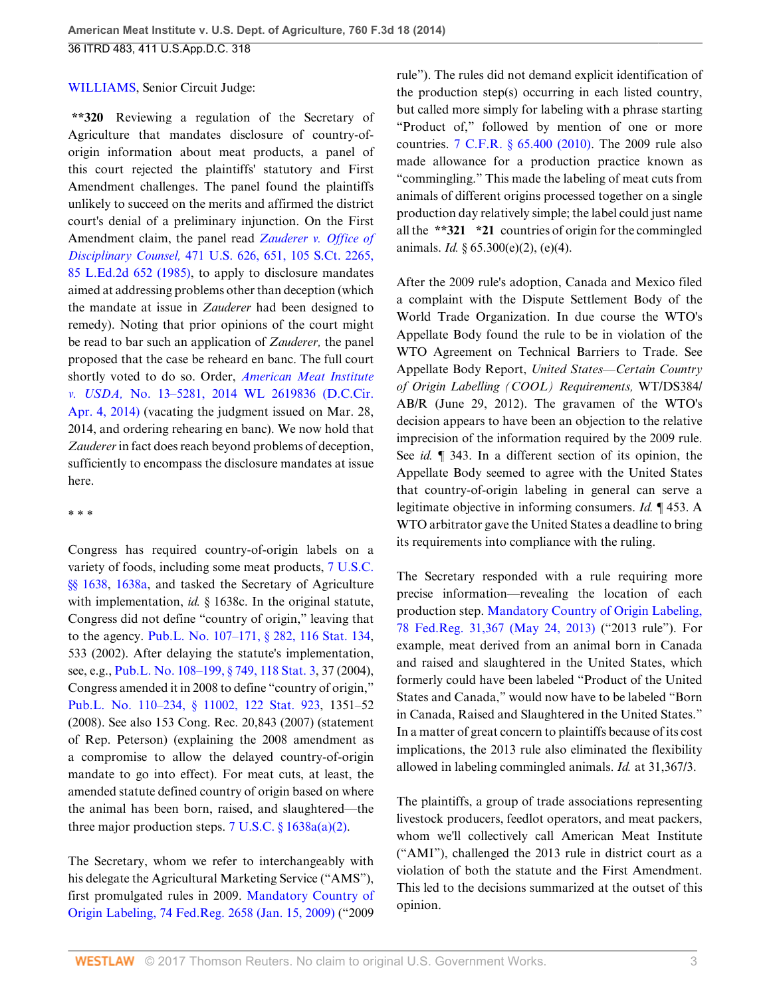### [WILLIAMS](http://www.westlaw.com/Link/Document/FullText?findType=h&pubNum=176284&cite=0113719001&originatingDoc=Ibd3810a6181711e490d4edf60ce7d742&refType=RQ&originationContext=document&vr=3.0&rs=cblt1.0&transitionType=DocumentItem&contextData=(sc.History*oc.UserEnteredCitation)), Senior Circuit Judge:

**\*\*320** Reviewing a regulation of the Secretary of Agriculture that mandates disclosure of country-oforigin information about meat products, a panel of this court rejected the plaintiffs' statutory and First Amendment challenges. The panel found the plaintiffs unlikely to succeed on the merits and affirmed the district court's denial of a preliminary injunction. On the First Amendment claim, the panel read *[Zauderer v. Office of](http://www.westlaw.com/Link/Document/FullText?findType=Y&serNum=1985126962&pubNum=0000708&originatingDoc=Ibd3810a6181711e490d4edf60ce7d742&refType=RP&originationContext=document&vr=3.0&rs=cblt1.0&transitionType=DocumentItem&contextData=(sc.History*oc.UserEnteredCitation)) Disciplinary Counsel,* [471 U.S. 626, 651, 105 S.Ct. 2265,](http://www.westlaw.com/Link/Document/FullText?findType=Y&serNum=1985126962&pubNum=0000708&originatingDoc=Ibd3810a6181711e490d4edf60ce7d742&refType=RP&originationContext=document&vr=3.0&rs=cblt1.0&transitionType=DocumentItem&contextData=(sc.History*oc.UserEnteredCitation)) [85 L.Ed.2d 652 \(1985\)](http://www.westlaw.com/Link/Document/FullText?findType=Y&serNum=1985126962&pubNum=0000708&originatingDoc=Ibd3810a6181711e490d4edf60ce7d742&refType=RP&originationContext=document&vr=3.0&rs=cblt1.0&transitionType=DocumentItem&contextData=(sc.History*oc.UserEnteredCitation)), to apply to disclosure mandates aimed at addressing problems other than deception (which the mandate at issue in *Zauderer* had been designed to remedy). Noting that prior opinions of the court might be read to bar such an application of *Zauderer,* the panel proposed that the case be reheard en banc. The full court shortly voted to do so. Order, *[American Meat Institute](http://www.westlaw.com/Link/Document/FullText?findType=Y&serNum=2033578464&pubNum=0000999&originatingDoc=Ibd3810a6181711e490d4edf60ce7d742&refType=RP&originationContext=document&vr=3.0&rs=cblt1.0&transitionType=DocumentItem&contextData=(sc.History*oc.UserEnteredCitation)) v. USDA,* [No. 13–5281, 2014 WL 2619836 \(D.C.Cir.](http://www.westlaw.com/Link/Document/FullText?findType=Y&serNum=2033578464&pubNum=0000999&originatingDoc=Ibd3810a6181711e490d4edf60ce7d742&refType=RP&originationContext=document&vr=3.0&rs=cblt1.0&transitionType=DocumentItem&contextData=(sc.History*oc.UserEnteredCitation)) [Apr. 4, 2014\)](http://www.westlaw.com/Link/Document/FullText?findType=Y&serNum=2033578464&pubNum=0000999&originatingDoc=Ibd3810a6181711e490d4edf60ce7d742&refType=RP&originationContext=document&vr=3.0&rs=cblt1.0&transitionType=DocumentItem&contextData=(sc.History*oc.UserEnteredCitation)) (vacating the judgment issued on Mar. 28, 2014, and ordering rehearing en banc). We now hold that *Zauderer* in fact does reach beyond problems of deception, sufficiently to encompass the disclosure mandates at issue here.

\* \* \*

Congress has required country-of-origin labels on a variety of foods, including some meat products, [7 U.S.C.](http://www.westlaw.com/Link/Document/FullText?findType=L&pubNum=1000546&cite=7USCAS1638&originatingDoc=Ibd3810a6181711e490d4edf60ce7d742&refType=LQ&originationContext=document&vr=3.0&rs=cblt1.0&transitionType=DocumentItem&contextData=(sc.History*oc.UserEnteredCitation)) [§§ 1638,](http://www.westlaw.com/Link/Document/FullText?findType=L&pubNum=1000546&cite=7USCAS1638&originatingDoc=Ibd3810a6181711e490d4edf60ce7d742&refType=LQ&originationContext=document&vr=3.0&rs=cblt1.0&transitionType=DocumentItem&contextData=(sc.History*oc.UserEnteredCitation)) [1638a](http://www.westlaw.com/Link/Document/FullText?findType=L&pubNum=1000546&cite=7USCAS1638A&originatingDoc=Ibd3810a6181711e490d4edf60ce7d742&refType=LQ&originationContext=document&vr=3.0&rs=cblt1.0&transitionType=DocumentItem&contextData=(sc.History*oc.UserEnteredCitation)), and tasked the Secretary of Agriculture with implementation, *id.* § 1638c. In the original statute, Congress did not define "country of origin," leaving that to the agency. [Pub.L. No. 107–171, § 282, 116 Stat. 134](http://www.westlaw.com/Link/Document/FullText?findType=l&pubNum=1077005&cite=UUID(I37C29388D8-634FF0AC2C5-B94CBD85571)&originatingDoc=Ibd3810a6181711e490d4edf60ce7d742&refType=SL&originationContext=document&vr=3.0&rs=cblt1.0&transitionType=DocumentItem&contextData=(sc.History*oc.UserEnteredCitation)), 533 (2002). After delaying the statute's implementation, see, e.g., [Pub.L. No. 108–199, § 749, 118 Stat. 3,](http://www.westlaw.com/Link/Document/FullText?findType=l&pubNum=1077005&cite=UUID(IB331FB4050-F011D8A74D8-7B95E93B7F0)&originatingDoc=Ibd3810a6181711e490d4edf60ce7d742&refType=SL&originationContext=document&vr=3.0&rs=cblt1.0&transitionType=DocumentItem&contextData=(sc.History*oc.UserEnteredCitation)) 37 (2004), Congress amended it in 2008 to define "country of origin," [Pub.L. No. 110–234, § 11002, 122 Stat. 923](http://www.westlaw.com/Link/Document/FullText?findType=l&pubNum=1077005&cite=UUID(I3259236028-E411DD991FE-F77EFEF62DC)&originatingDoc=Ibd3810a6181711e490d4edf60ce7d742&refType=SL&originationContext=document&vr=3.0&rs=cblt1.0&transitionType=DocumentItem&contextData=(sc.History*oc.UserEnteredCitation)), 1351–52 (2008). See also 153 Cong. Rec. 20,843 (2007) (statement of Rep. Peterson) (explaining the 2008 amendment as a compromise to allow the delayed country-of-origin mandate to go into effect). For meat cuts, at least, the amended statute defined country of origin based on where the animal has been born, raised, and slaughtered—the three major production steps. 7 U.S.C.  $\S 1638a(a)(2)$ .

The Secretary, whom we refer to interchangeably with his delegate the Agricultural Marketing Service ("AMS"), first promulgated rules in 2009. [Mandatory Country of](http://www.westlaw.com/Link/Document/FullText?findType=l&pubNum=0001037&cite=UUID(I55F3E240E2FE11DDAACDD3115145B9BC)&originatingDoc=Ibd3810a6181711e490d4edf60ce7d742&refType=CP&fi=co_pp_sp_1037_2658&originationContext=document&vr=3.0&rs=cblt1.0&transitionType=DocumentItem&contextData=(sc.History*oc.UserEnteredCitation)#co_pp_sp_1037_2658) [Origin Labeling, 74 Fed.Reg. 2658 \(Jan. 15, 2009\)](http://www.westlaw.com/Link/Document/FullText?findType=l&pubNum=0001037&cite=UUID(I55F3E240E2FE11DDAACDD3115145B9BC)&originatingDoc=Ibd3810a6181711e490d4edf60ce7d742&refType=CP&fi=co_pp_sp_1037_2658&originationContext=document&vr=3.0&rs=cblt1.0&transitionType=DocumentItem&contextData=(sc.History*oc.UserEnteredCitation)#co_pp_sp_1037_2658) ("2009

rule"). The rules did not demand explicit identification of the production step(s) occurring in each listed country, but called more simply for labeling with a phrase starting "Product of," followed by mention of one or more countries. [7 C.F.R. § 65.400 \(2010\)](http://www.westlaw.com/Link/Document/FullText?findType=L&pubNum=1000547&cite=7CFRS65.400&originatingDoc=Ibd3810a6181711e490d4edf60ce7d742&refType=LQ&originationContext=document&vr=3.0&rs=cblt1.0&transitionType=DocumentItem&contextData=(sc.History*oc.UserEnteredCitation)). The 2009 rule also made allowance for a production practice known as "commingling." This made the labeling of meat cuts from animals of different origins processed together on a single production day relatively simple; the label could just name all the **\*\*321 \*21** countries of origin for the commingled animals. *Id.* § 65.300(e)(2), (e)(4).

After the 2009 rule's adoption, Canada and Mexico filed a complaint with the Dispute Settlement Body of the World Trade Organization. In due course the WTO's Appellate Body found the rule to be in violation of the WTO Agreement on Technical Barriers to Trade. See Appellate Body Report, *United States—Certain Country of Origin Labelling (COOL) Requirements,* WT/DS384/ AB/R (June 29, 2012). The gravamen of the WTO's decision appears to have been an objection to the relative imprecision of the information required by the 2009 rule. See *id.* ¶ 343. In a different section of its opinion, the Appellate Body seemed to agree with the United States that country-of-origin labeling in general can serve a legitimate objective in informing consumers. *Id.* ¶ 453. A WTO arbitrator gave the United States a deadline to bring its requirements into compliance with the ruling.

The Secretary responded with a rule requiring more precise information—revealing the location of each production step. [Mandatory Country of Origin Labeling,](http://www.westlaw.com/Link/Document/FullText?findType=l&pubNum=0001037&cite=UUID(IF96D9BB0C43F11E2B7A4F439D27B8EF7)&originatingDoc=Ibd3810a6181711e490d4edf60ce7d742&refType=CP&fi=co_pp_sp_1037_31367&originationContext=document&vr=3.0&rs=cblt1.0&transitionType=DocumentItem&contextData=(sc.History*oc.UserEnteredCitation)#co_pp_sp_1037_31367) [78 Fed.Reg. 31,367 \(May 24, 2013\)](http://www.westlaw.com/Link/Document/FullText?findType=l&pubNum=0001037&cite=UUID(IF96D9BB0C43F11E2B7A4F439D27B8EF7)&originatingDoc=Ibd3810a6181711e490d4edf60ce7d742&refType=CP&fi=co_pp_sp_1037_31367&originationContext=document&vr=3.0&rs=cblt1.0&transitionType=DocumentItem&contextData=(sc.History*oc.UserEnteredCitation)#co_pp_sp_1037_31367) ("2013 rule"). For example, meat derived from an animal born in Canada and raised and slaughtered in the United States, which formerly could have been labeled "Product of the United States and Canada," would now have to be labeled "Born in Canada, Raised and Slaughtered in the United States." In a matter of great concern to plaintiffs because of its cost implications, the 2013 rule also eliminated the flexibility allowed in labeling commingled animals. *Id.* at 31,367/3.

The plaintiffs, a group of trade associations representing livestock producers, feedlot operators, and meat packers, whom we'll collectively call American Meat Institute ("AMI"), challenged the 2013 rule in district court as a violation of both the statute and the First Amendment. This led to the decisions summarized at the outset of this opinion.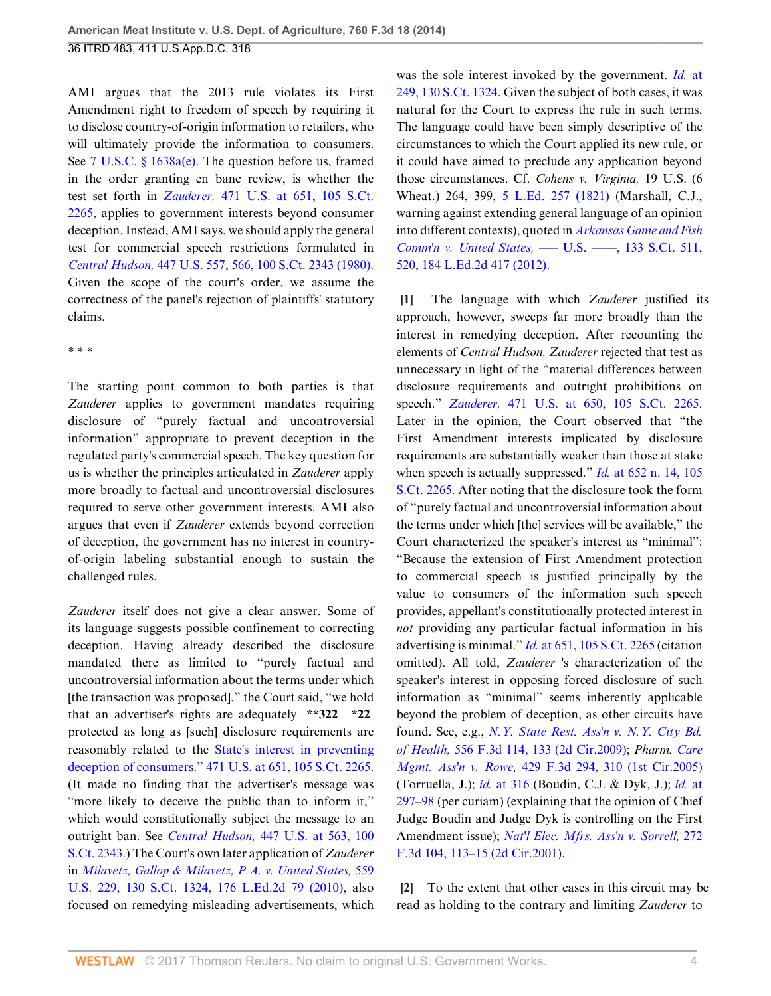AMI argues that the 2013 rule violates its First Amendment right to freedom of speech by requiring it to disclose country-of-origin information to retailers, who will ultimately provide the information to consumers. See [7 U.S.C. § 1638a\(e\)](http://www.westlaw.com/Link/Document/FullText?findType=L&pubNum=1000546&cite=7USCAS1638A&originatingDoc=Ibd3810a6181711e490d4edf60ce7d742&refType=RB&originationContext=document&vr=3.0&rs=cblt1.0&transitionType=DocumentItem&contextData=(sc.History*oc.UserEnteredCitation)#co_pp_7fdd00001ca15). The question before us, framed in the order granting en banc review, is whether the test set forth in *Zauderer,* [471 U.S. at 651, 105 S.Ct.](http://www.westlaw.com/Link/Document/FullText?findType=Y&serNum=1985126962&pubNum=0000708&originatingDoc=Ibd3810a6181711e490d4edf60ce7d742&refType=RP&originationContext=document&vr=3.0&rs=cblt1.0&transitionType=DocumentItem&contextData=(sc.History*oc.UserEnteredCitation)) [2265](http://www.westlaw.com/Link/Document/FullText?findType=Y&serNum=1985126962&pubNum=0000708&originatingDoc=Ibd3810a6181711e490d4edf60ce7d742&refType=RP&originationContext=document&vr=3.0&rs=cblt1.0&transitionType=DocumentItem&contextData=(sc.History*oc.UserEnteredCitation)), applies to government interests beyond consumer deception. Instead, AMI says, we should apply the general test for commercial speech restrictions formulated in *Central Hudson,* [447 U.S. 557, 566, 100 S.Ct. 2343 \(1980\)](http://www.westlaw.com/Link/Document/FullText?findType=Y&serNum=1980116785&pubNum=0000708&originatingDoc=Ibd3810a6181711e490d4edf60ce7d742&refType=RP&originationContext=document&vr=3.0&rs=cblt1.0&transitionType=DocumentItem&contextData=(sc.History*oc.UserEnteredCitation)). Given the scope of the court's order, we assume the correctness of the panel's rejection of plaintiffs' statutory claims.

\* \* \*

The starting point common to both parties is that *Zauderer* applies to government mandates requiring disclosure of "purely factual and uncontroversial information" appropriate to prevent deception in the regulated party's commercial speech. The key question for us is whether the principles articulated in *Zauderer* apply more broadly to factual and uncontroversial disclosures required to serve other government interests. AMI also argues that even if *Zauderer* extends beyond correction of deception, the government has no interest in countryof-origin labeling substantial enough to sustain the challenged rules.

*Zauderer* itself does not give a clear answer. Some of its language suggests possible confinement to correcting deception. Having already described the disclosure mandated there as limited to "purely factual and uncontroversial information about the terms under which [the transaction was proposed]," the Court said, "we hold that an advertiser's rights are adequately **\*\*322 \*22** protected as long as [such] disclosure requirements are reasonably related to the [State's interest in preventing](http://www.westlaw.com/Link/Document/FullText?findType=Y&serNum=1985126962&pubNum=0000708&originatingDoc=Ibd3810a6181711e490d4edf60ce7d742&refType=RP&originationContext=document&vr=3.0&rs=cblt1.0&transitionType=DocumentItem&contextData=(sc.History*oc.UserEnteredCitation)) [deception of consumers." 471 U.S. at 651, 105 S.Ct. 2265](http://www.westlaw.com/Link/Document/FullText?findType=Y&serNum=1985126962&pubNum=0000708&originatingDoc=Ibd3810a6181711e490d4edf60ce7d742&refType=RP&originationContext=document&vr=3.0&rs=cblt1.0&transitionType=DocumentItem&contextData=(sc.History*oc.UserEnteredCitation)). (It made no finding that the advertiser's message was "more likely to deceive the public than to inform it," which would constitutionally subject the message to an outright ban. See *Central Hudson,* [447 U.S. at 563, 100](http://www.westlaw.com/Link/Document/FullText?findType=Y&serNum=1980116785&pubNum=0000708&originatingDoc=Ibd3810a6181711e490d4edf60ce7d742&refType=RP&originationContext=document&vr=3.0&rs=cblt1.0&transitionType=DocumentItem&contextData=(sc.History*oc.UserEnteredCitation)) [S.Ct. 2343](http://www.westlaw.com/Link/Document/FullText?findType=Y&serNum=1980116785&pubNum=0000708&originatingDoc=Ibd3810a6181711e490d4edf60ce7d742&refType=RP&originationContext=document&vr=3.0&rs=cblt1.0&transitionType=DocumentItem&contextData=(sc.History*oc.UserEnteredCitation)).) The Court's own later application of *Zauderer* in *[Milavetz, Gallop & Milavetz, P.A. v. United States,](http://www.westlaw.com/Link/Document/FullText?findType=Y&serNum=2021490121&pubNum=0000708&originatingDoc=Ibd3810a6181711e490d4edf60ce7d742&refType=RP&originationContext=document&vr=3.0&rs=cblt1.0&transitionType=DocumentItem&contextData=(sc.History*oc.UserEnteredCitation))* 559 [U.S. 229, 130 S.Ct. 1324, 176 L.Ed.2d 79 \(2010\),](http://www.westlaw.com/Link/Document/FullText?findType=Y&serNum=2021490121&pubNum=0000708&originatingDoc=Ibd3810a6181711e490d4edf60ce7d742&refType=RP&originationContext=document&vr=3.0&rs=cblt1.0&transitionType=DocumentItem&contextData=(sc.History*oc.UserEnteredCitation)) also focused on remedying misleading advertisements, which

was the sole interest invoked by the government. *Id.* [at](http://www.westlaw.com/Link/Document/FullText?findType=Y&serNum=2021490121&pubNum=0000708&originatingDoc=Ibd3810a6181711e490d4edf60ce7d742&refType=RP&originationContext=document&vr=3.0&rs=cblt1.0&transitionType=DocumentItem&contextData=(sc.History*oc.UserEnteredCitation)) [249, 130 S.Ct. 1324](http://www.westlaw.com/Link/Document/FullText?findType=Y&serNum=2021490121&pubNum=0000708&originatingDoc=Ibd3810a6181711e490d4edf60ce7d742&refType=RP&originationContext=document&vr=3.0&rs=cblt1.0&transitionType=DocumentItem&contextData=(sc.History*oc.UserEnteredCitation)). Given the subject of both cases, it was natural for the Court to express the rule in such terms. The language could have been simply descriptive of the circumstances to which the Court applied its new rule, or it could have aimed to preclude any application beyond those circumstances. Cf. *Cohens v. Virginia,* 19 U.S. (6 Wheat.) 264, 399, [5 L.Ed. 257 \(1821\)](http://www.westlaw.com/Link/Document/FullText?findType=Y&serNum=1821192734&pubNum=0000470&originatingDoc=Ibd3810a6181711e490d4edf60ce7d742&refType=RP&originationContext=document&vr=3.0&rs=cblt1.0&transitionType=DocumentItem&contextData=(sc.History*oc.UserEnteredCitation)) (Marshall, C.J., warning against extending general language of an opinion into different contexts), quoted in *[Arkansas Game and Fish](http://www.westlaw.com/Link/Document/FullText?findType=Y&serNum=2029330773&pubNum=0000708&originatingDoc=Ibd3810a6181711e490d4edf60ce7d742&refType=RP&fi=co_pp_sp_708_520&originationContext=document&vr=3.0&rs=cblt1.0&transitionType=DocumentItem&contextData=(sc.History*oc.UserEnteredCitation)#co_pp_sp_708_520) Comm'n v. United States,* [––– U.S. ––––, 133 S.Ct. 511,](http://www.westlaw.com/Link/Document/FullText?findType=Y&serNum=2029330773&pubNum=0000708&originatingDoc=Ibd3810a6181711e490d4edf60ce7d742&refType=RP&fi=co_pp_sp_708_520&originationContext=document&vr=3.0&rs=cblt1.0&transitionType=DocumentItem&contextData=(sc.History*oc.UserEnteredCitation)#co_pp_sp_708_520) [520, 184 L.Ed.2d 417 \(2012\)](http://www.westlaw.com/Link/Document/FullText?findType=Y&serNum=2029330773&pubNum=0000708&originatingDoc=Ibd3810a6181711e490d4edf60ce7d742&refType=RP&fi=co_pp_sp_708_520&originationContext=document&vr=3.0&rs=cblt1.0&transitionType=DocumentItem&contextData=(sc.History*oc.UserEnteredCitation)#co_pp_sp_708_520).

<span id="page-3-0"></span>**[\[1](#page-0-2)]** The language with which *Zauderer* justified its approach, however, sweeps far more broadly than the interest in remedying deception. After recounting the elements of *Central Hudson, Zauderer* rejected that test as unnecessary in light of the "material differences between disclosure requirements and outright prohibitions on speech." *Zauderer,* [471 U.S. at 650, 105 S.Ct. 2265](http://www.westlaw.com/Link/Document/FullText?findType=Y&serNum=1985126962&pubNum=0000708&originatingDoc=Ibd3810a6181711e490d4edf60ce7d742&refType=RP&originationContext=document&vr=3.0&rs=cblt1.0&transitionType=DocumentItem&contextData=(sc.History*oc.UserEnteredCitation)). Later in the opinion, the Court observed that "the First Amendment interests implicated by disclosure requirements are substantially weaker than those at stake when speech is actually suppressed." *Id.* [at 652 n. 14, 105](http://www.westlaw.com/Link/Document/FullText?findType=Y&serNum=1985126962&pubNum=0000708&originatingDoc=Ibd3810a6181711e490d4edf60ce7d742&refType=RP&originationContext=document&vr=3.0&rs=cblt1.0&transitionType=DocumentItem&contextData=(sc.History*oc.UserEnteredCitation)) [S.Ct. 2265.](http://www.westlaw.com/Link/Document/FullText?findType=Y&serNum=1985126962&pubNum=0000708&originatingDoc=Ibd3810a6181711e490d4edf60ce7d742&refType=RP&originationContext=document&vr=3.0&rs=cblt1.0&transitionType=DocumentItem&contextData=(sc.History*oc.UserEnteredCitation)) After noting that the disclosure took the form of "purely factual and uncontroversial information about the terms under which [the] services will be available," the Court characterized the speaker's interest as "minimal": "Because the extension of First Amendment protection to commercial speech is justified principally by the value to consumers of the information such speech provides, appellant's constitutionally protected interest in *not* providing any particular factual information in his advertising is minimal." *Id.* [at 651, 105 S.Ct. 2265](http://www.westlaw.com/Link/Document/FullText?findType=Y&serNum=1985126962&pubNum=0000708&originatingDoc=Ibd3810a6181711e490d4edf60ce7d742&refType=RP&originationContext=document&vr=3.0&rs=cblt1.0&transitionType=DocumentItem&contextData=(sc.History*oc.UserEnteredCitation)) (citation omitted). All told, *Zauderer* 's characterization of the speaker's interest in opposing forced disclosure of such information as "minimal" seems inherently applicable beyond the problem of deception, as other circuits have found. See, e.g., *[N.Y. State Rest. Ass'n v. N.Y. City Bd.](http://www.westlaw.com/Link/Document/FullText?findType=Y&serNum=2018151622&pubNum=0000506&originatingDoc=Ibd3810a6181711e490d4edf60ce7d742&refType=RP&fi=co_pp_sp_506_133&originationContext=document&vr=3.0&rs=cblt1.0&transitionType=DocumentItem&contextData=(sc.History*oc.UserEnteredCitation)#co_pp_sp_506_133) of Health,* [556 F.3d 114, 133 \(2d Cir.2009\);](http://www.westlaw.com/Link/Document/FullText?findType=Y&serNum=2018151622&pubNum=0000506&originatingDoc=Ibd3810a6181711e490d4edf60ce7d742&refType=RP&fi=co_pp_sp_506_133&originationContext=document&vr=3.0&rs=cblt1.0&transitionType=DocumentItem&contextData=(sc.History*oc.UserEnteredCitation)#co_pp_sp_506_133) *Pharm. [Care](http://www.westlaw.com/Link/Document/FullText?findType=Y&serNum=2007659419&pubNum=0000506&originatingDoc=Ibd3810a6181711e490d4edf60ce7d742&refType=RP&fi=co_pp_sp_506_310&originationContext=document&vr=3.0&rs=cblt1.0&transitionType=DocumentItem&contextData=(sc.History*oc.UserEnteredCitation)#co_pp_sp_506_310) Mgmt. Ass'n v. Rowe,* [429 F.3d 294, 310 \(1st Cir.2005\)](http://www.westlaw.com/Link/Document/FullText?findType=Y&serNum=2007659419&pubNum=0000506&originatingDoc=Ibd3810a6181711e490d4edf60ce7d742&refType=RP&fi=co_pp_sp_506_310&originationContext=document&vr=3.0&rs=cblt1.0&transitionType=DocumentItem&contextData=(sc.History*oc.UserEnteredCitation)#co_pp_sp_506_310) (Torruella, J.); *id.* [at 316](http://www.westlaw.com/Link/Document/FullText?findType=Y&serNum=2007659419&pubNum=0000506&originatingDoc=Ibd3810a6181711e490d4edf60ce7d742&refType=RP&fi=co_pp_sp_506_316&originationContext=document&vr=3.0&rs=cblt1.0&transitionType=DocumentItem&contextData=(sc.History*oc.UserEnteredCitation)#co_pp_sp_506_316) (Boudin, C.J. & Dyk, J.); *id.* [at](http://www.westlaw.com/Link/Document/FullText?findType=Y&serNum=2007659419&pubNum=0000506&originatingDoc=Ibd3810a6181711e490d4edf60ce7d742&refType=RP&fi=co_pp_sp_506_297&originationContext=document&vr=3.0&rs=cblt1.0&transitionType=DocumentItem&contextData=(sc.History*oc.UserEnteredCitation)#co_pp_sp_506_297) [297–98](http://www.westlaw.com/Link/Document/FullText?findType=Y&serNum=2007659419&pubNum=0000506&originatingDoc=Ibd3810a6181711e490d4edf60ce7d742&refType=RP&fi=co_pp_sp_506_297&originationContext=document&vr=3.0&rs=cblt1.0&transitionType=DocumentItem&contextData=(sc.History*oc.UserEnteredCitation)#co_pp_sp_506_297) (per curiam) (explaining that the opinion of Chief Judge Boudin and Judge Dyk is controlling on the First Amendment issue); *[Nat'l Elec. Mfrs. Ass'n v. Sorrell,](http://www.westlaw.com/Link/Document/FullText?findType=Y&serNum=2001934129&pubNum=0000506&originatingDoc=Ibd3810a6181711e490d4edf60ce7d742&refType=RP&fi=co_pp_sp_506_113&originationContext=document&vr=3.0&rs=cblt1.0&transitionType=DocumentItem&contextData=(sc.History*oc.UserEnteredCitation)#co_pp_sp_506_113)* 272 [F.3d 104, 113–15 \(2d Cir.2001\)](http://www.westlaw.com/Link/Document/FullText?findType=Y&serNum=2001934129&pubNum=0000506&originatingDoc=Ibd3810a6181711e490d4edf60ce7d742&refType=RP&fi=co_pp_sp_506_113&originationContext=document&vr=3.0&rs=cblt1.0&transitionType=DocumentItem&contextData=(sc.History*oc.UserEnteredCitation)#co_pp_sp_506_113).

<span id="page-3-1"></span>**[\[2](#page-0-0)]** To the extent that other cases in this circuit may be read as holding to the contrary and limiting *Zauderer* to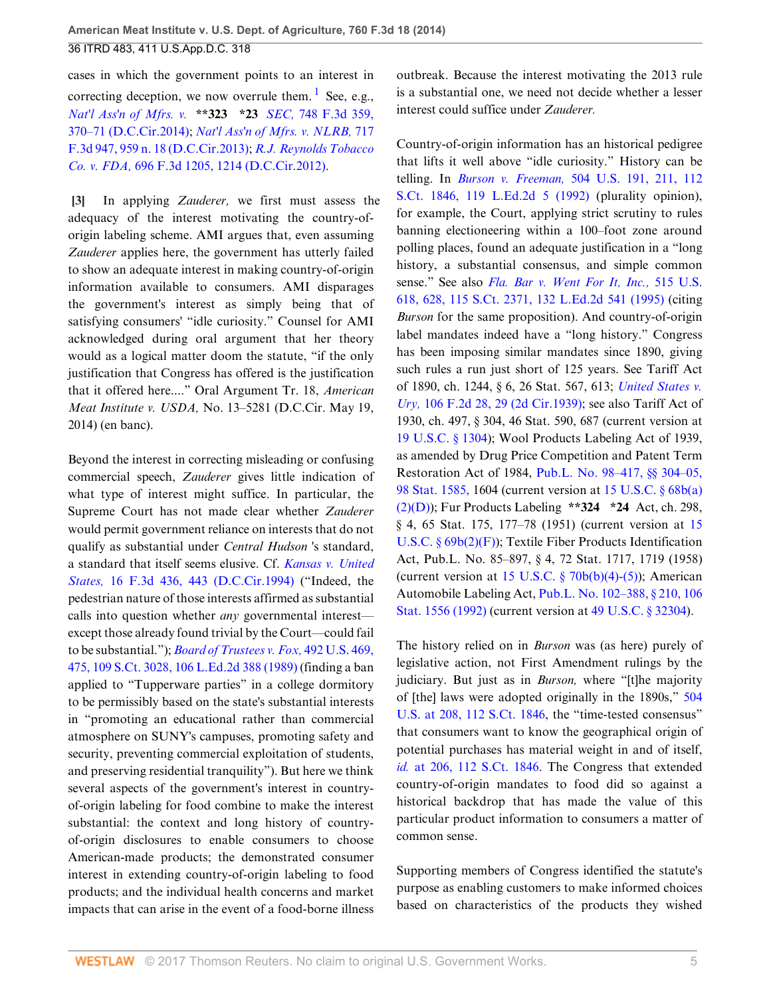cases in which the government points to an interest in correcting deception, we now overrule them.<sup>[1](#page-27-0)</sup> See, e.g., *[Nat'l Ass'n of Mfrs. v.](http://www.westlaw.com/Link/Document/FullText?findType=Y&serNum=2033156188&pubNum=0000506&originatingDoc=Ibd3810a6181711e490d4edf60ce7d742&refType=RP&fi=co_pp_sp_506_370&originationContext=document&vr=3.0&rs=cblt1.0&transitionType=DocumentItem&contextData=(sc.History*oc.UserEnteredCitation)#co_pp_sp_506_370)* **\*\*323 \*23** *SEC,* 748 F.3d 359, [370–71 \(D.C.Cir.2014\)](http://www.westlaw.com/Link/Document/FullText?findType=Y&serNum=2033156188&pubNum=0000506&originatingDoc=Ibd3810a6181711e490d4edf60ce7d742&refType=RP&fi=co_pp_sp_506_370&originationContext=document&vr=3.0&rs=cblt1.0&transitionType=DocumentItem&contextData=(sc.History*oc.UserEnteredCitation)#co_pp_sp_506_370); *[Nat'l Ass'n of Mfrs. v. NLRB,](http://www.westlaw.com/Link/Document/FullText?findType=Y&serNum=2030484118&pubNum=0000506&originatingDoc=Ibd3810a6181711e490d4edf60ce7d742&refType=RP&fi=co_pp_sp_506_959&originationContext=document&vr=3.0&rs=cblt1.0&transitionType=DocumentItem&contextData=(sc.History*oc.UserEnteredCitation)#co_pp_sp_506_959)* 717 [F.3d 947, 959 n. 18 \(D.C.Cir.2013\);](http://www.westlaw.com/Link/Document/FullText?findType=Y&serNum=2030484118&pubNum=0000506&originatingDoc=Ibd3810a6181711e490d4edf60ce7d742&refType=RP&fi=co_pp_sp_506_959&originationContext=document&vr=3.0&rs=cblt1.0&transitionType=DocumentItem&contextData=(sc.History*oc.UserEnteredCitation)#co_pp_sp_506_959) *[R.J. Reynolds Tobacco](http://www.westlaw.com/Link/Document/FullText?findType=Y&serNum=2028474677&pubNum=0000506&originatingDoc=Ibd3810a6181711e490d4edf60ce7d742&refType=RP&fi=co_pp_sp_506_1214&originationContext=document&vr=3.0&rs=cblt1.0&transitionType=DocumentItem&contextData=(sc.History*oc.UserEnteredCitation)#co_pp_sp_506_1214) Co. v. FDA,* [696 F.3d 1205, 1214 \(D.C.Cir.2012\).](http://www.westlaw.com/Link/Document/FullText?findType=Y&serNum=2028474677&pubNum=0000506&originatingDoc=Ibd3810a6181711e490d4edf60ce7d742&refType=RP&fi=co_pp_sp_506_1214&originationContext=document&vr=3.0&rs=cblt1.0&transitionType=DocumentItem&contextData=(sc.History*oc.UserEnteredCitation)#co_pp_sp_506_1214)

<span id="page-4-0"></span>**[\[3](#page-0-1)]** In applying *Zauderer,* we first must assess the adequacy of the interest motivating the country-oforigin labeling scheme. AMI argues that, even assuming *Zauderer* applies here, the government has utterly failed to show an adequate interest in making country-of-origin information available to consumers. AMI disparages the government's interest as simply being that of satisfying consumers' "idle curiosity." Counsel for AMI acknowledged during oral argument that her theory would as a logical matter doom the statute, "if the only justification that Congress has offered is the justification that it offered here...." Oral Argument Tr. 18, *American Meat Institute v. USDA,* No. 13–5281 (D.C.Cir. May 19, 2014) (en banc).

Beyond the interest in correcting misleading or confusing commercial speech, *Zauderer* gives little indication of what type of interest might suffice. In particular, the Supreme Court has not made clear whether *Zauderer* would permit government reliance on interests that do not qualify as substantial under *Central Hudson* 's standard, a standard that itself seems elusive. Cf. *[Kansas v. United](http://www.westlaw.com/Link/Document/FullText?findType=Y&serNum=1994042065&pubNum=0000506&originatingDoc=Ibd3810a6181711e490d4edf60ce7d742&refType=RP&fi=co_pp_sp_506_443&originationContext=document&vr=3.0&rs=cblt1.0&transitionType=DocumentItem&contextData=(sc.History*oc.UserEnteredCitation)#co_pp_sp_506_443) States,* [16 F.3d 436, 443 \(D.C.Cir.1994\)](http://www.westlaw.com/Link/Document/FullText?findType=Y&serNum=1994042065&pubNum=0000506&originatingDoc=Ibd3810a6181711e490d4edf60ce7d742&refType=RP&fi=co_pp_sp_506_443&originationContext=document&vr=3.0&rs=cblt1.0&transitionType=DocumentItem&contextData=(sc.History*oc.UserEnteredCitation)#co_pp_sp_506_443) ("Indeed, the pedestrian nature of those interests affirmed as substantial calls into question whether *any* governmental interest except those already found trivial by the Court—could fail to be substantial."); *[Board of Trustees v. Fox,](http://www.westlaw.com/Link/Document/FullText?findType=Y&serNum=1989096929&pubNum=0000708&originatingDoc=Ibd3810a6181711e490d4edf60ce7d742&refType=RP&originationContext=document&vr=3.0&rs=cblt1.0&transitionType=DocumentItem&contextData=(sc.History*oc.UserEnteredCitation))* 492 U.S. 469, [475, 109 S.Ct. 3028, 106 L.Ed.2d 388 \(1989\)](http://www.westlaw.com/Link/Document/FullText?findType=Y&serNum=1989096929&pubNum=0000708&originatingDoc=Ibd3810a6181711e490d4edf60ce7d742&refType=RP&originationContext=document&vr=3.0&rs=cblt1.0&transitionType=DocumentItem&contextData=(sc.History*oc.UserEnteredCitation)) (finding a ban applied to "Tupperware parties" in a college dormitory to be permissibly based on the state's substantial interests in "promoting an educational rather than commercial atmosphere on SUNY's campuses, promoting safety and security, preventing commercial exploitation of students, and preserving residential tranquility"). But here we think several aspects of the government's interest in countryof-origin labeling for food combine to make the interest substantial: the context and long history of countryof-origin disclosures to enable consumers to choose American-made products; the demonstrated consumer interest in extending country-of-origin labeling to food products; and the individual health concerns and market impacts that can arise in the event of a food-borne illness

<span id="page-4-1"></span>outbreak. Because the interest motivating the 2013 rule is a substantial one, we need not decide whether a lesser interest could suffice under *Zauderer.*

Country-of-origin information has an historical pedigree that lifts it well above "idle curiosity." History can be telling. In *Burson v. Freeman,* [504 U.S. 191, 211, 112](http://www.westlaw.com/Link/Document/FullText?findType=Y&serNum=1992095635&pubNum=0000708&originatingDoc=Ibd3810a6181711e490d4edf60ce7d742&refType=RP&originationContext=document&vr=3.0&rs=cblt1.0&transitionType=DocumentItem&contextData=(sc.History*oc.UserEnteredCitation)) [S.Ct. 1846, 119 L.Ed.2d 5 \(1992\)](http://www.westlaw.com/Link/Document/FullText?findType=Y&serNum=1992095635&pubNum=0000708&originatingDoc=Ibd3810a6181711e490d4edf60ce7d742&refType=RP&originationContext=document&vr=3.0&rs=cblt1.0&transitionType=DocumentItem&contextData=(sc.History*oc.UserEnteredCitation)) (plurality opinion), for example, the Court, applying strict scrutiny to rules banning electioneering within a 100–foot zone around polling places, found an adequate justification in a "long history, a substantial consensus, and simple common sense." See also *[Fla. Bar v. Went For It, Inc.,](http://www.westlaw.com/Link/Document/FullText?findType=Y&serNum=1995132542&pubNum=0000708&originatingDoc=Ibd3810a6181711e490d4edf60ce7d742&refType=RP&originationContext=document&vr=3.0&rs=cblt1.0&transitionType=DocumentItem&contextData=(sc.History*oc.UserEnteredCitation))* 515 U.S. [618, 628, 115 S.Ct. 2371, 132 L.Ed.2d 541 \(1995\)](http://www.westlaw.com/Link/Document/FullText?findType=Y&serNum=1995132542&pubNum=0000708&originatingDoc=Ibd3810a6181711e490d4edf60ce7d742&refType=RP&originationContext=document&vr=3.0&rs=cblt1.0&transitionType=DocumentItem&contextData=(sc.History*oc.UserEnteredCitation)) (citing *Burson* for the same proposition). And country-of-origin label mandates indeed have a "long history." Congress has been imposing similar mandates since 1890, giving such rules a run just short of 125 years. See Tariff Act of 1890, ch. 1244, § 6, 26 Stat. 567, 613; *[United States v.](http://www.westlaw.com/Link/Document/FullText?findType=Y&serNum=1939124726&pubNum=0000350&originatingDoc=Ibd3810a6181711e490d4edf60ce7d742&refType=RP&fi=co_pp_sp_350_29&originationContext=document&vr=3.0&rs=cblt1.0&transitionType=DocumentItem&contextData=(sc.History*oc.UserEnteredCitation)#co_pp_sp_350_29) Ury,* [106 F.2d 28, 29 \(2d Cir.1939\)](http://www.westlaw.com/Link/Document/FullText?findType=Y&serNum=1939124726&pubNum=0000350&originatingDoc=Ibd3810a6181711e490d4edf60ce7d742&refType=RP&fi=co_pp_sp_350_29&originationContext=document&vr=3.0&rs=cblt1.0&transitionType=DocumentItem&contextData=(sc.History*oc.UserEnteredCitation)#co_pp_sp_350_29); see also Tariff Act of 1930, ch. 497, § 304, 46 Stat. 590, 687 (current version at [19 U.S.C. § 1304](http://www.westlaw.com/Link/Document/FullText?findType=L&pubNum=1000546&cite=19USCAS1304&originatingDoc=Ibd3810a6181711e490d4edf60ce7d742&refType=LQ&originationContext=document&vr=3.0&rs=cblt1.0&transitionType=DocumentItem&contextData=(sc.History*oc.UserEnteredCitation))); Wool Products Labeling Act of 1939, as amended by Drug Price Competition and Patent Term Restoration Act of 1984, [Pub.L. No. 98–417, §§ 304–05,](http://www.westlaw.com/Link/Document/FullText?findType=l&pubNum=1077005&cite=UUID(IE18BBC5D63-B24B84B86B5-560A5141A87)&originatingDoc=Ibd3810a6181711e490d4edf60ce7d742&refType=SL&originationContext=document&vr=3.0&rs=cblt1.0&transitionType=DocumentItem&contextData=(sc.History*oc.UserEnteredCitation)) [98 Stat. 1585,](http://www.westlaw.com/Link/Document/FullText?findType=l&pubNum=1077005&cite=UUID(IE18BBC5D63-B24B84B86B5-560A5141A87)&originatingDoc=Ibd3810a6181711e490d4edf60ce7d742&refType=SL&originationContext=document&vr=3.0&rs=cblt1.0&transitionType=DocumentItem&contextData=(sc.History*oc.UserEnteredCitation)) 1604 (current version at [15 U.S.C. § 68b\(a\)](http://www.westlaw.com/Link/Document/FullText?findType=L&pubNum=1000546&cite=15USCAS68B&originatingDoc=Ibd3810a6181711e490d4edf60ce7d742&refType=RB&originationContext=document&vr=3.0&rs=cblt1.0&transitionType=DocumentItem&contextData=(sc.History*oc.UserEnteredCitation)#co_pp_fe00000056fa7) [\(2\)\(D\)\)](http://www.westlaw.com/Link/Document/FullText?findType=L&pubNum=1000546&cite=15USCAS68B&originatingDoc=Ibd3810a6181711e490d4edf60ce7d742&refType=RB&originationContext=document&vr=3.0&rs=cblt1.0&transitionType=DocumentItem&contextData=(sc.History*oc.UserEnteredCitation)#co_pp_fe00000056fa7); Fur Products Labeling **\*\*324 \*24** Act, ch. 298, § 4, 65 Stat. 175, 177–78 (1951) (current version at [15](http://www.westlaw.com/Link/Document/FullText?findType=L&pubNum=1000546&cite=15USCAS69B&originatingDoc=Ibd3810a6181711e490d4edf60ce7d742&refType=RB&originationContext=document&vr=3.0&rs=cblt1.0&transitionType=DocumentItem&contextData=(sc.History*oc.UserEnteredCitation)#co_pp_237f000038894) [U.S.C. § 69b\(2\)\(F\)\)](http://www.westlaw.com/Link/Document/FullText?findType=L&pubNum=1000546&cite=15USCAS69B&originatingDoc=Ibd3810a6181711e490d4edf60ce7d742&refType=RB&originationContext=document&vr=3.0&rs=cblt1.0&transitionType=DocumentItem&contextData=(sc.History*oc.UserEnteredCitation)#co_pp_237f000038894); Textile Fiber Products Identification Act, Pub.L. No. 85–897, § 4, 72 Stat. 1717, 1719 (1958) (current version at  $15$  U.S.C.  $\S$  70b(b)(4)-(5)); American Automobile Labeling Act, [Pub.L. No. 102–388, § 210, 106](http://www.westlaw.com/Link/Document/FullText?findType=l&pubNum=1077005&cite=UUID(IF8D2363D14-E742CFAF989-A39FC30866A)&originatingDoc=Ibd3810a6181711e490d4edf60ce7d742&refType=SL&originationContext=document&vr=3.0&rs=cblt1.0&transitionType=DocumentItem&contextData=(sc.History*oc.UserEnteredCitation)) [Stat. 1556 \(1992\)](http://www.westlaw.com/Link/Document/FullText?findType=l&pubNum=1077005&cite=UUID(IF8D2363D14-E742CFAF989-A39FC30866A)&originatingDoc=Ibd3810a6181711e490d4edf60ce7d742&refType=SL&originationContext=document&vr=3.0&rs=cblt1.0&transitionType=DocumentItem&contextData=(sc.History*oc.UserEnteredCitation)) (current version at [49 U.S.C. § 32304](http://www.westlaw.com/Link/Document/FullText?findType=L&pubNum=1000546&cite=49USCAS32304&originatingDoc=Ibd3810a6181711e490d4edf60ce7d742&refType=LQ&originationContext=document&vr=3.0&rs=cblt1.0&transitionType=DocumentItem&contextData=(sc.History*oc.UserEnteredCitation))).

The history relied on in *Burson* was (as here) purely of legislative action, not First Amendment rulings by the judiciary. But just as in *Burson,* where "[t]he majority of [the] laws were adopted originally in the 1890s," [504](http://www.westlaw.com/Link/Document/FullText?findType=Y&serNum=1992095635&pubNum=0000708&originatingDoc=Ibd3810a6181711e490d4edf60ce7d742&refType=RP&originationContext=document&vr=3.0&rs=cblt1.0&transitionType=DocumentItem&contextData=(sc.History*oc.UserEnteredCitation)) [U.S. at 208, 112 S.Ct. 1846](http://www.westlaw.com/Link/Document/FullText?findType=Y&serNum=1992095635&pubNum=0000708&originatingDoc=Ibd3810a6181711e490d4edf60ce7d742&refType=RP&originationContext=document&vr=3.0&rs=cblt1.0&transitionType=DocumentItem&contextData=(sc.History*oc.UserEnteredCitation)), the "time-tested consensus" that consumers want to know the geographical origin of potential purchases has material weight in and of itself, *id.* [at 206, 112 S.Ct. 1846](http://www.westlaw.com/Link/Document/FullText?findType=Y&serNum=1992095635&pubNum=0000708&originatingDoc=Ibd3810a6181711e490d4edf60ce7d742&refType=RP&originationContext=document&vr=3.0&rs=cblt1.0&transitionType=DocumentItem&contextData=(sc.History*oc.UserEnteredCitation)). The Congress that extended country-of-origin mandates to food did so against a historical backdrop that has made the value of this particular product information to consumers a matter of common sense.

Supporting members of Congress identified the statute's purpose as enabling customers to make informed choices based on characteristics of the products they wished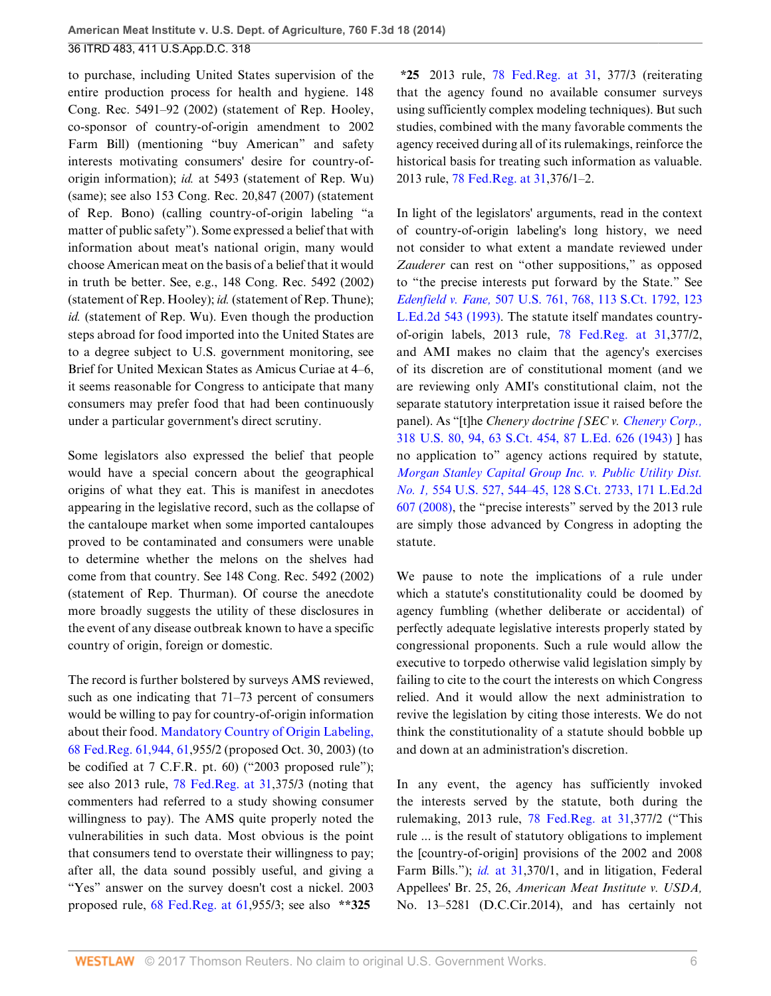to purchase, including United States supervision of the entire production process for health and hygiene. 148 Cong. Rec. 5491–92 (2002) (statement of Rep. Hooley, co-sponsor of country-of-origin amendment to 2002 Farm Bill) (mentioning "buy American" and safety interests motivating consumers' desire for country-oforigin information); *id.* at 5493 (statement of Rep. Wu) (same); see also 153 Cong. Rec. 20,847 (2007) (statement of Rep. Bono) (calling country-of-origin labeling "a matter of public safety"). Some expressed a belief that with information about meat's national origin, many would choose American meat on the basis of a belief that it would in truth be better. See, e.g., 148 Cong. Rec. 5492 (2002) (statement of Rep. Hooley); *id.* (statement of Rep. Thune); *id.* (statement of Rep. Wu). Even though the production steps abroad for food imported into the United States are to a degree subject to U.S. government monitoring, see Brief for United Mexican States as Amicus Curiae at 4–6, it seems reasonable for Congress to anticipate that many consumers may prefer food that had been continuously under a particular government's direct scrutiny.

Some legislators also expressed the belief that people would have a special concern about the geographical origins of what they eat. This is manifest in anecdotes appearing in the legislative record, such as the collapse of the cantaloupe market when some imported cantaloupes proved to be contaminated and consumers were unable to determine whether the melons on the shelves had come from that country. See 148 Cong. Rec. 5492 (2002) (statement of Rep. Thurman). Of course the anecdote more broadly suggests the utility of these disclosures in the event of any disease outbreak known to have a specific country of origin, foreign or domestic.

The record is further bolstered by surveys AMS reviewed, such as one indicating that 71–73 percent of consumers would be willing to pay for country-of-origin information about their food. [Mandatory Country of Origin Labeling,](http://www.westlaw.com/Link/Document/FullText?findType=l&pubNum=0001037&cite=UUID(ID3E3CD303C4611DAA009E92B16555DD2)&originatingDoc=Ibd3810a6181711e490d4edf60ce7d742&refType=CP&fi=co_pp_sp_1037_61944&originationContext=document&vr=3.0&rs=cblt1.0&transitionType=DocumentItem&contextData=(sc.History*oc.UserEnteredCitation)#co_pp_sp_1037_61944) [68 Fed.Reg. 61,944, 61](http://www.westlaw.com/Link/Document/FullText?findType=l&pubNum=0001037&cite=UUID(ID3E3CD303C4611DAA009E92B16555DD2)&originatingDoc=Ibd3810a6181711e490d4edf60ce7d742&refType=CP&fi=co_pp_sp_1037_61944&originationContext=document&vr=3.0&rs=cblt1.0&transitionType=DocumentItem&contextData=(sc.History*oc.UserEnteredCitation)#co_pp_sp_1037_61944),955/2 (proposed Oct. 30, 2003) (to be codified at 7 C.F.R. pt. 60) ("2003 proposed rule"); see also 2013 rule, [78 Fed.Reg. at 31](http://www.westlaw.com/Link/Document/FullText?findType=l&pubNum=0001037&cite=UUID(IB2BA458054B211E2BD09F61BC94A4F9E)&originatingDoc=Ibd3810a6181711e490d4edf60ce7d742&refType=CP&fi=co_pp_sp_1037_31&originationContext=document&vr=3.0&rs=cblt1.0&transitionType=DocumentItem&contextData=(sc.History*oc.UserEnteredCitation)#co_pp_sp_1037_31),375/3 (noting that commenters had referred to a study showing consumer willingness to pay). The AMS quite properly noted the vulnerabilities in such data. Most obvious is the point that consumers tend to overstate their willingness to pay; after all, the data sound possibly useful, and giving a "Yes" answer on the survey doesn't cost a nickel. 2003 proposed rule, [68 Fed.Reg. at 61,](http://www.westlaw.com/Link/Document/FullText?findType=l&pubNum=0001037&cite=UUID(I9020E3703C4711DAA009E92B16555DD2)&originatingDoc=Ibd3810a6181711e490d4edf60ce7d742&refType=CP&fi=co_pp_sp_1037_61&originationContext=document&vr=3.0&rs=cblt1.0&transitionType=DocumentItem&contextData=(sc.History*oc.UserEnteredCitation)#co_pp_sp_1037_61)955/3; see also **\*\*325**

**\*25** 2013 rule, [78 Fed.Reg. at 31](http://www.westlaw.com/Link/Document/FullText?findType=l&pubNum=0001037&cite=UUID(IB2BA458054B211E2BD09F61BC94A4F9E)&originatingDoc=Ibd3810a6181711e490d4edf60ce7d742&refType=CP&fi=co_pp_sp_1037_31&originationContext=document&vr=3.0&rs=cblt1.0&transitionType=DocumentItem&contextData=(sc.History*oc.UserEnteredCitation)#co_pp_sp_1037_31), 377/3 (reiterating that the agency found no available consumer surveys using sufficiently complex modeling techniques). But such studies, combined with the many favorable comments the agency received during all of its rulemakings, reinforce the historical basis for treating such information as valuable. 2013 rule, [78 Fed.Reg. at 31](http://www.westlaw.com/Link/Document/FullText?findType=l&pubNum=0001037&cite=UUID(IB2BA458054B211E2BD09F61BC94A4F9E)&originatingDoc=Ibd3810a6181711e490d4edf60ce7d742&refType=CP&fi=co_pp_sp_1037_31&originationContext=document&vr=3.0&rs=cblt1.0&transitionType=DocumentItem&contextData=(sc.History*oc.UserEnteredCitation)#co_pp_sp_1037_31),376/1–2.

In light of the legislators' arguments, read in the context of country-of-origin labeling's long history, we need not consider to what extent a mandate reviewed under *Zauderer* can rest on "other suppositions," as opposed to "the precise interests put forward by the State." See *Edenfield v. Fane,* [507 U.S. 761, 768, 113 S.Ct. 1792, 123](http://www.westlaw.com/Link/Document/FullText?findType=Y&serNum=1993091488&pubNum=0000708&originatingDoc=Ibd3810a6181711e490d4edf60ce7d742&refType=RP&originationContext=document&vr=3.0&rs=cblt1.0&transitionType=DocumentItem&contextData=(sc.History*oc.UserEnteredCitation)) [L.Ed.2d 543 \(1993\)](http://www.westlaw.com/Link/Document/FullText?findType=Y&serNum=1993091488&pubNum=0000708&originatingDoc=Ibd3810a6181711e490d4edf60ce7d742&refType=RP&originationContext=document&vr=3.0&rs=cblt1.0&transitionType=DocumentItem&contextData=(sc.History*oc.UserEnteredCitation)). The statute itself mandates countryof-origin labels, 2013 rule, [78 Fed.Reg. at 31,](http://www.westlaw.com/Link/Document/FullText?findType=l&pubNum=0001037&cite=UUID(IB2BA458054B211E2BD09F61BC94A4F9E)&originatingDoc=Ibd3810a6181711e490d4edf60ce7d742&refType=CP&fi=co_pp_sp_1037_31&originationContext=document&vr=3.0&rs=cblt1.0&transitionType=DocumentItem&contextData=(sc.History*oc.UserEnteredCitation)#co_pp_sp_1037_31)377/2, and AMI makes no claim that the agency's exercises of its discretion are of constitutional moment (and we are reviewing only AMI's constitutional claim, not the separate statutory interpretation issue it raised before the panel). As "[t]he *Chenery doctrine [SEC v. [Chenery Corp.,](http://www.westlaw.com/Link/Document/FullText?findType=Y&serNum=1943120800&pubNum=0000708&originatingDoc=Ibd3810a6181711e490d4edf60ce7d742&refType=RP&originationContext=document&vr=3.0&rs=cblt1.0&transitionType=DocumentItem&contextData=(sc.History*oc.UserEnteredCitation))* [318 U.S. 80, 94, 63 S.Ct. 454, 87 L.Ed. 626 \(1943\)](http://www.westlaw.com/Link/Document/FullText?findType=Y&serNum=1943120800&pubNum=0000708&originatingDoc=Ibd3810a6181711e490d4edf60ce7d742&refType=RP&originationContext=document&vr=3.0&rs=cblt1.0&transitionType=DocumentItem&contextData=(sc.History*oc.UserEnteredCitation)) ] has no application to" agency actions required by statute, *[Morgan Stanley Capital Group Inc. v. Public Utility Dist.](http://www.westlaw.com/Link/Document/FullText?findType=Y&serNum=2016385171&pubNum=0000708&originatingDoc=Ibd3810a6181711e490d4edf60ce7d742&refType=RP&originationContext=document&vr=3.0&rs=cblt1.0&transitionType=DocumentItem&contextData=(sc.History*oc.UserEnteredCitation)) No. 1,* [554 U.S. 527, 544–45, 128 S.Ct. 2733, 171 L.Ed.2d](http://www.westlaw.com/Link/Document/FullText?findType=Y&serNum=2016385171&pubNum=0000708&originatingDoc=Ibd3810a6181711e490d4edf60ce7d742&refType=RP&originationContext=document&vr=3.0&rs=cblt1.0&transitionType=DocumentItem&contextData=(sc.History*oc.UserEnteredCitation)) [607 \(2008\)](http://www.westlaw.com/Link/Document/FullText?findType=Y&serNum=2016385171&pubNum=0000708&originatingDoc=Ibd3810a6181711e490d4edf60ce7d742&refType=RP&originationContext=document&vr=3.0&rs=cblt1.0&transitionType=DocumentItem&contextData=(sc.History*oc.UserEnteredCitation)), the "precise interests" served by the 2013 rule are simply those advanced by Congress in adopting the statute.

We pause to note the implications of a rule under which a statute's constitutionality could be doomed by agency fumbling (whether deliberate or accidental) of perfectly adequate legislative interests properly stated by congressional proponents. Such a rule would allow the executive to torpedo otherwise valid legislation simply by failing to cite to the court the interests on which Congress relied. And it would allow the next administration to revive the legislation by citing those interests. We do not think the constitutionality of a statute should bobble up and down at an administration's discretion.

In any event, the agency has sufficiently invoked the interests served by the statute, both during the rulemaking, 2013 rule, [78 Fed.Reg. at 31,](http://www.westlaw.com/Link/Document/FullText?findType=l&pubNum=0001037&cite=UUID(IB2BA458054B211E2BD09F61BC94A4F9E)&originatingDoc=Ibd3810a6181711e490d4edf60ce7d742&refType=CP&fi=co_pp_sp_1037_31&originationContext=document&vr=3.0&rs=cblt1.0&transitionType=DocumentItem&contextData=(sc.History*oc.UserEnteredCitation)#co_pp_sp_1037_31)377/2 ("This rule ... is the result of statutory obligations to implement the [country-of-origin] provisions of the 2002 and 2008 Farm Bills."); *id.* [at 31,](http://www.westlaw.com/Link/Document/FullText?findType=l&pubNum=0001037&cite=UUID(IB2BA458054B211E2BD09F61BC94A4F9E)&originatingDoc=Ibd3810a6181711e490d4edf60ce7d742&refType=CP&fi=co_pp_sp_1037_31&originationContext=document&vr=3.0&rs=cblt1.0&transitionType=DocumentItem&contextData=(sc.History*oc.UserEnteredCitation)#co_pp_sp_1037_31)370/1, and in litigation, Federal Appellees' Br. 25, 26, *American Meat Institute v. USDA,* No. 13–5281 (D.C.Cir.2014), and has certainly not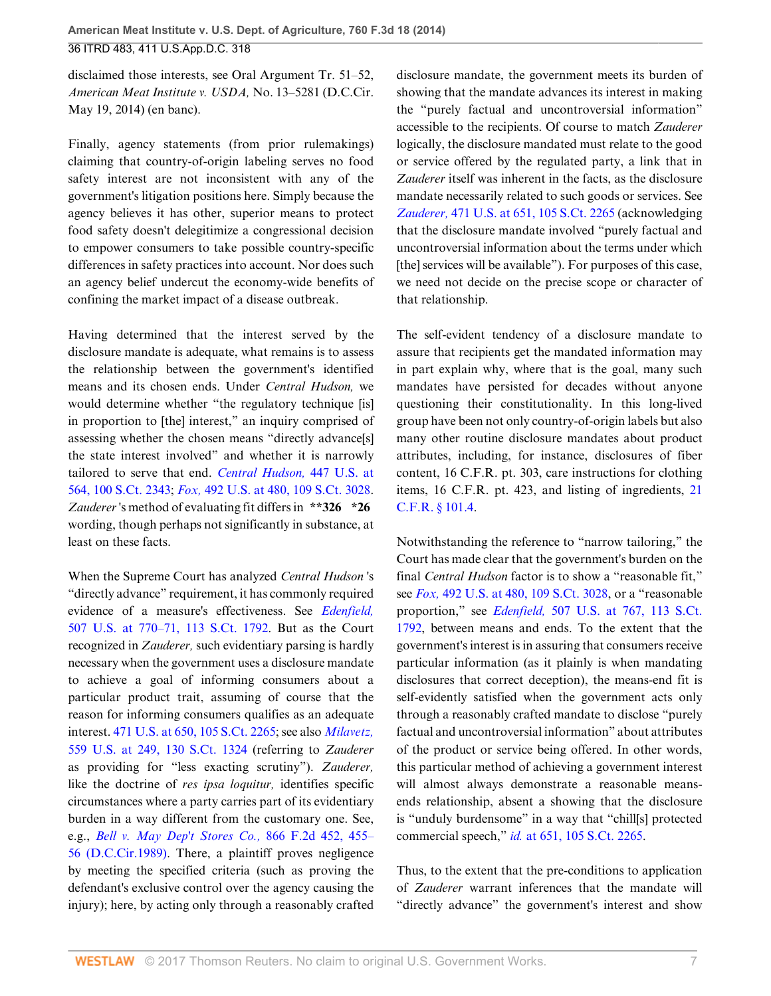disclaimed those interests, see Oral Argument Tr. 51–52, *American Meat Institute v. USDA,* No. 13–5281 (D.C.Cir. May 19, 2014) (en banc).

Finally, agency statements (from prior rulemakings) claiming that country-of-origin labeling serves no food safety interest are not inconsistent with any of the government's litigation positions here. Simply because the agency believes it has other, superior means to protect food safety doesn't delegitimize a congressional decision to empower consumers to take possible country-specific differences in safety practices into account. Nor does such an agency belief undercut the economy-wide benefits of confining the market impact of a disease outbreak.

Having determined that the interest served by the disclosure mandate is adequate, what remains is to assess the relationship between the government's identified means and its chosen ends. Under *Central Hudson,* we would determine whether "the regulatory technique [is] in proportion to [the] interest," an inquiry comprised of assessing whether the chosen means "directly advance[s] the state interest involved" and whether it is narrowly tailored to serve that end. *[Central Hudson,](http://www.westlaw.com/Link/Document/FullText?findType=Y&serNum=1980116785&pubNum=0000708&originatingDoc=Ibd3810a6181711e490d4edf60ce7d742&refType=RP&originationContext=document&vr=3.0&rs=cblt1.0&transitionType=DocumentItem&contextData=(sc.History*oc.UserEnteredCitation))* 447 U.S. at [564, 100 S.Ct. 2343;](http://www.westlaw.com/Link/Document/FullText?findType=Y&serNum=1980116785&pubNum=0000708&originatingDoc=Ibd3810a6181711e490d4edf60ce7d742&refType=RP&originationContext=document&vr=3.0&rs=cblt1.0&transitionType=DocumentItem&contextData=(sc.History*oc.UserEnteredCitation)) *Fox,* [492 U.S. at 480, 109 S.Ct. 3028](http://www.westlaw.com/Link/Document/FullText?findType=Y&serNum=1989096929&pubNum=0000708&originatingDoc=Ibd3810a6181711e490d4edf60ce7d742&refType=RP&originationContext=document&vr=3.0&rs=cblt1.0&transitionType=DocumentItem&contextData=(sc.History*oc.UserEnteredCitation)). *Zauderer* 's method of evaluating fit differs in **\*\*326 \*26** wording, though perhaps not significantly in substance, at least on these facts.

When the Supreme Court has analyzed *Central Hudson* 's "directly advance" requirement, it has commonly required evidence of a measure's effectiveness. See *[Edenfield,](http://www.westlaw.com/Link/Document/FullText?findType=Y&serNum=1993091488&pubNum=0000708&originatingDoc=Ibd3810a6181711e490d4edf60ce7d742&refType=RP&originationContext=document&vr=3.0&rs=cblt1.0&transitionType=DocumentItem&contextData=(sc.History*oc.UserEnteredCitation))* [507 U.S. at 770–71, 113 S.Ct. 1792](http://www.westlaw.com/Link/Document/FullText?findType=Y&serNum=1993091488&pubNum=0000708&originatingDoc=Ibd3810a6181711e490d4edf60ce7d742&refType=RP&originationContext=document&vr=3.0&rs=cblt1.0&transitionType=DocumentItem&contextData=(sc.History*oc.UserEnteredCitation)). But as the Court recognized in *Zauderer,* such evidentiary parsing is hardly necessary when the government uses a disclosure mandate to achieve a goal of informing consumers about a particular product trait, assuming of course that the reason for informing consumers qualifies as an adequate interest. [471 U.S. at 650, 105 S.Ct. 2265;](http://www.westlaw.com/Link/Document/FullText?findType=Y&serNum=1985126962&pubNum=0000708&originatingDoc=Ibd3810a6181711e490d4edf60ce7d742&refType=RP&originationContext=document&vr=3.0&rs=cblt1.0&transitionType=DocumentItem&contextData=(sc.History*oc.UserEnteredCitation)) see also *[Milavetz,](http://www.westlaw.com/Link/Document/FullText?findType=Y&serNum=2021490121&pubNum=0000708&originatingDoc=Ibd3810a6181711e490d4edf60ce7d742&refType=RP&originationContext=document&vr=3.0&rs=cblt1.0&transitionType=DocumentItem&contextData=(sc.History*oc.UserEnteredCitation))* [559 U.S. at 249, 130 S.Ct. 1324](http://www.westlaw.com/Link/Document/FullText?findType=Y&serNum=2021490121&pubNum=0000708&originatingDoc=Ibd3810a6181711e490d4edf60ce7d742&refType=RP&originationContext=document&vr=3.0&rs=cblt1.0&transitionType=DocumentItem&contextData=(sc.History*oc.UserEnteredCitation)) (referring to *Zauderer* as providing for "less exacting scrutiny"). *Zauderer,* like the doctrine of *res ipsa loquitur,* identifies specific circumstances where a party carries part of its evidentiary burden in a way different from the customary one. See, e.g., *[Bell v. May Dep't Stores Co.,](http://www.westlaw.com/Link/Document/FullText?findType=Y&serNum=1989014644&pubNum=0000350&originatingDoc=Ibd3810a6181711e490d4edf60ce7d742&refType=RP&fi=co_pp_sp_350_455&originationContext=document&vr=3.0&rs=cblt1.0&transitionType=DocumentItem&contextData=(sc.History*oc.UserEnteredCitation)#co_pp_sp_350_455)* 866 F.2d 452, 455– [56 \(D.C.Cir.1989\).](http://www.westlaw.com/Link/Document/FullText?findType=Y&serNum=1989014644&pubNum=0000350&originatingDoc=Ibd3810a6181711e490d4edf60ce7d742&refType=RP&fi=co_pp_sp_350_455&originationContext=document&vr=3.0&rs=cblt1.0&transitionType=DocumentItem&contextData=(sc.History*oc.UserEnteredCitation)#co_pp_sp_350_455) There, a plaintiff proves negligence by meeting the specified criteria (such as proving the defendant's exclusive control over the agency causing the injury); here, by acting only through a reasonably crafted

disclosure mandate, the government meets its burden of showing that the mandate advances its interest in making the "purely factual and uncontroversial information" accessible to the recipients. Of course to match *Zauderer* logically, the disclosure mandated must relate to the good or service offered by the regulated party, a link that in *Zauderer* itself was inherent in the facts, as the disclosure mandate necessarily related to such goods or services. See *Zauderer,* [471 U.S. at 651, 105 S.Ct. 2265](http://www.westlaw.com/Link/Document/FullText?findType=Y&serNum=1985126962&pubNum=0000708&originatingDoc=Ibd3810a6181711e490d4edf60ce7d742&refType=RP&originationContext=document&vr=3.0&rs=cblt1.0&transitionType=DocumentItem&contextData=(sc.History*oc.UserEnteredCitation)) (acknowledging that the disclosure mandate involved "purely factual and uncontroversial information about the terms under which [the] services will be available"). For purposes of this case, we need not decide on the precise scope or character of that relationship.

The self-evident tendency of a disclosure mandate to assure that recipients get the mandated information may in part explain why, where that is the goal, many such mandates have persisted for decades without anyone questioning their constitutionality. In this long-lived group have been not only country-of-origin labels but also many other routine disclosure mandates about product attributes, including, for instance, disclosures of fiber content, 16 C.F.R. pt. 303, care instructions for clothing items, 16 C.F.R. pt. 423, and listing of ingredients, [21](http://www.westlaw.com/Link/Document/FullText?findType=L&pubNum=1000547&cite=21CFRS101.4&originatingDoc=Ibd3810a6181711e490d4edf60ce7d742&refType=LQ&originationContext=document&vr=3.0&rs=cblt1.0&transitionType=DocumentItem&contextData=(sc.History*oc.UserEnteredCitation)) [C.F.R. § 101.4](http://www.westlaw.com/Link/Document/FullText?findType=L&pubNum=1000547&cite=21CFRS101.4&originatingDoc=Ibd3810a6181711e490d4edf60ce7d742&refType=LQ&originationContext=document&vr=3.0&rs=cblt1.0&transitionType=DocumentItem&contextData=(sc.History*oc.UserEnteredCitation)).

Notwithstanding the reference to "narrow tailoring," the Court has made clear that the government's burden on the final *Central Hudson* factor is to show a "reasonable fit," see *Fox,* [492 U.S. at 480, 109 S.Ct. 3028,](http://www.westlaw.com/Link/Document/FullText?findType=Y&serNum=1989096929&pubNum=0000708&originatingDoc=Ibd3810a6181711e490d4edf60ce7d742&refType=RP&originationContext=document&vr=3.0&rs=cblt1.0&transitionType=DocumentItem&contextData=(sc.History*oc.UserEnteredCitation)) or a "reasonable proportion," see *Edenfield,* [507 U.S. at 767, 113 S.Ct.](http://www.westlaw.com/Link/Document/FullText?findType=Y&serNum=1993091488&pubNum=0000708&originatingDoc=Ibd3810a6181711e490d4edf60ce7d742&refType=RP&originationContext=document&vr=3.0&rs=cblt1.0&transitionType=DocumentItem&contextData=(sc.History*oc.UserEnteredCitation)) [1792](http://www.westlaw.com/Link/Document/FullText?findType=Y&serNum=1993091488&pubNum=0000708&originatingDoc=Ibd3810a6181711e490d4edf60ce7d742&refType=RP&originationContext=document&vr=3.0&rs=cblt1.0&transitionType=DocumentItem&contextData=(sc.History*oc.UserEnteredCitation)), between means and ends. To the extent that the government's interest is in assuring that consumers receive particular information (as it plainly is when mandating disclosures that correct deception), the means-end fit is self-evidently satisfied when the government acts only through a reasonably crafted mandate to disclose "purely factual and uncontroversial information" about attributes of the product or service being offered. In other words, this particular method of achieving a government interest will almost always demonstrate a reasonable meansends relationship, absent a showing that the disclosure is "unduly burdensome" in a way that "chill[s] protected commercial speech," *id.* [at 651, 105 S.Ct. 2265.](http://www.westlaw.com/Link/Document/FullText?findType=Y&serNum=1985126962&pubNum=0000708&originatingDoc=Ibd3810a6181711e490d4edf60ce7d742&refType=RP&originationContext=document&vr=3.0&rs=cblt1.0&transitionType=DocumentItem&contextData=(sc.History*oc.UserEnteredCitation))

Thus, to the extent that the pre-conditions to application of *Zauderer* warrant inferences that the mandate will "directly advance" the government's interest and show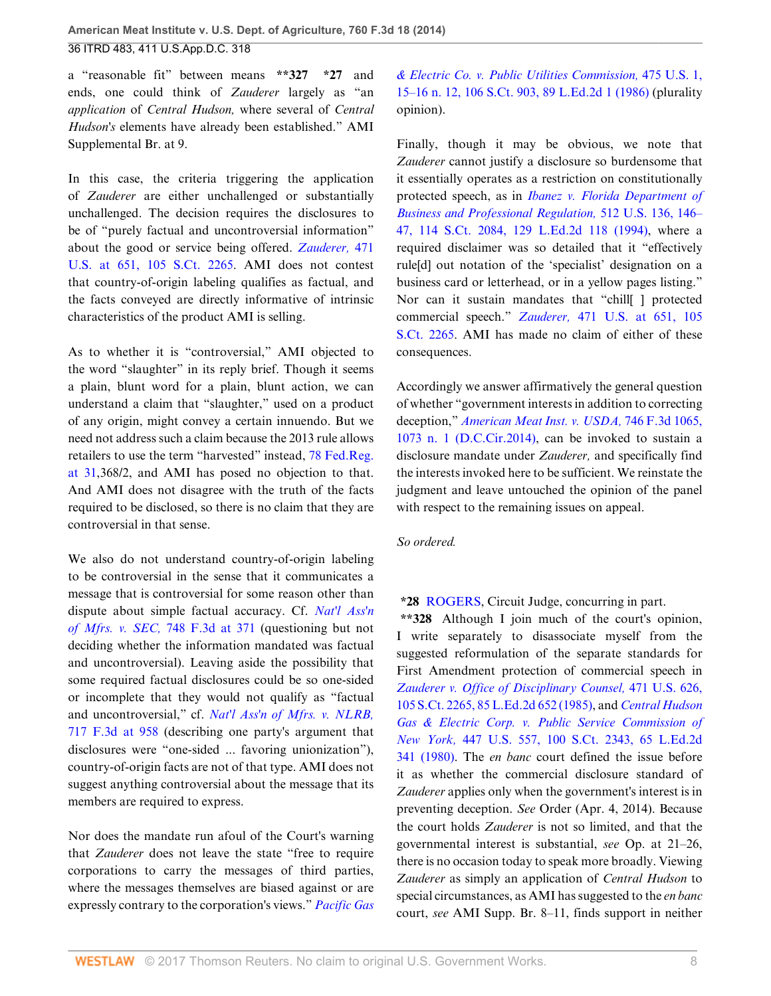a "reasonable fit" between means **\*\*327 \*27** and ends, one could think of *Zauderer* largely as "an *application* of *Central Hudson,* where several of *Central Hudson's* elements have already been established." AMI Supplemental Br. at 9.

In this case, the criteria triggering the application of *Zauderer* are either unchallenged or substantially unchallenged. The decision requires the disclosures to be of "purely factual and uncontroversial information" about the good or service being offered. *[Zauderer,](http://www.westlaw.com/Link/Document/FullText?findType=Y&serNum=1985126962&pubNum=0000708&originatingDoc=Ibd3810a6181711e490d4edf60ce7d742&refType=RP&originationContext=document&vr=3.0&rs=cblt1.0&transitionType=DocumentItem&contextData=(sc.History*oc.UserEnteredCitation))* 471 [U.S. at 651, 105 S.Ct. 2265](http://www.westlaw.com/Link/Document/FullText?findType=Y&serNum=1985126962&pubNum=0000708&originatingDoc=Ibd3810a6181711e490d4edf60ce7d742&refType=RP&originationContext=document&vr=3.0&rs=cblt1.0&transitionType=DocumentItem&contextData=(sc.History*oc.UserEnteredCitation)). AMI does not contest that country-of-origin labeling qualifies as factual, and the facts conveyed are directly informative of intrinsic characteristics of the product AMI is selling.

As to whether it is "controversial," AMI objected to the word "slaughter" in its reply brief. Though it seems a plain, blunt word for a plain, blunt action, we can understand a claim that "slaughter," used on a product of any origin, might convey a certain innuendo. But we need not address such a claim because the 2013 rule allows retailers to use the term "harvested" instead, [78 Fed.Reg.](http://www.westlaw.com/Link/Document/FullText?findType=l&pubNum=0001037&cite=UUID(IB2BA458054B211E2BD09F61BC94A4F9E)&originatingDoc=Ibd3810a6181711e490d4edf60ce7d742&refType=CP&fi=co_pp_sp_1037_31&originationContext=document&vr=3.0&rs=cblt1.0&transitionType=DocumentItem&contextData=(sc.History*oc.UserEnteredCitation)#co_pp_sp_1037_31) [at 31,](http://www.westlaw.com/Link/Document/FullText?findType=l&pubNum=0001037&cite=UUID(IB2BA458054B211E2BD09F61BC94A4F9E)&originatingDoc=Ibd3810a6181711e490d4edf60ce7d742&refType=CP&fi=co_pp_sp_1037_31&originationContext=document&vr=3.0&rs=cblt1.0&transitionType=DocumentItem&contextData=(sc.History*oc.UserEnteredCitation)#co_pp_sp_1037_31)368/2, and AMI has posed no objection to that. And AMI does not disagree with the truth of the facts required to be disclosed, so there is no claim that they are controversial in that sense.

We also do not understand country-of-origin labeling to be controversial in the sense that it communicates a message that is controversial for some reason other than dispute about simple factual accuracy. Cf. *[Nat'l Ass'n](http://www.westlaw.com/Link/Document/FullText?findType=Y&serNum=2033156188&pubNum=0000506&originatingDoc=Ibd3810a6181711e490d4edf60ce7d742&refType=RP&fi=co_pp_sp_506_371&originationContext=document&vr=3.0&rs=cblt1.0&transitionType=DocumentItem&contextData=(sc.History*oc.UserEnteredCitation)#co_pp_sp_506_371) of Mfrs. v. SEC,* [748 F.3d at 371](http://www.westlaw.com/Link/Document/FullText?findType=Y&serNum=2033156188&pubNum=0000506&originatingDoc=Ibd3810a6181711e490d4edf60ce7d742&refType=RP&fi=co_pp_sp_506_371&originationContext=document&vr=3.0&rs=cblt1.0&transitionType=DocumentItem&contextData=(sc.History*oc.UserEnteredCitation)#co_pp_sp_506_371) (questioning but not deciding whether the information mandated was factual and uncontroversial). Leaving aside the possibility that some required factual disclosures could be so one-sided or incomplete that they would not qualify as "factual and uncontroversial," cf. *[Nat'l Ass'n of Mfrs. v. NLRB,](http://www.westlaw.com/Link/Document/FullText?findType=Y&serNum=2030484118&pubNum=0000506&originatingDoc=Ibd3810a6181711e490d4edf60ce7d742&refType=RP&fi=co_pp_sp_506_958&originationContext=document&vr=3.0&rs=cblt1.0&transitionType=DocumentItem&contextData=(sc.History*oc.UserEnteredCitation)#co_pp_sp_506_958)* [717 F.3d at 958](http://www.westlaw.com/Link/Document/FullText?findType=Y&serNum=2030484118&pubNum=0000506&originatingDoc=Ibd3810a6181711e490d4edf60ce7d742&refType=RP&fi=co_pp_sp_506_958&originationContext=document&vr=3.0&rs=cblt1.0&transitionType=DocumentItem&contextData=(sc.History*oc.UserEnteredCitation)#co_pp_sp_506_958) (describing one party's argument that disclosures were "one-sided ... favoring unionization"), country-of-origin facts are not of that type. AMI does not suggest anything controversial about the message that its members are required to express.

Nor does the mandate run afoul of the Court's warning that *Zauderer* does not leave the state "free to require corporations to carry the messages of third parties, where the messages themselves are biased against or are expressly contrary to the corporation's views." *[Pacific Gas](http://www.westlaw.com/Link/Document/FullText?findType=Y&serNum=1986109852&pubNum=0000708&originatingDoc=Ibd3810a6181711e490d4edf60ce7d742&refType=RP&originationContext=document&vr=3.0&rs=cblt1.0&transitionType=DocumentItem&contextData=(sc.History*oc.UserEnteredCitation))* *[& Electric Co. v. Public Utilities Commission,](http://www.westlaw.com/Link/Document/FullText?findType=Y&serNum=1986109852&pubNum=0000708&originatingDoc=Ibd3810a6181711e490d4edf60ce7d742&refType=RP&originationContext=document&vr=3.0&rs=cblt1.0&transitionType=DocumentItem&contextData=(sc.History*oc.UserEnteredCitation))* 475 U.S. 1, [15–16 n. 12, 106 S.Ct. 903, 89 L.Ed.2d 1 \(1986\)](http://www.westlaw.com/Link/Document/FullText?findType=Y&serNum=1986109852&pubNum=0000708&originatingDoc=Ibd3810a6181711e490d4edf60ce7d742&refType=RP&originationContext=document&vr=3.0&rs=cblt1.0&transitionType=DocumentItem&contextData=(sc.History*oc.UserEnteredCitation)) (plurality opinion).

Finally, though it may be obvious, we note that *Zauderer* cannot justify a disclosure so burdensome that it essentially operates as a restriction on constitutionally protected speech, as in *[Ibanez v. Florida Department of](http://www.westlaw.com/Link/Document/FullText?findType=Y&serNum=1994126963&pubNum=0000708&originatingDoc=Ibd3810a6181711e490d4edf60ce7d742&refType=RP&originationContext=document&vr=3.0&rs=cblt1.0&transitionType=DocumentItem&contextData=(sc.History*oc.UserEnteredCitation)) [Business and Professional Regulation,](http://www.westlaw.com/Link/Document/FullText?findType=Y&serNum=1994126963&pubNum=0000708&originatingDoc=Ibd3810a6181711e490d4edf60ce7d742&refType=RP&originationContext=document&vr=3.0&rs=cblt1.0&transitionType=DocumentItem&contextData=(sc.History*oc.UserEnteredCitation))* 512 U.S. 136, 146– [47, 114 S.Ct. 2084, 129 L.Ed.2d 118 \(1994\),](http://www.westlaw.com/Link/Document/FullText?findType=Y&serNum=1994126963&pubNum=0000708&originatingDoc=Ibd3810a6181711e490d4edf60ce7d742&refType=RP&originationContext=document&vr=3.0&rs=cblt1.0&transitionType=DocumentItem&contextData=(sc.History*oc.UserEnteredCitation)) where a required disclaimer was so detailed that it "effectively rule[d] out notation of the 'specialist' designation on a business card or letterhead, or in a yellow pages listing." Nor can it sustain mandates that "chill[ ] protected commercial speech." *Zauderer,* [471 U.S. at 651, 105](http://www.westlaw.com/Link/Document/FullText?findType=Y&serNum=1985126962&pubNum=0000708&originatingDoc=Ibd3810a6181711e490d4edf60ce7d742&refType=RP&originationContext=document&vr=3.0&rs=cblt1.0&transitionType=DocumentItem&contextData=(sc.History*oc.UserEnteredCitation)) [S.Ct. 2265.](http://www.westlaw.com/Link/Document/FullText?findType=Y&serNum=1985126962&pubNum=0000708&originatingDoc=Ibd3810a6181711e490d4edf60ce7d742&refType=RP&originationContext=document&vr=3.0&rs=cblt1.0&transitionType=DocumentItem&contextData=(sc.History*oc.UserEnteredCitation)) AMI has made no claim of either of these consequences.

Accordingly we answer affirmatively the general question of whether "government interests in addition to correcting deception," *[American Meat Inst. v. USDA,](http://www.westlaw.com/Link/Document/FullText?findType=Y&serNum=2032982812&pubNum=0000506&originatingDoc=Ibd3810a6181711e490d4edf60ce7d742&refType=RP&fi=co_pp_sp_506_1073&originationContext=document&vr=3.0&rs=cblt1.0&transitionType=DocumentItem&contextData=(sc.History*oc.UserEnteredCitation)#co_pp_sp_506_1073)* 746 F.3d 1065, [1073 n. 1 \(D.C.Cir.2014\),](http://www.westlaw.com/Link/Document/FullText?findType=Y&serNum=2032982812&pubNum=0000506&originatingDoc=Ibd3810a6181711e490d4edf60ce7d742&refType=RP&fi=co_pp_sp_506_1073&originationContext=document&vr=3.0&rs=cblt1.0&transitionType=DocumentItem&contextData=(sc.History*oc.UserEnteredCitation)#co_pp_sp_506_1073) can be invoked to sustain a disclosure mandate under *Zauderer,* and specifically find the interests invoked here to be sufficient. We reinstate the judgment and leave untouched the opinion of the panel with respect to the remaining issues on appeal.

### *So ordered.*

### **\*28** [ROGERS](http://www.westlaw.com/Link/Document/FullText?findType=h&pubNum=176284&cite=0145172001&originatingDoc=Ibd3810a6181711e490d4edf60ce7d742&refType=RQ&originationContext=document&vr=3.0&rs=cblt1.0&transitionType=DocumentItem&contextData=(sc.History*oc.UserEnteredCitation)), Circuit Judge, concurring in part.

**\*\*328** Although I join much of the court's opinion, I write separately to disassociate myself from the suggested reformulation of the separate standards for First Amendment protection of commercial speech in *[Zauderer v. Office of Disciplinary Counsel,](http://www.westlaw.com/Link/Document/FullText?findType=Y&serNum=1985126962&pubNum=0000708&originatingDoc=Ibd3810a6181711e490d4edf60ce7d742&refType=RP&originationContext=document&vr=3.0&rs=cblt1.0&transitionType=DocumentItem&contextData=(sc.History*oc.UserEnteredCitation))* 471 U.S. 626, [105 S.Ct. 2265, 85 L.Ed.2d 652 \(1985\),](http://www.westlaw.com/Link/Document/FullText?findType=Y&serNum=1985126962&pubNum=0000708&originatingDoc=Ibd3810a6181711e490d4edf60ce7d742&refType=RP&originationContext=document&vr=3.0&rs=cblt1.0&transitionType=DocumentItem&contextData=(sc.History*oc.UserEnteredCitation)) and *[Central Hudson](http://www.westlaw.com/Link/Document/FullText?findType=Y&serNum=1980116785&pubNum=0000708&originatingDoc=Ibd3810a6181711e490d4edf60ce7d742&refType=RP&originationContext=document&vr=3.0&rs=cblt1.0&transitionType=DocumentItem&contextData=(sc.History*oc.UserEnteredCitation)) [Gas & Electric Corp. v. Public Service Commission of](http://www.westlaw.com/Link/Document/FullText?findType=Y&serNum=1980116785&pubNum=0000708&originatingDoc=Ibd3810a6181711e490d4edf60ce7d742&refType=RP&originationContext=document&vr=3.0&rs=cblt1.0&transitionType=DocumentItem&contextData=(sc.History*oc.UserEnteredCitation)) New York,* [447 U.S. 557, 100 S.Ct. 2343, 65 L.Ed.2d](http://www.westlaw.com/Link/Document/FullText?findType=Y&serNum=1980116785&pubNum=0000708&originatingDoc=Ibd3810a6181711e490d4edf60ce7d742&refType=RP&originationContext=document&vr=3.0&rs=cblt1.0&transitionType=DocumentItem&contextData=(sc.History*oc.UserEnteredCitation)) [341 \(1980\).](http://www.westlaw.com/Link/Document/FullText?findType=Y&serNum=1980116785&pubNum=0000708&originatingDoc=Ibd3810a6181711e490d4edf60ce7d742&refType=RP&originationContext=document&vr=3.0&rs=cblt1.0&transitionType=DocumentItem&contextData=(sc.History*oc.UserEnteredCitation)) The *en banc* court defined the issue before it as whether the commercial disclosure standard of *Zauderer* applies only when the government's interest is in preventing deception. *See* Order (Apr. 4, 2014). Because the court holds *Zauderer* is not so limited, and that the governmental interest is substantial, *see* Op. at 21–26, there is no occasion today to speak more broadly. Viewing *Zauderer* as simply an application of *Central Hudson* to special circumstances, as AMI has suggested to the *en banc* court, *see* AMI Supp. Br. 8–11, finds support in neither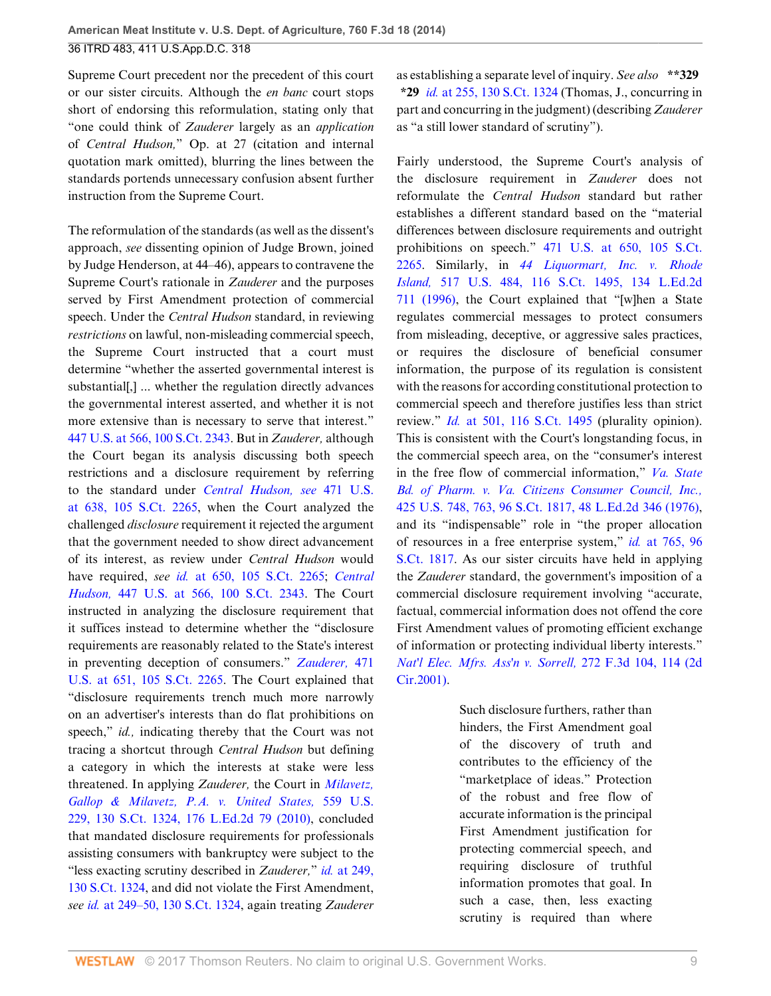Supreme Court precedent nor the precedent of this court or our sister circuits. Although the *en banc* court stops short of endorsing this reformulation, stating only that "one could think of *Zauderer* largely as an *application* of *Central Hudson,*" Op. at 27 (citation and internal quotation mark omitted), blurring the lines between the standards portends unnecessary confusion absent further instruction from the Supreme Court.

The reformulation of the standards (as well as the dissent's approach, *see* dissenting opinion of Judge Brown, joined by Judge Henderson, at 44–46), appears to contravene the Supreme Court's rationale in *Zauderer* and the purposes served by First Amendment protection of commercial speech. Under the *Central Hudson* standard, in reviewing *restrictions* on lawful, non-misleading commercial speech, the Supreme Court instructed that a court must determine "whether the asserted governmental interest is substantial[,] ... whether the regulation directly advances the governmental interest asserted, and whether it is not more extensive than is necessary to serve that interest." [447 U.S. at 566, 100 S.Ct. 2343.](http://www.westlaw.com/Link/Document/FullText?findType=Y&serNum=1980116785&pubNum=0000708&originatingDoc=Ibd3810a6181711e490d4edf60ce7d742&refType=RP&originationContext=document&vr=3.0&rs=cblt1.0&transitionType=DocumentItem&contextData=(sc.History*oc.UserEnteredCitation)) But in *Zauderer,* although the Court began its analysis discussing both speech restrictions and a disclosure requirement by referring to the standard under *[Central Hudson, see](http://www.westlaw.com/Link/Document/FullText?findType=Y&serNum=1985126962&pubNum=0000708&originatingDoc=Ibd3810a6181711e490d4edf60ce7d742&refType=RP&originationContext=document&vr=3.0&rs=cblt1.0&transitionType=DocumentItem&contextData=(sc.History*oc.UserEnteredCitation))* 471 U.S. [at 638, 105 S.Ct. 2265,](http://www.westlaw.com/Link/Document/FullText?findType=Y&serNum=1985126962&pubNum=0000708&originatingDoc=Ibd3810a6181711e490d4edf60ce7d742&refType=RP&originationContext=document&vr=3.0&rs=cblt1.0&transitionType=DocumentItem&contextData=(sc.History*oc.UserEnteredCitation)) when the Court analyzed the challenged *disclosure* requirement it rejected the argument that the government needed to show direct advancement of its interest, as review under *Central Hudson* would have required, *see id.* [at 650, 105 S.Ct. 2265;](http://www.westlaw.com/Link/Document/FullText?findType=Y&serNum=1985126962&pubNum=0000708&originatingDoc=Ibd3810a6181711e490d4edf60ce7d742&refType=RP&originationContext=document&vr=3.0&rs=cblt1.0&transitionType=DocumentItem&contextData=(sc.History*oc.UserEnteredCitation)) *[Central](http://www.westlaw.com/Link/Document/FullText?findType=Y&serNum=1980116785&pubNum=0000708&originatingDoc=Ibd3810a6181711e490d4edf60ce7d742&refType=RP&originationContext=document&vr=3.0&rs=cblt1.0&transitionType=DocumentItem&contextData=(sc.History*oc.UserEnteredCitation)) Hudson,* [447 U.S. at 566, 100 S.Ct. 2343.](http://www.westlaw.com/Link/Document/FullText?findType=Y&serNum=1980116785&pubNum=0000708&originatingDoc=Ibd3810a6181711e490d4edf60ce7d742&refType=RP&originationContext=document&vr=3.0&rs=cblt1.0&transitionType=DocumentItem&contextData=(sc.History*oc.UserEnteredCitation)) The Court instructed in analyzing the disclosure requirement that it suffices instead to determine whether the "disclosure requirements are reasonably related to the State's interest in preventing deception of consumers." *[Zauderer,](http://www.westlaw.com/Link/Document/FullText?findType=Y&serNum=1985126962&pubNum=0000708&originatingDoc=Ibd3810a6181711e490d4edf60ce7d742&refType=RP&originationContext=document&vr=3.0&rs=cblt1.0&transitionType=DocumentItem&contextData=(sc.History*oc.UserEnteredCitation))* 471 [U.S. at 651, 105 S.Ct. 2265](http://www.westlaw.com/Link/Document/FullText?findType=Y&serNum=1985126962&pubNum=0000708&originatingDoc=Ibd3810a6181711e490d4edf60ce7d742&refType=RP&originationContext=document&vr=3.0&rs=cblt1.0&transitionType=DocumentItem&contextData=(sc.History*oc.UserEnteredCitation)). The Court explained that "disclosure requirements trench much more narrowly on an advertiser's interests than do flat prohibitions on speech," *id.*, indicating thereby that the Court was not tracing a shortcut through *Central Hudson* but defining a category in which the interests at stake were less threatened. In applying *Zauderer,* the Court in *[Milavetz,](http://www.westlaw.com/Link/Document/FullText?findType=Y&serNum=2021490121&pubNum=0000708&originatingDoc=Ibd3810a6181711e490d4edf60ce7d742&refType=RP&originationContext=document&vr=3.0&rs=cblt1.0&transitionType=DocumentItem&contextData=(sc.History*oc.UserEnteredCitation)) [Gallop & Milavetz, P.A. v. United States,](http://www.westlaw.com/Link/Document/FullText?findType=Y&serNum=2021490121&pubNum=0000708&originatingDoc=Ibd3810a6181711e490d4edf60ce7d742&refType=RP&originationContext=document&vr=3.0&rs=cblt1.0&transitionType=DocumentItem&contextData=(sc.History*oc.UserEnteredCitation))* 559 U.S. [229, 130 S.Ct. 1324, 176 L.Ed.2d 79 \(2010\),](http://www.westlaw.com/Link/Document/FullText?findType=Y&serNum=2021490121&pubNum=0000708&originatingDoc=Ibd3810a6181711e490d4edf60ce7d742&refType=RP&originationContext=document&vr=3.0&rs=cblt1.0&transitionType=DocumentItem&contextData=(sc.History*oc.UserEnteredCitation)) concluded that mandated disclosure requirements for professionals assisting consumers with bankruptcy were subject to the "less exacting scrutiny described in *Zauderer,*" *id.* [at 249,](http://www.westlaw.com/Link/Document/FullText?findType=Y&serNum=2021490121&pubNum=0000708&originatingDoc=Ibd3810a6181711e490d4edf60ce7d742&refType=RP&originationContext=document&vr=3.0&rs=cblt1.0&transitionType=DocumentItem&contextData=(sc.History*oc.UserEnteredCitation)) [130 S.Ct. 1324](http://www.westlaw.com/Link/Document/FullText?findType=Y&serNum=2021490121&pubNum=0000708&originatingDoc=Ibd3810a6181711e490d4edf60ce7d742&refType=RP&originationContext=document&vr=3.0&rs=cblt1.0&transitionType=DocumentItem&contextData=(sc.History*oc.UserEnteredCitation)), and did not violate the First Amendment, *see id.* [at 249–50, 130 S.Ct. 1324](http://www.westlaw.com/Link/Document/FullText?findType=Y&serNum=2021490121&pubNum=0000708&originatingDoc=Ibd3810a6181711e490d4edf60ce7d742&refType=RP&originationContext=document&vr=3.0&rs=cblt1.0&transitionType=DocumentItem&contextData=(sc.History*oc.UserEnteredCitation)), again treating *Zauderer*

as establishing a separate level of inquiry. *See also* **\*\*329 \*29** *id.* [at 255, 130 S.Ct. 1324](http://www.westlaw.com/Link/Document/FullText?findType=Y&serNum=2021490121&pubNum=0000708&originatingDoc=Ibd3810a6181711e490d4edf60ce7d742&refType=RP&originationContext=document&vr=3.0&rs=cblt1.0&transitionType=DocumentItem&contextData=(sc.History*oc.UserEnteredCitation)) (Thomas, J., concurring in part and concurring in the judgment) (describing *Zauderer* as "a still lower standard of scrutiny").

Fairly understood, the Supreme Court's analysis of the disclosure requirement in *Zauderer* does not reformulate the *Central Hudson* standard but rather establishes a different standard based on the "material differences between disclosure requirements and outright prohibitions on speech." [471 U.S. at 650, 105 S.Ct.](http://www.westlaw.com/Link/Document/FullText?findType=Y&serNum=1985126962&pubNum=0000708&originatingDoc=Ibd3810a6181711e490d4edf60ce7d742&refType=RP&originationContext=document&vr=3.0&rs=cblt1.0&transitionType=DocumentItem&contextData=(sc.History*oc.UserEnteredCitation)) [2265](http://www.westlaw.com/Link/Document/FullText?findType=Y&serNum=1985126962&pubNum=0000708&originatingDoc=Ibd3810a6181711e490d4edf60ce7d742&refType=RP&originationContext=document&vr=3.0&rs=cblt1.0&transitionType=DocumentItem&contextData=(sc.History*oc.UserEnteredCitation)). Similarly, in *[44 Liquormart, Inc. v. Rhode](http://www.westlaw.com/Link/Document/FullText?findType=Y&serNum=1996113149&pubNum=0000708&originatingDoc=Ibd3810a6181711e490d4edf60ce7d742&refType=RP&originationContext=document&vr=3.0&rs=cblt1.0&transitionType=DocumentItem&contextData=(sc.History*oc.UserEnteredCitation)) Island,* [517 U.S. 484, 116 S.Ct. 1495, 134 L.Ed.2d](http://www.westlaw.com/Link/Document/FullText?findType=Y&serNum=1996113149&pubNum=0000708&originatingDoc=Ibd3810a6181711e490d4edf60ce7d742&refType=RP&originationContext=document&vr=3.0&rs=cblt1.0&transitionType=DocumentItem&contextData=(sc.History*oc.UserEnteredCitation)) [711 \(1996\),](http://www.westlaw.com/Link/Document/FullText?findType=Y&serNum=1996113149&pubNum=0000708&originatingDoc=Ibd3810a6181711e490d4edf60ce7d742&refType=RP&originationContext=document&vr=3.0&rs=cblt1.0&transitionType=DocumentItem&contextData=(sc.History*oc.UserEnteredCitation)) the Court explained that "[w]hen a State regulates commercial messages to protect consumers from misleading, deceptive, or aggressive sales practices, or requires the disclosure of beneficial consumer information, the purpose of its regulation is consistent with the reasons for according constitutional protection to commercial speech and therefore justifies less than strict review." *Id.* [at 501, 116 S.Ct. 1495](http://www.westlaw.com/Link/Document/FullText?findType=Y&serNum=1996113149&pubNum=0000708&originatingDoc=Ibd3810a6181711e490d4edf60ce7d742&refType=RP&originationContext=document&vr=3.0&rs=cblt1.0&transitionType=DocumentItem&contextData=(sc.History*oc.UserEnteredCitation)) (plurality opinion). This is consistent with the Court's longstanding focus, in the commercial speech area, on the "consumer's interest in the free flow of commercial information," *[Va. State](http://www.westlaw.com/Link/Document/FullText?findType=Y&serNum=1976142375&pubNum=0000708&originatingDoc=Ibd3810a6181711e490d4edf60ce7d742&refType=RP&originationContext=document&vr=3.0&rs=cblt1.0&transitionType=DocumentItem&contextData=(sc.History*oc.UserEnteredCitation)) [Bd. of Pharm. v. Va. Citizens Consumer Council, Inc.,](http://www.westlaw.com/Link/Document/FullText?findType=Y&serNum=1976142375&pubNum=0000708&originatingDoc=Ibd3810a6181711e490d4edf60ce7d742&refType=RP&originationContext=document&vr=3.0&rs=cblt1.0&transitionType=DocumentItem&contextData=(sc.History*oc.UserEnteredCitation))* [425 U.S. 748, 763, 96 S.Ct. 1817, 48 L.Ed.2d 346 \(1976\)](http://www.westlaw.com/Link/Document/FullText?findType=Y&serNum=1976142375&pubNum=0000708&originatingDoc=Ibd3810a6181711e490d4edf60ce7d742&refType=RP&originationContext=document&vr=3.0&rs=cblt1.0&transitionType=DocumentItem&contextData=(sc.History*oc.UserEnteredCitation)), and its "indispensable" role in "the proper allocation of resources in a free enterprise system," *id.* [at 765, 96](http://www.westlaw.com/Link/Document/FullText?findType=Y&serNum=1976142375&pubNum=0000708&originatingDoc=Ibd3810a6181711e490d4edf60ce7d742&refType=RP&originationContext=document&vr=3.0&rs=cblt1.0&transitionType=DocumentItem&contextData=(sc.History*oc.UserEnteredCitation)) [S.Ct. 1817.](http://www.westlaw.com/Link/Document/FullText?findType=Y&serNum=1976142375&pubNum=0000708&originatingDoc=Ibd3810a6181711e490d4edf60ce7d742&refType=RP&originationContext=document&vr=3.0&rs=cblt1.0&transitionType=DocumentItem&contextData=(sc.History*oc.UserEnteredCitation)) As our sister circuits have held in applying the *Zauderer* standard, the government's imposition of a commercial disclosure requirement involving "accurate, factual, commercial information does not offend the core First Amendment values of promoting efficient exchange of information or protecting individual liberty interests." *[Nat'l Elec. Mfrs. Ass'n v. Sorrell,](http://www.westlaw.com/Link/Document/FullText?findType=Y&serNum=2001934129&pubNum=0000506&originatingDoc=Ibd3810a6181711e490d4edf60ce7d742&refType=RP&fi=co_pp_sp_506_114&originationContext=document&vr=3.0&rs=cblt1.0&transitionType=DocumentItem&contextData=(sc.History*oc.UserEnteredCitation)#co_pp_sp_506_114)* 272 F.3d 104, 114 (2d [Cir.2001\).](http://www.westlaw.com/Link/Document/FullText?findType=Y&serNum=2001934129&pubNum=0000506&originatingDoc=Ibd3810a6181711e490d4edf60ce7d742&refType=RP&fi=co_pp_sp_506_114&originationContext=document&vr=3.0&rs=cblt1.0&transitionType=DocumentItem&contextData=(sc.History*oc.UserEnteredCitation)#co_pp_sp_506_114)

> Such disclosure furthers, rather than hinders, the First Amendment goal of the discovery of truth and contributes to the efficiency of the "marketplace of ideas." Protection of the robust and free flow of accurate information is the principal First Amendment justification for protecting commercial speech, and requiring disclosure of truthful information promotes that goal. In such a case, then, less exacting scrutiny is required than where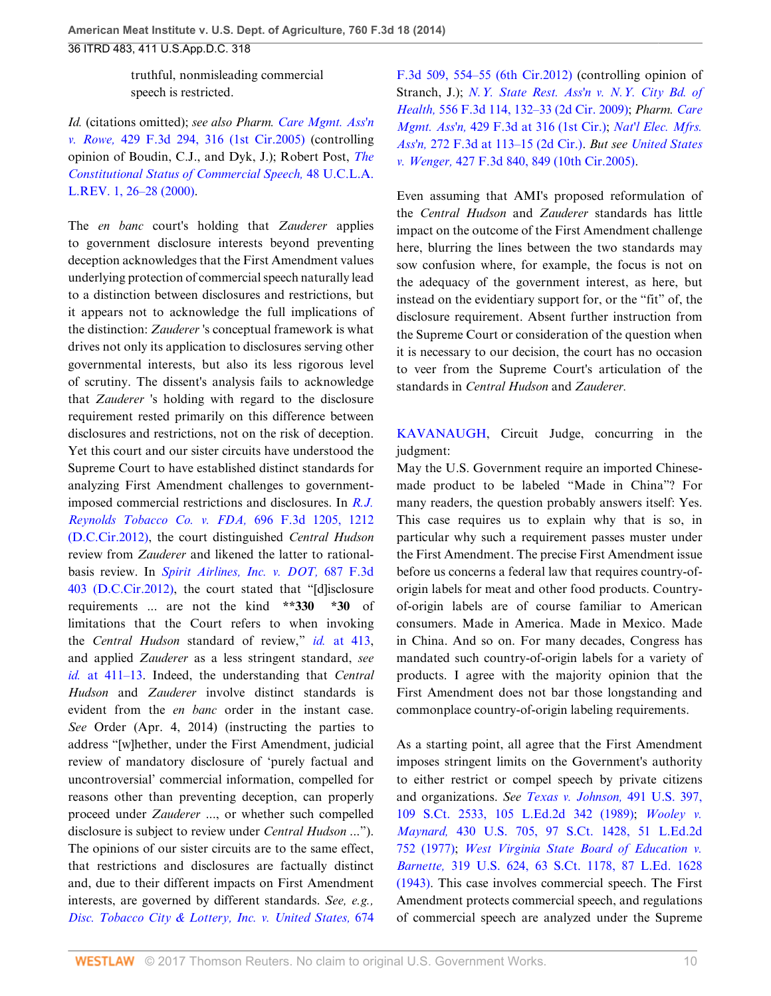truthful, nonmisleading commercial speech is restricted.

*Id.* (citations omitted); *see also Pharm. [Care Mgmt. Ass'n](http://www.westlaw.com/Link/Document/FullText?findType=Y&serNum=2007659419&pubNum=0000506&originatingDoc=Ibd3810a6181711e490d4edf60ce7d742&refType=RP&fi=co_pp_sp_506_316&originationContext=document&vr=3.0&rs=cblt1.0&transitionType=DocumentItem&contextData=(sc.History*oc.UserEnteredCitation)#co_pp_sp_506_316) v. Rowe,* [429 F.3d 294, 316 \(1st Cir.2005\)](http://www.westlaw.com/Link/Document/FullText?findType=Y&serNum=2007659419&pubNum=0000506&originatingDoc=Ibd3810a6181711e490d4edf60ce7d742&refType=RP&fi=co_pp_sp_506_316&originationContext=document&vr=3.0&rs=cblt1.0&transitionType=DocumentItem&contextData=(sc.History*oc.UserEnteredCitation)#co_pp_sp_506_316) (controlling opinion of Boudin, C.J., and Dyk, J.); Robert Post, *[The](http://www.westlaw.com/Link/Document/FullText?findType=Y&serNum=0281542071&pubNum=0003041&originatingDoc=Ibd3810a6181711e490d4edf60ce7d742&refType=LR&fi=co_pp_sp_3041_26&originationContext=document&vr=3.0&rs=cblt1.0&transitionType=DocumentItem&contextData=(sc.History*oc.UserEnteredCitation)#co_pp_sp_3041_26) [Constitutional Status of Commercial Speech,](http://www.westlaw.com/Link/Document/FullText?findType=Y&serNum=0281542071&pubNum=0003041&originatingDoc=Ibd3810a6181711e490d4edf60ce7d742&refType=LR&fi=co_pp_sp_3041_26&originationContext=document&vr=3.0&rs=cblt1.0&transitionType=DocumentItem&contextData=(sc.History*oc.UserEnteredCitation)#co_pp_sp_3041_26)* 48 U.C.L.A. [L.REV. 1, 26–28 \(2000\).](http://www.westlaw.com/Link/Document/FullText?findType=Y&serNum=0281542071&pubNum=0003041&originatingDoc=Ibd3810a6181711e490d4edf60ce7d742&refType=LR&fi=co_pp_sp_3041_26&originationContext=document&vr=3.0&rs=cblt1.0&transitionType=DocumentItem&contextData=(sc.History*oc.UserEnteredCitation)#co_pp_sp_3041_26)

The *en banc* court's holding that *Zauderer* applies to government disclosure interests beyond preventing deception acknowledges that the First Amendment values underlying protection of commercial speech naturally lead to a distinction between disclosures and restrictions, but it appears not to acknowledge the full implications of the distinction: *Zauderer* 's conceptual framework is what drives not only its application to disclosures serving other governmental interests, but also its less rigorous level of scrutiny. The dissent's analysis fails to acknowledge that *Zauderer* 's holding with regard to the disclosure requirement rested primarily on this difference between disclosures and restrictions, not on the risk of deception. Yet this court and our sister circuits have understood the Supreme Court to have established distinct standards for analyzing First Amendment challenges to governmentimposed commercial restrictions and disclosures. In *[R.J.](http://www.westlaw.com/Link/Document/FullText?findType=Y&serNum=2028474677&pubNum=0000506&originatingDoc=Ibd3810a6181711e490d4edf60ce7d742&refType=RP&fi=co_pp_sp_506_1212&originationContext=document&vr=3.0&rs=cblt1.0&transitionType=DocumentItem&contextData=(sc.History*oc.UserEnteredCitation)#co_pp_sp_506_1212) [Reynolds Tobacco Co. v. FDA,](http://www.westlaw.com/Link/Document/FullText?findType=Y&serNum=2028474677&pubNum=0000506&originatingDoc=Ibd3810a6181711e490d4edf60ce7d742&refType=RP&fi=co_pp_sp_506_1212&originationContext=document&vr=3.0&rs=cblt1.0&transitionType=DocumentItem&contextData=(sc.History*oc.UserEnteredCitation)#co_pp_sp_506_1212)* 696 F.3d 1205, 1212 [\(D.C.Cir.2012\),](http://www.westlaw.com/Link/Document/FullText?findType=Y&serNum=2028474677&pubNum=0000506&originatingDoc=Ibd3810a6181711e490d4edf60ce7d742&refType=RP&fi=co_pp_sp_506_1212&originationContext=document&vr=3.0&rs=cblt1.0&transitionType=DocumentItem&contextData=(sc.History*oc.UserEnteredCitation)#co_pp_sp_506_1212) the court distinguished *Central Hudson* review from *Zauderer* and likened the latter to rationalbasis review. In *[Spirit Airlines, Inc. v. DOT,](http://www.westlaw.com/Link/Document/FullText?findType=Y&serNum=2028259989&pubNum=0000506&originatingDoc=Ibd3810a6181711e490d4edf60ce7d742&refType=RP&originationContext=document&vr=3.0&rs=cblt1.0&transitionType=DocumentItem&contextData=(sc.History*oc.UserEnteredCitation))* 687 F.3d [403 \(D.C.Cir.2012\),](http://www.westlaw.com/Link/Document/FullText?findType=Y&serNum=2028259989&pubNum=0000506&originatingDoc=Ibd3810a6181711e490d4edf60ce7d742&refType=RP&originationContext=document&vr=3.0&rs=cblt1.0&transitionType=DocumentItem&contextData=(sc.History*oc.UserEnteredCitation)) the court stated that "[d]isclosure requirements ... are not the kind **\*\*330 \*30** of limitations that the Court refers to when invoking the *Central Hudson* standard of review," *id.* [at 413](http://www.westlaw.com/Link/Document/FullText?findType=Y&serNum=2028259989&pubNum=0000506&originatingDoc=Ibd3810a6181711e490d4edf60ce7d742&refType=RP&fi=co_pp_sp_506_413&originationContext=document&vr=3.0&rs=cblt1.0&transitionType=DocumentItem&contextData=(sc.History*oc.UserEnteredCitation)#co_pp_sp_506_413), and applied *Zauderer* as a less stringent standard, *see id.* [at 411–13](http://www.westlaw.com/Link/Document/FullText?findType=Y&serNum=2028259989&pubNum=0000506&originatingDoc=Ibd3810a6181711e490d4edf60ce7d742&refType=RP&fi=co_pp_sp_506_411&originationContext=document&vr=3.0&rs=cblt1.0&transitionType=DocumentItem&contextData=(sc.History*oc.UserEnteredCitation)#co_pp_sp_506_411). Indeed, the understanding that *Central Hudson* and *Zauderer* involve distinct standards is evident from the *en banc* order in the instant case. *See* Order (Apr. 4, 2014) (instructing the parties to address "[w]hether, under the First Amendment, judicial review of mandatory disclosure of 'purely factual and uncontroversial' commercial information, compelled for reasons other than preventing deception, can properly proceed under *Zauderer* ..., or whether such compelled disclosure is subject to review under *Central Hudson* ..."). The opinions of our sister circuits are to the same effect, that restrictions and disclosures are factually distinct and, due to their different impacts on First Amendment interests, are governed by different standards. *See, e.g., [Disc. Tobacco City & Lottery, Inc. v. United States,](http://www.westlaw.com/Link/Document/FullText?findType=Y&serNum=2027333397&pubNum=0000506&originatingDoc=Ibd3810a6181711e490d4edf60ce7d742&refType=RP&fi=co_pp_sp_506_554&originationContext=document&vr=3.0&rs=cblt1.0&transitionType=DocumentItem&contextData=(sc.History*oc.UserEnteredCitation)#co_pp_sp_506_554)* 674

[F.3d 509, 554–55 \(6th Cir.2012\)](http://www.westlaw.com/Link/Document/FullText?findType=Y&serNum=2027333397&pubNum=0000506&originatingDoc=Ibd3810a6181711e490d4edf60ce7d742&refType=RP&fi=co_pp_sp_506_554&originationContext=document&vr=3.0&rs=cblt1.0&transitionType=DocumentItem&contextData=(sc.History*oc.UserEnteredCitation)#co_pp_sp_506_554) (controlling opinion of Stranch, J.); *[N.Y. State Rest. Ass'n v. N.Y. City Bd. of](http://www.westlaw.com/Link/Document/FullText?findType=Y&serNum=2018151622&pubNum=0000506&originatingDoc=Ibd3810a6181711e490d4edf60ce7d742&refType=RP&fi=co_pp_sp_506_132&originationContext=document&vr=3.0&rs=cblt1.0&transitionType=DocumentItem&contextData=(sc.History*oc.UserEnteredCitation)#co_pp_sp_506_132) Health,* [556 F.3d 114, 132–33 \(2d Cir. 2009\)](http://www.westlaw.com/Link/Document/FullText?findType=Y&serNum=2018151622&pubNum=0000506&originatingDoc=Ibd3810a6181711e490d4edf60ce7d742&refType=RP&fi=co_pp_sp_506_132&originationContext=document&vr=3.0&rs=cblt1.0&transitionType=DocumentItem&contextData=(sc.History*oc.UserEnteredCitation)#co_pp_sp_506_132); *Pharm. [Care](http://www.westlaw.com/Link/Document/FullText?findType=Y&serNum=2007659419&pubNum=0000506&originatingDoc=Ibd3810a6181711e490d4edf60ce7d742&refType=RP&fi=co_pp_sp_506_316&originationContext=document&vr=3.0&rs=cblt1.0&transitionType=DocumentItem&contextData=(sc.History*oc.UserEnteredCitation)#co_pp_sp_506_316) Mgmt. Ass'n,* [429 F.3d at 316 \(1st Cir.\);](http://www.westlaw.com/Link/Document/FullText?findType=Y&serNum=2007659419&pubNum=0000506&originatingDoc=Ibd3810a6181711e490d4edf60ce7d742&refType=RP&fi=co_pp_sp_506_316&originationContext=document&vr=3.0&rs=cblt1.0&transitionType=DocumentItem&contextData=(sc.History*oc.UserEnteredCitation)#co_pp_sp_506_316) *[Nat'l Elec. Mfrs.](http://www.westlaw.com/Link/Document/FullText?findType=Y&serNum=2001934129&pubNum=0000506&originatingDoc=Ibd3810a6181711e490d4edf60ce7d742&refType=RP&fi=co_pp_sp_506_113&originationContext=document&vr=3.0&rs=cblt1.0&transitionType=DocumentItem&contextData=(sc.History*oc.UserEnteredCitation)#co_pp_sp_506_113) Ass'n,* [272 F.3d at 113–15 \(2d Cir.\).](http://www.westlaw.com/Link/Document/FullText?findType=Y&serNum=2001934129&pubNum=0000506&originatingDoc=Ibd3810a6181711e490d4edf60ce7d742&refType=RP&fi=co_pp_sp_506_113&originationContext=document&vr=3.0&rs=cblt1.0&transitionType=DocumentItem&contextData=(sc.History*oc.UserEnteredCitation)#co_pp_sp_506_113) *But see [United States](http://www.westlaw.com/Link/Document/FullText?findType=Y&serNum=2007568558&pubNum=0000506&originatingDoc=Ibd3810a6181711e490d4edf60ce7d742&refType=RP&fi=co_pp_sp_506_849&originationContext=document&vr=3.0&rs=cblt1.0&transitionType=DocumentItem&contextData=(sc.History*oc.UserEnteredCitation)#co_pp_sp_506_849) v. Wenger,* [427 F.3d 840, 849 \(10th Cir.2005\)](http://www.westlaw.com/Link/Document/FullText?findType=Y&serNum=2007568558&pubNum=0000506&originatingDoc=Ibd3810a6181711e490d4edf60ce7d742&refType=RP&fi=co_pp_sp_506_849&originationContext=document&vr=3.0&rs=cblt1.0&transitionType=DocumentItem&contextData=(sc.History*oc.UserEnteredCitation)#co_pp_sp_506_849).

Even assuming that AMI's proposed reformulation of the *Central Hudson* and *Zauderer* standards has little impact on the outcome of the First Amendment challenge here, blurring the lines between the two standards may sow confusion where, for example, the focus is not on the adequacy of the government interest, as here, but instead on the evidentiary support for, or the "fit" of, the disclosure requirement. Absent further instruction from the Supreme Court or consideration of the question when it is necessary to our decision, the court has no occasion to veer from the Supreme Court's articulation of the standards in *Central Hudson* and *Zauderer.*

[KAVANAUGH](http://www.westlaw.com/Link/Document/FullText?findType=h&pubNum=176284&cite=0364335801&originatingDoc=Ibd3810a6181711e490d4edf60ce7d742&refType=RQ&originationContext=document&vr=3.0&rs=cblt1.0&transitionType=DocumentItem&contextData=(sc.History*oc.UserEnteredCitation)), Circuit Judge, concurring in the judgment:

May the U.S. Government require an imported Chinesemade product to be labeled "Made in China"? For many readers, the question probably answers itself: Yes. This case requires us to explain why that is so, in particular why such a requirement passes muster under the First Amendment. The precise First Amendment issue before us concerns a federal law that requires country-oforigin labels for meat and other food products. Countryof-origin labels are of course familiar to American consumers. Made in America. Made in Mexico. Made in China. And so on. For many decades, Congress has mandated such country-of-origin labels for a variety of products. I agree with the majority opinion that the First Amendment does not bar those longstanding and commonplace country-of-origin labeling requirements.

As a starting point, all agree that the First Amendment imposes stringent limits on the Government's authority to either restrict or compel speech by private citizens and organizations. *See [Texas v. Johnson,](http://www.westlaw.com/Link/Document/FullText?findType=Y&serNum=1989092395&pubNum=0000708&originatingDoc=Ibd3810a6181711e490d4edf60ce7d742&refType=RP&originationContext=document&vr=3.0&rs=cblt1.0&transitionType=DocumentItem&contextData=(sc.History*oc.UserEnteredCitation))* 491 U.S. 397, [109 S.Ct. 2533, 105 L.Ed.2d 342 \(1989\);](http://www.westlaw.com/Link/Document/FullText?findType=Y&serNum=1989092395&pubNum=0000708&originatingDoc=Ibd3810a6181711e490d4edf60ce7d742&refType=RP&originationContext=document&vr=3.0&rs=cblt1.0&transitionType=DocumentItem&contextData=(sc.History*oc.UserEnteredCitation)) *[Wooley v.](http://www.westlaw.com/Link/Document/FullText?findType=Y&serNum=1977118764&pubNum=0000708&originatingDoc=Ibd3810a6181711e490d4edf60ce7d742&refType=RP&originationContext=document&vr=3.0&rs=cblt1.0&transitionType=DocumentItem&contextData=(sc.History*oc.UserEnteredCitation)) Maynard,* [430 U.S. 705, 97 S.Ct. 1428, 51 L.Ed.2d](http://www.westlaw.com/Link/Document/FullText?findType=Y&serNum=1977118764&pubNum=0000708&originatingDoc=Ibd3810a6181711e490d4edf60ce7d742&refType=RP&originationContext=document&vr=3.0&rs=cblt1.0&transitionType=DocumentItem&contextData=(sc.History*oc.UserEnteredCitation)) [752 \(1977\)](http://www.westlaw.com/Link/Document/FullText?findType=Y&serNum=1977118764&pubNum=0000708&originatingDoc=Ibd3810a6181711e490d4edf60ce7d742&refType=RP&originationContext=document&vr=3.0&rs=cblt1.0&transitionType=DocumentItem&contextData=(sc.History*oc.UserEnteredCitation)); *[West Virginia State Board of Education v.](http://www.westlaw.com/Link/Document/FullText?findType=Y&serNum=1943120939&pubNum=0000708&originatingDoc=Ibd3810a6181711e490d4edf60ce7d742&refType=RP&originationContext=document&vr=3.0&rs=cblt1.0&transitionType=DocumentItem&contextData=(sc.History*oc.UserEnteredCitation)) Barnette,* [319 U.S. 624, 63 S.Ct. 1178, 87 L.Ed. 1628](http://www.westlaw.com/Link/Document/FullText?findType=Y&serNum=1943120939&pubNum=0000708&originatingDoc=Ibd3810a6181711e490d4edf60ce7d742&refType=RP&originationContext=document&vr=3.0&rs=cblt1.0&transitionType=DocumentItem&contextData=(sc.History*oc.UserEnteredCitation)) [\(1943\).](http://www.westlaw.com/Link/Document/FullText?findType=Y&serNum=1943120939&pubNum=0000708&originatingDoc=Ibd3810a6181711e490d4edf60ce7d742&refType=RP&originationContext=document&vr=3.0&rs=cblt1.0&transitionType=DocumentItem&contextData=(sc.History*oc.UserEnteredCitation)) This case involves commercial speech. The First Amendment protects commercial speech, and regulations of commercial speech are analyzed under the Supreme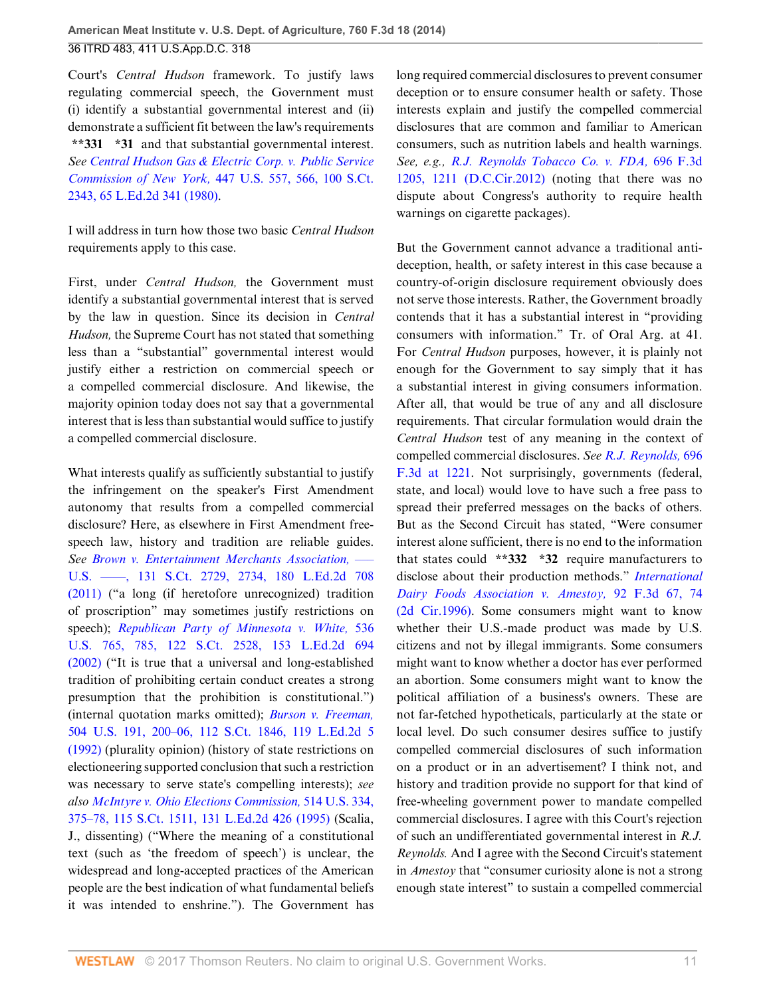Court's *Central Hudson* framework. To justify laws regulating commercial speech, the Government must (i) identify a substantial governmental interest and (ii) demonstrate a sufficient fit between the law's requirements **\*\*331 \*31** and that substantial governmental interest. *See [Central Hudson Gas & Electric Corp. v. Public Service](http://www.westlaw.com/Link/Document/FullText?findType=Y&serNum=1980116785&pubNum=0000708&originatingDoc=Ibd3810a6181711e490d4edf60ce7d742&refType=RP&originationContext=document&vr=3.0&rs=cblt1.0&transitionType=DocumentItem&contextData=(sc.History*oc.UserEnteredCitation)) Commission of New York,* [447 U.S. 557, 566, 100 S.Ct.](http://www.westlaw.com/Link/Document/FullText?findType=Y&serNum=1980116785&pubNum=0000708&originatingDoc=Ibd3810a6181711e490d4edf60ce7d742&refType=RP&originationContext=document&vr=3.0&rs=cblt1.0&transitionType=DocumentItem&contextData=(sc.History*oc.UserEnteredCitation)) [2343, 65 L.Ed.2d 341 \(1980\)](http://www.westlaw.com/Link/Document/FullText?findType=Y&serNum=1980116785&pubNum=0000708&originatingDoc=Ibd3810a6181711e490d4edf60ce7d742&refType=RP&originationContext=document&vr=3.0&rs=cblt1.0&transitionType=DocumentItem&contextData=(sc.History*oc.UserEnteredCitation)).

I will address in turn how those two basic *Central Hudson* requirements apply to this case.

First, under *Central Hudson,* the Government must identify a substantial governmental interest that is served by the law in question. Since its decision in *Central Hudson,* the Supreme Court has not stated that something less than a "substantial" governmental interest would justify either a restriction on commercial speech or a compelled commercial disclosure. And likewise, the majority opinion today does not say that a governmental interest that is less than substantial would suffice to justify a compelled commercial disclosure.

What interests qualify as sufficiently substantial to justify the infringement on the speaker's First Amendment autonomy that results from a compelled commercial disclosure? Here, as elsewhere in First Amendment freespeech law, history and tradition are reliable guides. *See [Brown v. Entertainment Merchants Association,](http://www.westlaw.com/Link/Document/FullText?findType=Y&serNum=2025554470&pubNum=0000708&originatingDoc=Ibd3810a6181711e490d4edf60ce7d742&refType=RP&fi=co_pp_sp_708_2734&originationContext=document&vr=3.0&rs=cblt1.0&transitionType=DocumentItem&contextData=(sc.History*oc.UserEnteredCitation)#co_pp_sp_708_2734)* ––– [U.S. ––––, 131 S.Ct. 2729, 2734, 180 L.Ed.2d 708](http://www.westlaw.com/Link/Document/FullText?findType=Y&serNum=2025554470&pubNum=0000708&originatingDoc=Ibd3810a6181711e490d4edf60ce7d742&refType=RP&fi=co_pp_sp_708_2734&originationContext=document&vr=3.0&rs=cblt1.0&transitionType=DocumentItem&contextData=(sc.History*oc.UserEnteredCitation)#co_pp_sp_708_2734) [\(2011\)](http://www.westlaw.com/Link/Document/FullText?findType=Y&serNum=2025554470&pubNum=0000708&originatingDoc=Ibd3810a6181711e490d4edf60ce7d742&refType=RP&fi=co_pp_sp_708_2734&originationContext=document&vr=3.0&rs=cblt1.0&transitionType=DocumentItem&contextData=(sc.History*oc.UserEnteredCitation)#co_pp_sp_708_2734) ("a long (if heretofore unrecognized) tradition of proscription" may sometimes justify restrictions on speech); *[Republican Party of Minnesota v. White,](http://www.westlaw.com/Link/Document/FullText?findType=Y&serNum=2002399189&pubNum=0000708&originatingDoc=Ibd3810a6181711e490d4edf60ce7d742&refType=RP&originationContext=document&vr=3.0&rs=cblt1.0&transitionType=DocumentItem&contextData=(sc.History*oc.UserEnteredCitation))* 536 [U.S. 765, 785, 122 S.Ct. 2528, 153 L.Ed.2d 694](http://www.westlaw.com/Link/Document/FullText?findType=Y&serNum=2002399189&pubNum=0000708&originatingDoc=Ibd3810a6181711e490d4edf60ce7d742&refType=RP&originationContext=document&vr=3.0&rs=cblt1.0&transitionType=DocumentItem&contextData=(sc.History*oc.UserEnteredCitation)) [\(2002\)](http://www.westlaw.com/Link/Document/FullText?findType=Y&serNum=2002399189&pubNum=0000708&originatingDoc=Ibd3810a6181711e490d4edf60ce7d742&refType=RP&originationContext=document&vr=3.0&rs=cblt1.0&transitionType=DocumentItem&contextData=(sc.History*oc.UserEnteredCitation)) ("It is true that a universal and long-established tradition of prohibiting certain conduct creates a strong presumption that the prohibition is constitutional.") (internal quotation marks omitted); *[Burson v. Freeman,](http://www.westlaw.com/Link/Document/FullText?findType=Y&serNum=1992095635&pubNum=0000708&originatingDoc=Ibd3810a6181711e490d4edf60ce7d742&refType=RP&originationContext=document&vr=3.0&rs=cblt1.0&transitionType=DocumentItem&contextData=(sc.History*oc.UserEnteredCitation))* [504 U.S. 191, 200–06, 112 S.Ct. 1846, 119 L.Ed.2d 5](http://www.westlaw.com/Link/Document/FullText?findType=Y&serNum=1992095635&pubNum=0000708&originatingDoc=Ibd3810a6181711e490d4edf60ce7d742&refType=RP&originationContext=document&vr=3.0&rs=cblt1.0&transitionType=DocumentItem&contextData=(sc.History*oc.UserEnteredCitation)) [\(1992\)](http://www.westlaw.com/Link/Document/FullText?findType=Y&serNum=1992095635&pubNum=0000708&originatingDoc=Ibd3810a6181711e490d4edf60ce7d742&refType=RP&originationContext=document&vr=3.0&rs=cblt1.0&transitionType=DocumentItem&contextData=(sc.History*oc.UserEnteredCitation)) (plurality opinion) (history of state restrictions on electioneering supported conclusion that such a restriction was necessary to serve state's compelling interests); *see also [McIntyre v. Ohio Elections Commission,](http://www.westlaw.com/Link/Document/FullText?findType=Y&serNum=1995091685&pubNum=0000708&originatingDoc=Ibd3810a6181711e490d4edf60ce7d742&refType=RP&originationContext=document&vr=3.0&rs=cblt1.0&transitionType=DocumentItem&contextData=(sc.History*oc.UserEnteredCitation))* 514 U.S. 334, [375–78, 115 S.Ct. 1511, 131 L.Ed.2d 426 \(1995\)](http://www.westlaw.com/Link/Document/FullText?findType=Y&serNum=1995091685&pubNum=0000708&originatingDoc=Ibd3810a6181711e490d4edf60ce7d742&refType=RP&originationContext=document&vr=3.0&rs=cblt1.0&transitionType=DocumentItem&contextData=(sc.History*oc.UserEnteredCitation)) (Scalia, J., dissenting) ("Where the meaning of a constitutional text (such as 'the freedom of speech') is unclear, the widespread and long-accepted practices of the American people are the best indication of what fundamental beliefs it was intended to enshrine."). The Government has long required commercial disclosures to prevent consumer deception or to ensure consumer health or safety. Those interests explain and justify the compelled commercial disclosures that are common and familiar to American consumers, such as nutrition labels and health warnings. *See, e.g., [R.J. Reynolds Tobacco Co. v. FDA,](http://www.westlaw.com/Link/Document/FullText?findType=Y&serNum=2028474677&pubNum=0000506&originatingDoc=Ibd3810a6181711e490d4edf60ce7d742&refType=RP&fi=co_pp_sp_506_1211&originationContext=document&vr=3.0&rs=cblt1.0&transitionType=DocumentItem&contextData=(sc.History*oc.UserEnteredCitation)#co_pp_sp_506_1211)* 696 F.3d [1205, 1211 \(D.C.Cir.2012\)](http://www.westlaw.com/Link/Document/FullText?findType=Y&serNum=2028474677&pubNum=0000506&originatingDoc=Ibd3810a6181711e490d4edf60ce7d742&refType=RP&fi=co_pp_sp_506_1211&originationContext=document&vr=3.0&rs=cblt1.0&transitionType=DocumentItem&contextData=(sc.History*oc.UserEnteredCitation)#co_pp_sp_506_1211) (noting that there was no dispute about Congress's authority to require health warnings on cigarette packages).

But the Government cannot advance a traditional antideception, health, or safety interest in this case because a country-of-origin disclosure requirement obviously does not serve those interests. Rather, the Government broadly contends that it has a substantial interest in "providing consumers with information." Tr. of Oral Arg. at 41. For *Central Hudson* purposes, however, it is plainly not enough for the Government to say simply that it has a substantial interest in giving consumers information. After all, that would be true of any and all disclosure requirements. That circular formulation would drain the *Central Hudson* test of any meaning in the context of compelled commercial disclosures. *See [R.J. Reynolds,](http://www.westlaw.com/Link/Document/FullText?findType=Y&serNum=2028474677&pubNum=0000506&originatingDoc=Ibd3810a6181711e490d4edf60ce7d742&refType=RP&fi=co_pp_sp_506_1221&originationContext=document&vr=3.0&rs=cblt1.0&transitionType=DocumentItem&contextData=(sc.History*oc.UserEnteredCitation)#co_pp_sp_506_1221)* 696 [F.3d at 1221](http://www.westlaw.com/Link/Document/FullText?findType=Y&serNum=2028474677&pubNum=0000506&originatingDoc=Ibd3810a6181711e490d4edf60ce7d742&refType=RP&fi=co_pp_sp_506_1221&originationContext=document&vr=3.0&rs=cblt1.0&transitionType=DocumentItem&contextData=(sc.History*oc.UserEnteredCitation)#co_pp_sp_506_1221). Not surprisingly, governments (federal, state, and local) would love to have such a free pass to spread their preferred messages on the backs of others. But as the Second Circuit has stated, "Were consumer interest alone sufficient, there is no end to the information that states could **\*\*332 \*32** require manufacturers to disclose about their production methods." *[International](http://www.westlaw.com/Link/Document/FullText?findType=Y&serNum=1996179932&pubNum=0000506&originatingDoc=Ibd3810a6181711e490d4edf60ce7d742&refType=RP&fi=co_pp_sp_506_74&originationContext=document&vr=3.0&rs=cblt1.0&transitionType=DocumentItem&contextData=(sc.History*oc.UserEnteredCitation)#co_pp_sp_506_74) [Dairy Foods Association v. Amestoy,](http://www.westlaw.com/Link/Document/FullText?findType=Y&serNum=1996179932&pubNum=0000506&originatingDoc=Ibd3810a6181711e490d4edf60ce7d742&refType=RP&fi=co_pp_sp_506_74&originationContext=document&vr=3.0&rs=cblt1.0&transitionType=DocumentItem&contextData=(sc.History*oc.UserEnteredCitation)#co_pp_sp_506_74)* 92 F.3d 67, 74 [\(2d Cir.1996\)](http://www.westlaw.com/Link/Document/FullText?findType=Y&serNum=1996179932&pubNum=0000506&originatingDoc=Ibd3810a6181711e490d4edf60ce7d742&refType=RP&fi=co_pp_sp_506_74&originationContext=document&vr=3.0&rs=cblt1.0&transitionType=DocumentItem&contextData=(sc.History*oc.UserEnteredCitation)#co_pp_sp_506_74). Some consumers might want to know whether their U.S.-made product was made by U.S. citizens and not by illegal immigrants. Some consumers might want to know whether a doctor has ever performed an abortion. Some consumers might want to know the political affiliation of a business's owners. These are not far-fetched hypotheticals, particularly at the state or local level. Do such consumer desires suffice to justify compelled commercial disclosures of such information on a product or in an advertisement? I think not, and history and tradition provide no support for that kind of free-wheeling government power to mandate compelled commercial disclosures. I agree with this Court's rejection of such an undifferentiated governmental interest in *R.J. Reynolds.* And I agree with the Second Circuit's statement in *Amestoy* that "consumer curiosity alone is not a strong enough state interest" to sustain a compelled commercial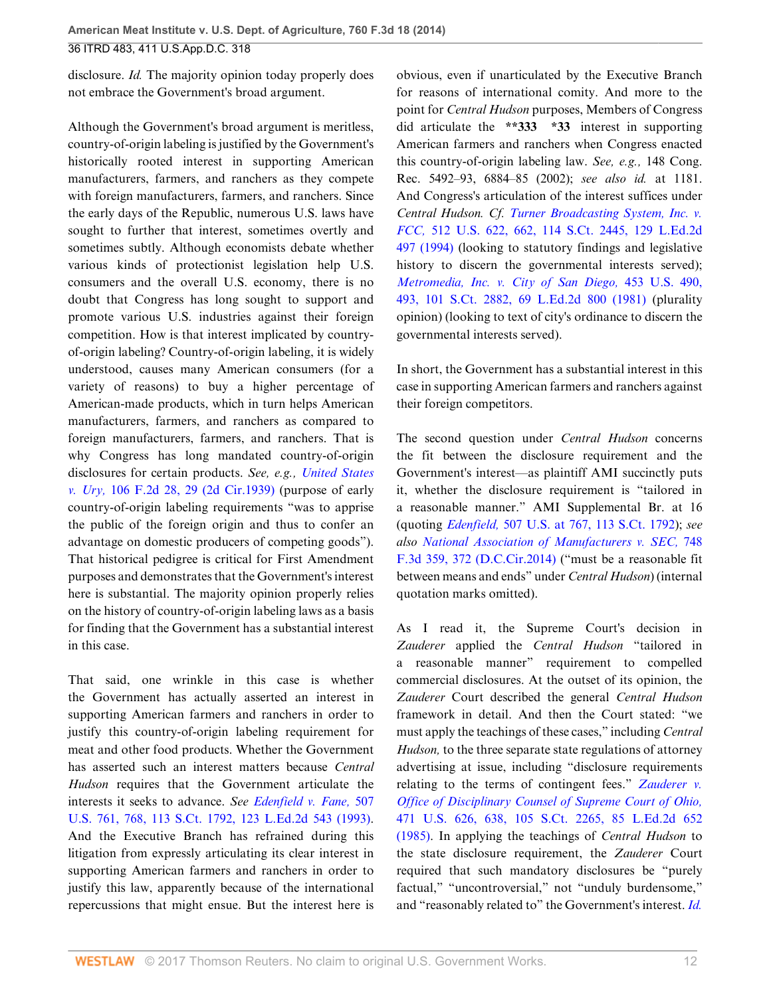disclosure. *Id.* The majority opinion today properly does not embrace the Government's broad argument.

Although the Government's broad argument is meritless, country-of-origin labeling is justified by the Government's historically rooted interest in supporting American manufacturers, farmers, and ranchers as they compete with foreign manufacturers, farmers, and ranchers. Since the early days of the Republic, numerous U.S. laws have sought to further that interest, sometimes overtly and sometimes subtly. Although economists debate whether various kinds of protectionist legislation help U.S. consumers and the overall U.S. economy, there is no doubt that Congress has long sought to support and promote various U.S. industries against their foreign competition. How is that interest implicated by countryof-origin labeling? Country-of-origin labeling, it is widely understood, causes many American consumers (for a variety of reasons) to buy a higher percentage of American-made products, which in turn helps American manufacturers, farmers, and ranchers as compared to foreign manufacturers, farmers, and ranchers. That is why Congress has long mandated country-of-origin disclosures for certain products. *See, e.g., [United States](http://www.westlaw.com/Link/Document/FullText?findType=Y&serNum=1939124726&pubNum=0000350&originatingDoc=Ibd3810a6181711e490d4edf60ce7d742&refType=RP&fi=co_pp_sp_350_29&originationContext=document&vr=3.0&rs=cblt1.0&transitionType=DocumentItem&contextData=(sc.History*oc.UserEnteredCitation)#co_pp_sp_350_29) v. Ury,* [106 F.2d 28, 29 \(2d Cir.1939\)](http://www.westlaw.com/Link/Document/FullText?findType=Y&serNum=1939124726&pubNum=0000350&originatingDoc=Ibd3810a6181711e490d4edf60ce7d742&refType=RP&fi=co_pp_sp_350_29&originationContext=document&vr=3.0&rs=cblt1.0&transitionType=DocumentItem&contextData=(sc.History*oc.UserEnteredCitation)#co_pp_sp_350_29) (purpose of early country-of-origin labeling requirements "was to apprise the public of the foreign origin and thus to confer an advantage on domestic producers of competing goods"). That historical pedigree is critical for First Amendment purposes and demonstrates that the Government's interest here is substantial. The majority opinion properly relies on the history of country-of-origin labeling laws as a basis for finding that the Government has a substantial interest in this case.

That said, one wrinkle in this case is whether the Government has actually asserted an interest in supporting American farmers and ranchers in order to justify this country-of-origin labeling requirement for meat and other food products. Whether the Government has asserted such an interest matters because *Central Hudson* requires that the Government articulate the interests it seeks to advance. *See [Edenfield v. Fane,](http://www.westlaw.com/Link/Document/FullText?findType=Y&serNum=1993091488&pubNum=0000708&originatingDoc=Ibd3810a6181711e490d4edf60ce7d742&refType=RP&originationContext=document&vr=3.0&rs=cblt1.0&transitionType=DocumentItem&contextData=(sc.History*oc.UserEnteredCitation))* 507 [U.S. 761, 768, 113 S.Ct. 1792, 123 L.Ed.2d 543 \(1993\)](http://www.westlaw.com/Link/Document/FullText?findType=Y&serNum=1993091488&pubNum=0000708&originatingDoc=Ibd3810a6181711e490d4edf60ce7d742&refType=RP&originationContext=document&vr=3.0&rs=cblt1.0&transitionType=DocumentItem&contextData=(sc.History*oc.UserEnteredCitation)). And the Executive Branch has refrained during this litigation from expressly articulating its clear interest in supporting American farmers and ranchers in order to justify this law, apparently because of the international repercussions that might ensue. But the interest here is

obvious, even if unarticulated by the Executive Branch for reasons of international comity. And more to the point for *Central Hudson* purposes, Members of Congress did articulate the **\*\*333 \*33** interest in supporting American farmers and ranchers when Congress enacted this country-of-origin labeling law. *See, e.g.,* 148 Cong. Rec. 5492–93, 6884–85 (2002); *see also id.* at 1181. And Congress's articulation of the interest suffices under *Central Hudson. Cf. [Turner Broadcasting System, Inc. v.](http://www.westlaw.com/Link/Document/FullText?findType=Y&serNum=1994136435&pubNum=0000708&originatingDoc=Ibd3810a6181711e490d4edf60ce7d742&refType=RP&originationContext=document&vr=3.0&rs=cblt1.0&transitionType=DocumentItem&contextData=(sc.History*oc.UserEnteredCitation)) FCC,* [512 U.S. 622, 662, 114 S.Ct. 2445, 129 L.Ed.2d](http://www.westlaw.com/Link/Document/FullText?findType=Y&serNum=1994136435&pubNum=0000708&originatingDoc=Ibd3810a6181711e490d4edf60ce7d742&refType=RP&originationContext=document&vr=3.0&rs=cblt1.0&transitionType=DocumentItem&contextData=(sc.History*oc.UserEnteredCitation)) [497 \(1994\)](http://www.westlaw.com/Link/Document/FullText?findType=Y&serNum=1994136435&pubNum=0000708&originatingDoc=Ibd3810a6181711e490d4edf60ce7d742&refType=RP&originationContext=document&vr=3.0&rs=cblt1.0&transitionType=DocumentItem&contextData=(sc.History*oc.UserEnteredCitation)) (looking to statutory findings and legislative history to discern the governmental interests served); *[Metromedia, Inc. v. City of San Diego,](http://www.westlaw.com/Link/Document/FullText?findType=Y&serNum=1981128879&pubNum=0000708&originatingDoc=Ibd3810a6181711e490d4edf60ce7d742&refType=RP&originationContext=document&vr=3.0&rs=cblt1.0&transitionType=DocumentItem&contextData=(sc.History*oc.UserEnteredCitation))* 453 U.S. 490, [493, 101 S.Ct. 2882, 69 L.Ed.2d 800 \(1981\)](http://www.westlaw.com/Link/Document/FullText?findType=Y&serNum=1981128879&pubNum=0000708&originatingDoc=Ibd3810a6181711e490d4edf60ce7d742&refType=RP&originationContext=document&vr=3.0&rs=cblt1.0&transitionType=DocumentItem&contextData=(sc.History*oc.UserEnteredCitation)) (plurality opinion) (looking to text of city's ordinance to discern the governmental interests served).

In short, the Government has a substantial interest in this case in supporting American farmers and ranchers against their foreign competitors.

The second question under *Central Hudson* concerns the fit between the disclosure requirement and the Government's interest—as plaintiff AMI succinctly puts it, whether the disclosure requirement is "tailored in a reasonable manner." AMI Supplemental Br. at 16 (quoting *Edenfield,* [507 U.S. at 767, 113 S.Ct. 1792](http://www.westlaw.com/Link/Document/FullText?findType=Y&serNum=1993091488&pubNum=0000708&originatingDoc=Ibd3810a6181711e490d4edf60ce7d742&refType=RP&originationContext=document&vr=3.0&rs=cblt1.0&transitionType=DocumentItem&contextData=(sc.History*oc.UserEnteredCitation))); *see also [National Association of Manufacturers v. SEC,](http://www.westlaw.com/Link/Document/FullText?findType=Y&serNum=2033156188&pubNum=0000506&originatingDoc=Ibd3810a6181711e490d4edf60ce7d742&refType=RP&fi=co_pp_sp_506_372&originationContext=document&vr=3.0&rs=cblt1.0&transitionType=DocumentItem&contextData=(sc.History*oc.UserEnteredCitation)#co_pp_sp_506_372)* 748 [F.3d 359, 372 \(D.C.Cir.2014\)](http://www.westlaw.com/Link/Document/FullText?findType=Y&serNum=2033156188&pubNum=0000506&originatingDoc=Ibd3810a6181711e490d4edf60ce7d742&refType=RP&fi=co_pp_sp_506_372&originationContext=document&vr=3.0&rs=cblt1.0&transitionType=DocumentItem&contextData=(sc.History*oc.UserEnteredCitation)#co_pp_sp_506_372) ("must be a reasonable fit between means and ends" under *Central Hudson*) (internal quotation marks omitted).

As I read it, the Supreme Court's decision in *Zauderer* applied the *Central Hudson* "tailored in a reasonable manner" requirement to compelled commercial disclosures. At the outset of its opinion, the *Zauderer* Court described the general *Central Hudson* framework in detail. And then the Court stated: "we must apply the teachings of these cases," including *Central Hudson,* to the three separate state regulations of attorney advertising at issue, including "disclosure requirements relating to the terms of contingent fees." *[Zauderer v.](http://www.westlaw.com/Link/Document/FullText?findType=Y&serNum=1985126962&pubNum=0000708&originatingDoc=Ibd3810a6181711e490d4edf60ce7d742&refType=RP&originationContext=document&vr=3.0&rs=cblt1.0&transitionType=DocumentItem&contextData=(sc.History*oc.UserEnteredCitation)) [Office of Disciplinary Counsel of Supreme Court of Ohio,](http://www.westlaw.com/Link/Document/FullText?findType=Y&serNum=1985126962&pubNum=0000708&originatingDoc=Ibd3810a6181711e490d4edf60ce7d742&refType=RP&originationContext=document&vr=3.0&rs=cblt1.0&transitionType=DocumentItem&contextData=(sc.History*oc.UserEnteredCitation))* [471 U.S. 626, 638, 105 S.Ct. 2265, 85 L.Ed.2d 652](http://www.westlaw.com/Link/Document/FullText?findType=Y&serNum=1985126962&pubNum=0000708&originatingDoc=Ibd3810a6181711e490d4edf60ce7d742&refType=RP&originationContext=document&vr=3.0&rs=cblt1.0&transitionType=DocumentItem&contextData=(sc.History*oc.UserEnteredCitation)) [\(1985\).](http://www.westlaw.com/Link/Document/FullText?findType=Y&serNum=1985126962&pubNum=0000708&originatingDoc=Ibd3810a6181711e490d4edf60ce7d742&refType=RP&originationContext=document&vr=3.0&rs=cblt1.0&transitionType=DocumentItem&contextData=(sc.History*oc.UserEnteredCitation)) In applying the teachings of *Central Hudson* to the state disclosure requirement, the *Zauderer* Court required that such mandatory disclosures be "purely factual," "uncontroversial," not "unduly burdensome," and "reasonably related to" the Government's interest. *[Id.](http://www.westlaw.com/Link/Document/FullText?findType=Y&serNum=1985126962&pubNum=0000708&originatingDoc=Ibd3810a6181711e490d4edf60ce7d742&refType=RP&originationContext=document&vr=3.0&rs=cblt1.0&transitionType=DocumentItem&contextData=(sc.History*oc.UserEnteredCitation))*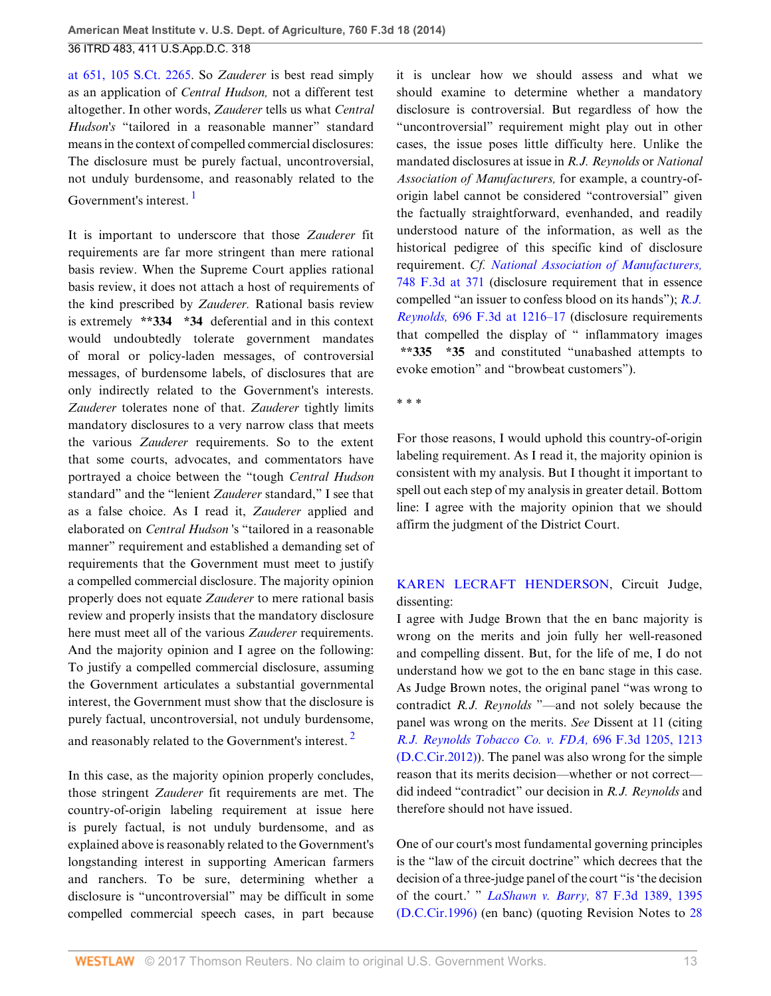[at 651, 105 S.Ct. 2265.](http://www.westlaw.com/Link/Document/FullText?findType=Y&serNum=1985126962&pubNum=0000708&originatingDoc=Ibd3810a6181711e490d4edf60ce7d742&refType=RP&originationContext=document&vr=3.0&rs=cblt1.0&transitionType=DocumentItem&contextData=(sc.History*oc.UserEnteredCitation)) So *Zauderer* is best read simply as an application of *Central Hudson,* not a different test altogether. In other words, *Zauderer* tells us what *Central Hudson's* "tailored in a reasonable manner" standard means in the context of compelled commercial disclosures: The disclosure must be purely factual, uncontroversial, not unduly burdensome, and reasonably related to the Government's interest. [1](#page-27-1)

<span id="page-12-0"></span>It is important to underscore that those *Zauderer* fit requirements are far more stringent than mere rational basis review. When the Supreme Court applies rational basis review, it does not attach a host of requirements of the kind prescribed by *Zauderer.* Rational basis review is extremely **\*\*334 \*34** deferential and in this context would undoubtedly tolerate government mandates of moral or policy-laden messages, of controversial messages, of burdensome labels, of disclosures that are only indirectly related to the Government's interests. *Zauderer* tolerates none of that. *Zauderer* tightly limits mandatory disclosures to a very narrow class that meets the various *Zauderer* requirements. So to the extent that some courts, advocates, and commentators have portrayed a choice between the "tough *Central Hudson* standard" and the "lenient *Zauderer* standard," I see that as a false choice. As I read it, *Zauderer* applied and elaborated on *Central Hudson* 's "tailored in a reasonable manner" requirement and established a demanding set of requirements that the Government must meet to justify a compelled commercial disclosure. The majority opinion properly does not equate *Zauderer* to mere rational basis review and properly insists that the mandatory disclosure here must meet all of the various *Zauderer* requirements. And the majority opinion and I agree on the following: To justify a compelled commercial disclosure, assuming the Government articulates a substantial governmental interest, the Government must show that the disclosure is purely factual, uncontroversial, not unduly burdensome, and reasonably related to the Government's interest.<sup>[2](#page-27-2)</sup>

In this case, as the majority opinion properly concludes, those stringent *Zauderer* fit requirements are met. The country-of-origin labeling requirement at issue here is purely factual, is not unduly burdensome, and as explained above is reasonably related to the Government's longstanding interest in supporting American farmers and ranchers. To be sure, determining whether a disclosure is "uncontroversial" may be difficult in some compelled commercial speech cases, in part because it is unclear how we should assess and what we should examine to determine whether a mandatory disclosure is controversial. But regardless of how the "uncontroversial" requirement might play out in other cases, the issue poses little difficulty here. Unlike the mandated disclosures at issue in *R.J. Reynolds* or *National Association of Manufacturers,* for example, a country-oforigin label cannot be considered "controversial" given the factually straightforward, evenhanded, and readily understood nature of the information, as well as the historical pedigree of this specific kind of disclosure requirement. *Cf. [National Association of Manufacturers,](http://www.westlaw.com/Link/Document/FullText?findType=Y&serNum=2033156188&pubNum=0000506&originatingDoc=Ibd3810a6181711e490d4edf60ce7d742&refType=RP&fi=co_pp_sp_506_371&originationContext=document&vr=3.0&rs=cblt1.0&transitionType=DocumentItem&contextData=(sc.History*oc.UserEnteredCitation)#co_pp_sp_506_371)* [748 F.3d at 371](http://www.westlaw.com/Link/Document/FullText?findType=Y&serNum=2033156188&pubNum=0000506&originatingDoc=Ibd3810a6181711e490d4edf60ce7d742&refType=RP&fi=co_pp_sp_506_371&originationContext=document&vr=3.0&rs=cblt1.0&transitionType=DocumentItem&contextData=(sc.History*oc.UserEnteredCitation)#co_pp_sp_506_371) (disclosure requirement that in essence compelled "an issuer to confess blood on its hands"); *[R.J.](http://www.westlaw.com/Link/Document/FullText?findType=Y&serNum=2028474677&pubNum=0000506&originatingDoc=Ibd3810a6181711e490d4edf60ce7d742&refType=RP&fi=co_pp_sp_506_1216&originationContext=document&vr=3.0&rs=cblt1.0&transitionType=DocumentItem&contextData=(sc.History*oc.UserEnteredCitation)#co_pp_sp_506_1216) Reynolds,* [696 F.3d at 1216–17](http://www.westlaw.com/Link/Document/FullText?findType=Y&serNum=2028474677&pubNum=0000506&originatingDoc=Ibd3810a6181711e490d4edf60ce7d742&refType=RP&fi=co_pp_sp_506_1216&originationContext=document&vr=3.0&rs=cblt1.0&transitionType=DocumentItem&contextData=(sc.History*oc.UserEnteredCitation)#co_pp_sp_506_1216) (disclosure requirements that compelled the display of " inflammatory images **\*\*335 \*35** and constituted "unabashed attempts to evoke emotion" and "browbeat customers").

\* \* \*

For those reasons, I would uphold this country-of-origin labeling requirement. As I read it, the majority opinion is consistent with my analysis. But I thought it important to spell out each step of my analysis in greater detail. Bottom line: I agree with the majority opinion that we should affirm the judgment of the District Court.

# [KAREN LECRAFT HENDERSON](http://www.westlaw.com/Link/Document/FullText?findType=h&pubNum=176284&cite=0181344001&originatingDoc=Ibd3810a6181711e490d4edf60ce7d742&refType=RQ&originationContext=document&vr=3.0&rs=cblt1.0&transitionType=DocumentItem&contextData=(sc.History*oc.UserEnteredCitation)), Circuit Judge, dissenting:

I agree with Judge Brown that the en banc majority is wrong on the merits and join fully her well-reasoned and compelling dissent. But, for the life of me, I do not understand how we got to the en banc stage in this case. As Judge Brown notes, the original panel "was wrong to contradict *R.J. Reynolds* "—and not solely because the panel was wrong on the merits. *See* Dissent at 11 (citing *[R.J. Reynolds Tobacco Co. v. FDA,](http://www.westlaw.com/Link/Document/FullText?findType=Y&serNum=2028474677&pubNum=0000506&originatingDoc=Ibd3810a6181711e490d4edf60ce7d742&refType=RP&fi=co_pp_sp_506_1213&originationContext=document&vr=3.0&rs=cblt1.0&transitionType=DocumentItem&contextData=(sc.History*oc.UserEnteredCitation)#co_pp_sp_506_1213)* 696 F.3d 1205, 1213 [\(D.C.Cir.2012\)\)](http://www.westlaw.com/Link/Document/FullText?findType=Y&serNum=2028474677&pubNum=0000506&originatingDoc=Ibd3810a6181711e490d4edf60ce7d742&refType=RP&fi=co_pp_sp_506_1213&originationContext=document&vr=3.0&rs=cblt1.0&transitionType=DocumentItem&contextData=(sc.History*oc.UserEnteredCitation)#co_pp_sp_506_1213). The panel was also wrong for the simple reason that its merits decision—whether or not correct did indeed "contradict" our decision in *R.J. Reynolds* and therefore should not have issued.

<span id="page-12-1"></span>One of our court's most fundamental governing principles is the "law of the circuit doctrine" which decrees that the decision of a three-judge panel of the court "is 'the decision of the court.' " *LaShawn v. Barry,* [87 F.3d 1389, 1395](http://www.westlaw.com/Link/Document/FullText?findType=Y&serNum=1996144010&pubNum=0000506&originatingDoc=Ibd3810a6181711e490d4edf60ce7d742&refType=RP&fi=co_pp_sp_506_1395&originationContext=document&vr=3.0&rs=cblt1.0&transitionType=DocumentItem&contextData=(sc.History*oc.UserEnteredCitation)#co_pp_sp_506_1395) [\(D.C.Cir.1996\)](http://www.westlaw.com/Link/Document/FullText?findType=Y&serNum=1996144010&pubNum=0000506&originatingDoc=Ibd3810a6181711e490d4edf60ce7d742&refType=RP&fi=co_pp_sp_506_1395&originationContext=document&vr=3.0&rs=cblt1.0&transitionType=DocumentItem&contextData=(sc.History*oc.UserEnteredCitation)#co_pp_sp_506_1395) (en banc) (quoting Revision Notes to [28](http://www.westlaw.com/Link/Document/FullText?findType=L&pubNum=1000546&cite=28USCAS46&originatingDoc=Ibd3810a6181711e490d4edf60ce7d742&refType=LQ&originationContext=document&vr=3.0&rs=cblt1.0&transitionType=DocumentItem&contextData=(sc.History*oc.UserEnteredCitation))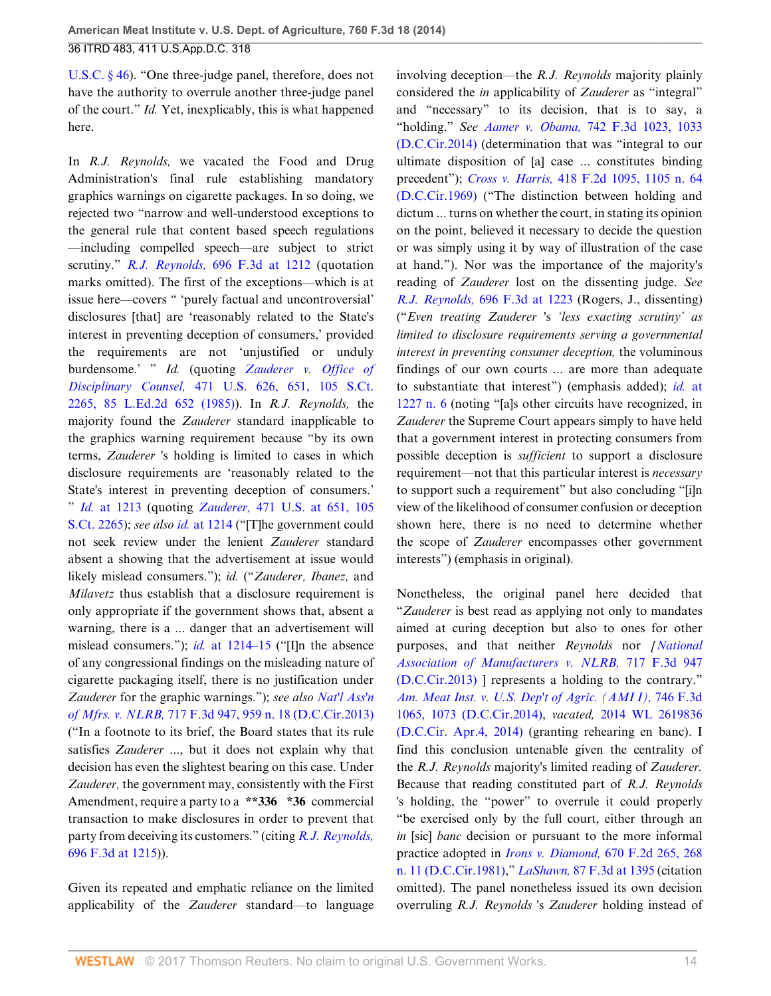[U.S.C. § 46\)](http://www.westlaw.com/Link/Document/FullText?findType=L&pubNum=1000546&cite=28USCAS46&originatingDoc=Ibd3810a6181711e490d4edf60ce7d742&refType=LQ&originationContext=document&vr=3.0&rs=cblt1.0&transitionType=DocumentItem&contextData=(sc.History*oc.UserEnteredCitation)). "One three-judge panel, therefore, does not have the authority to overrule another three-judge panel of the court." *Id.* Yet, inexplicably, this is what happened here.

In *R.J. Reynolds,* we vacated the Food and Drug Administration's final rule establishing mandatory graphics warnings on cigarette packages. In so doing, we rejected two "narrow and well-understood exceptions to the general rule that content based speech regulations —including compelled speech—are subject to strict scrutiny." *R.J. Reynolds,* [696 F.3d at 1212](http://www.westlaw.com/Link/Document/FullText?findType=Y&serNum=2028474677&pubNum=0000506&originatingDoc=Ibd3810a6181711e490d4edf60ce7d742&refType=RP&fi=co_pp_sp_506_1212&originationContext=document&vr=3.0&rs=cblt1.0&transitionType=DocumentItem&contextData=(sc.History*oc.UserEnteredCitation)#co_pp_sp_506_1212) (quotation marks omitted). The first of the exceptions—which is at issue here—covers " 'purely factual and uncontroversial' disclosures [that] are 'reasonably related to the State's interest in preventing deception of consumers,' provided the requirements are not 'unjustified or unduly burdensome.' " *Id.* (quoting *[Zauderer v. Office of](http://www.westlaw.com/Link/Document/FullText?findType=Y&serNum=1985126962&pubNum=0000708&originatingDoc=Ibd3810a6181711e490d4edf60ce7d742&refType=RP&originationContext=document&vr=3.0&rs=cblt1.0&transitionType=DocumentItem&contextData=(sc.History*oc.UserEnteredCitation)) Disciplinary Counsel,* [471 U.S. 626, 651, 105 S.Ct.](http://www.westlaw.com/Link/Document/FullText?findType=Y&serNum=1985126962&pubNum=0000708&originatingDoc=Ibd3810a6181711e490d4edf60ce7d742&refType=RP&originationContext=document&vr=3.0&rs=cblt1.0&transitionType=DocumentItem&contextData=(sc.History*oc.UserEnteredCitation)) [2265, 85 L.Ed.2d 652 \(1985\)\)](http://www.westlaw.com/Link/Document/FullText?findType=Y&serNum=1985126962&pubNum=0000708&originatingDoc=Ibd3810a6181711e490d4edf60ce7d742&refType=RP&originationContext=document&vr=3.0&rs=cblt1.0&transitionType=DocumentItem&contextData=(sc.History*oc.UserEnteredCitation)). In *R.J. Reynolds,* the majority found the *Zauderer* standard inapplicable to the graphics warning requirement because "by its own terms, *Zauderer* 's holding is limited to cases in which disclosure requirements are 'reasonably related to the State's interest in preventing deception of consumers.' " *Id.* [at 1213](http://www.westlaw.com/Link/Document/FullText?findType=Y&serNum=2028474677&pubNum=0000506&originatingDoc=Ibd3810a6181711e490d4edf60ce7d742&refType=RP&fi=co_pp_sp_506_1213&originationContext=document&vr=3.0&rs=cblt1.0&transitionType=DocumentItem&contextData=(sc.History*oc.UserEnteredCitation)#co_pp_sp_506_1213) (quoting *Zauderer,* [471 U.S. at 651, 105](http://www.westlaw.com/Link/Document/FullText?findType=Y&serNum=1985126962&pubNum=0000708&originatingDoc=Ibd3810a6181711e490d4edf60ce7d742&refType=RP&originationContext=document&vr=3.0&rs=cblt1.0&transitionType=DocumentItem&contextData=(sc.History*oc.UserEnteredCitation)) [S.Ct. 2265](http://www.westlaw.com/Link/Document/FullText?findType=Y&serNum=1985126962&pubNum=0000708&originatingDoc=Ibd3810a6181711e490d4edf60ce7d742&refType=RP&originationContext=document&vr=3.0&rs=cblt1.0&transitionType=DocumentItem&contextData=(sc.History*oc.UserEnteredCitation))); *see also id.* [at 1214](http://www.westlaw.com/Link/Document/FullText?findType=Y&serNum=2028474677&pubNum=0000506&originatingDoc=Ibd3810a6181711e490d4edf60ce7d742&refType=RP&fi=co_pp_sp_506_1214&originationContext=document&vr=3.0&rs=cblt1.0&transitionType=DocumentItem&contextData=(sc.History*oc.UserEnteredCitation)#co_pp_sp_506_1214) ("[T]he government could not seek review under the lenient *Zauderer* standard absent a showing that the advertisement at issue would likely mislead consumers."); *id.* ("*Zauderer, Ibanez,* and *Milavetz* thus establish that a disclosure requirement is only appropriate if the government shows that, absent a warning, there is a ... danger that an advertisement will mislead consumers."); *id.* [at 1214–15](http://www.westlaw.com/Link/Document/FullText?findType=Y&serNum=2028474677&pubNum=0000506&originatingDoc=Ibd3810a6181711e490d4edf60ce7d742&refType=RP&fi=co_pp_sp_506_1214&originationContext=document&vr=3.0&rs=cblt1.0&transitionType=DocumentItem&contextData=(sc.History*oc.UserEnteredCitation)#co_pp_sp_506_1214) ("[I]n the absence of any congressional findings on the misleading nature of cigarette packaging itself, there is no justification under *Zauderer* for the graphic warnings."); *see also [Nat'l Ass'n](http://www.westlaw.com/Link/Document/FullText?findType=Y&serNum=2030484118&pubNum=0000506&originatingDoc=Ibd3810a6181711e490d4edf60ce7d742&refType=RP&fi=co_pp_sp_506_959&originationContext=document&vr=3.0&rs=cblt1.0&transitionType=DocumentItem&contextData=(sc.History*oc.UserEnteredCitation)#co_pp_sp_506_959) of Mfrs. v. NLRB,* [717 F.3d 947, 959 n. 18 \(D.C.Cir.2013\)](http://www.westlaw.com/Link/Document/FullText?findType=Y&serNum=2030484118&pubNum=0000506&originatingDoc=Ibd3810a6181711e490d4edf60ce7d742&refType=RP&fi=co_pp_sp_506_959&originationContext=document&vr=3.0&rs=cblt1.0&transitionType=DocumentItem&contextData=(sc.History*oc.UserEnteredCitation)#co_pp_sp_506_959) ("In a footnote to its brief, the Board states that its rule satisfies *Zauderer* ..., but it does not explain why that decision has even the slightest bearing on this case. Under *Zauderer,* the government may, consistently with the First Amendment, require a party to a **\*\*336 \*36** commercial transaction to make disclosures in order to prevent that party from deceiving its customers." (citing *[R.J. Reynolds,](http://www.westlaw.com/Link/Document/FullText?findType=Y&serNum=2028474677&pubNum=0000506&originatingDoc=Ibd3810a6181711e490d4edf60ce7d742&refType=RP&fi=co_pp_sp_506_1215&originationContext=document&vr=3.0&rs=cblt1.0&transitionType=DocumentItem&contextData=(sc.History*oc.UserEnteredCitation)#co_pp_sp_506_1215)* [696 F.3d at 1215\)](http://www.westlaw.com/Link/Document/FullText?findType=Y&serNum=2028474677&pubNum=0000506&originatingDoc=Ibd3810a6181711e490d4edf60ce7d742&refType=RP&fi=co_pp_sp_506_1215&originationContext=document&vr=3.0&rs=cblt1.0&transitionType=DocumentItem&contextData=(sc.History*oc.UserEnteredCitation)#co_pp_sp_506_1215)).

Given its repeated and emphatic reliance on the limited applicability of the *Zauderer* standard—to language involving deception—the *R.J. Reynolds* majority plainly considered the *in* applicability of *Zauderer* as "integral" and "necessary" to its decision, that is to say, a "holding." *See Aamer v. Obama,* [742 F.3d 1023, 1033](http://www.westlaw.com/Link/Document/FullText?findType=Y&serNum=2032696173&pubNum=0000506&originatingDoc=Ibd3810a6181711e490d4edf60ce7d742&refType=RP&fi=co_pp_sp_506_1033&originationContext=document&vr=3.0&rs=cblt1.0&transitionType=DocumentItem&contextData=(sc.History*oc.UserEnteredCitation)#co_pp_sp_506_1033) [\(D.C.Cir.2014\)](http://www.westlaw.com/Link/Document/FullText?findType=Y&serNum=2032696173&pubNum=0000506&originatingDoc=Ibd3810a6181711e490d4edf60ce7d742&refType=RP&fi=co_pp_sp_506_1033&originationContext=document&vr=3.0&rs=cblt1.0&transitionType=DocumentItem&contextData=(sc.History*oc.UserEnteredCitation)#co_pp_sp_506_1033) (determination that was "integral to our ultimate disposition of [a] case ... constitutes binding precedent"); *Cross v. Harris,* [418 F.2d 1095, 1105 n. 64](http://www.westlaw.com/Link/Document/FullText?findType=Y&serNum=1969101526&pubNum=0000350&originatingDoc=Ibd3810a6181711e490d4edf60ce7d742&refType=RP&fi=co_pp_sp_350_1105&originationContext=document&vr=3.0&rs=cblt1.0&transitionType=DocumentItem&contextData=(sc.History*oc.UserEnteredCitation)#co_pp_sp_350_1105) [\(D.C.Cir.1969\)](http://www.westlaw.com/Link/Document/FullText?findType=Y&serNum=1969101526&pubNum=0000350&originatingDoc=Ibd3810a6181711e490d4edf60ce7d742&refType=RP&fi=co_pp_sp_350_1105&originationContext=document&vr=3.0&rs=cblt1.0&transitionType=DocumentItem&contextData=(sc.History*oc.UserEnteredCitation)#co_pp_sp_350_1105) ("The distinction between holding and dictum ... turns on whether the court, in stating its opinion on the point, believed it necessary to decide the question or was simply using it by way of illustration of the case at hand."). Nor was the importance of the majority's reading of *Zauderer* lost on the dissenting judge. *See R.J. Reynolds,* [696 F.3d at 1223](http://www.westlaw.com/Link/Document/FullText?findType=Y&serNum=2028474677&pubNum=0000506&originatingDoc=Ibd3810a6181711e490d4edf60ce7d742&refType=RP&fi=co_pp_sp_506_1223&originationContext=document&vr=3.0&rs=cblt1.0&transitionType=DocumentItem&contextData=(sc.History*oc.UserEnteredCitation)#co_pp_sp_506_1223) (Rogers, J., dissenting) ("*Even treating Zauderer* 's *'less exacting scrutiny' as limited to disclosure requirements serving a governmental interest in preventing consumer deception,* the voluminous findings of our own courts ... are more than adequate to substantiate that interest") (emphasis added); *id.* [at](http://www.westlaw.com/Link/Document/FullText?findType=Y&serNum=2028474677&pubNum=0000506&originatingDoc=Ibd3810a6181711e490d4edf60ce7d742&refType=RP&fi=co_pp_sp_506_1227&originationContext=document&vr=3.0&rs=cblt1.0&transitionType=DocumentItem&contextData=(sc.History*oc.UserEnteredCitation)#co_pp_sp_506_1227) [1227 n. 6](http://www.westlaw.com/Link/Document/FullText?findType=Y&serNum=2028474677&pubNum=0000506&originatingDoc=Ibd3810a6181711e490d4edf60ce7d742&refType=RP&fi=co_pp_sp_506_1227&originationContext=document&vr=3.0&rs=cblt1.0&transitionType=DocumentItem&contextData=(sc.History*oc.UserEnteredCitation)#co_pp_sp_506_1227) (noting "[a]s other circuits have recognized, in *Zauderer* the Supreme Court appears simply to have held that a government interest in protecting consumers from possible deception is *sufficient* to support a disclosure requirement—not that this particular interest is *necessary* to support such a requirement" but also concluding "[i]n view of the likelihood of consumer confusion or deception shown here, there is no need to determine whether the scope of *Zauderer* encompasses other government interests") (emphasis in original).

Nonetheless, the original panel here decided that "*Zauderer* is best read as applying not only to mandates aimed at curing deception but also to ones for other purposes, and that neither *Reynolds* nor *[[National](http://www.westlaw.com/Link/Document/FullText?findType=Y&serNum=2030484118&pubNum=0000506&originatingDoc=Ibd3810a6181711e490d4edf60ce7d742&refType=RP&originationContext=document&vr=3.0&rs=cblt1.0&transitionType=DocumentItem&contextData=(sc.History*oc.UserEnteredCitation)) [Association of Manufacturers v. NLRB,](http://www.westlaw.com/Link/Document/FullText?findType=Y&serNum=2030484118&pubNum=0000506&originatingDoc=Ibd3810a6181711e490d4edf60ce7d742&refType=RP&originationContext=document&vr=3.0&rs=cblt1.0&transitionType=DocumentItem&contextData=(sc.History*oc.UserEnteredCitation))* 717 F.3d 947 [\(D.C.Cir.2013\)](http://www.westlaw.com/Link/Document/FullText?findType=Y&serNum=2030484118&pubNum=0000506&originatingDoc=Ibd3810a6181711e490d4edf60ce7d742&refType=RP&originationContext=document&vr=3.0&rs=cblt1.0&transitionType=DocumentItem&contextData=(sc.History*oc.UserEnteredCitation)) ] represents a holding to the contrary." *[Am. Meat Inst. v. U.S. Dep't of Agric. \(AMI I\),](http://www.westlaw.com/Link/Document/FullText?findType=Y&serNum=2032982812&pubNum=0000506&originatingDoc=Ibd3810a6181711e490d4edf60ce7d742&refType=RP&fi=co_pp_sp_506_1073&originationContext=document&vr=3.0&rs=cblt1.0&transitionType=DocumentItem&contextData=(sc.History*oc.UserEnteredCitation)#co_pp_sp_506_1073)* 746 F.3d [1065, 1073 \(D.C.Cir.2014\),](http://www.westlaw.com/Link/Document/FullText?findType=Y&serNum=2032982812&pubNum=0000506&originatingDoc=Ibd3810a6181711e490d4edf60ce7d742&refType=RP&fi=co_pp_sp_506_1073&originationContext=document&vr=3.0&rs=cblt1.0&transitionType=DocumentItem&contextData=(sc.History*oc.UserEnteredCitation)#co_pp_sp_506_1073) *vacated,* [2014 WL 2619836](http://www.westlaw.com/Link/Document/FullText?findType=Y&serNum=2033578464&pubNum=0000999&originatingDoc=Ibd3810a6181711e490d4edf60ce7d742&refType=RP&originationContext=document&vr=3.0&rs=cblt1.0&transitionType=DocumentItem&contextData=(sc.History*oc.UserEnteredCitation)) [\(D.C.Cir. Apr.4, 2014\)](http://www.westlaw.com/Link/Document/FullText?findType=Y&serNum=2033578464&pubNum=0000999&originatingDoc=Ibd3810a6181711e490d4edf60ce7d742&refType=RP&originationContext=document&vr=3.0&rs=cblt1.0&transitionType=DocumentItem&contextData=(sc.History*oc.UserEnteredCitation)) (granting rehearing en banc). I find this conclusion untenable given the centrality of the *R.J. Reynolds* majority's limited reading of *Zauderer.* Because that reading constituted part of *R.J. Reynolds* 's holding, the "power" to overrule it could properly "be exercised only by the full court, either through an *in* [sic] *banc* decision or pursuant to the more informal practice adopted in *Irons v. Diamond,* [670 F.2d 265, 268](http://www.westlaw.com/Link/Document/FullText?findType=Y&serNum=1982105994&pubNum=0000350&originatingDoc=Ibd3810a6181711e490d4edf60ce7d742&refType=RP&fi=co_pp_sp_350_268&originationContext=document&vr=3.0&rs=cblt1.0&transitionType=DocumentItem&contextData=(sc.History*oc.UserEnteredCitation)#co_pp_sp_350_268) [n. 11 \(D.C.Cir.1981\)](http://www.westlaw.com/Link/Document/FullText?findType=Y&serNum=1982105994&pubNum=0000350&originatingDoc=Ibd3810a6181711e490d4edf60ce7d742&refType=RP&fi=co_pp_sp_350_268&originationContext=document&vr=3.0&rs=cblt1.0&transitionType=DocumentItem&contextData=(sc.History*oc.UserEnteredCitation)#co_pp_sp_350_268)," *LaShawn,* [87 F.3d at 1395](http://www.westlaw.com/Link/Document/FullText?findType=Y&serNum=1996144010&pubNum=0000506&originatingDoc=Ibd3810a6181711e490d4edf60ce7d742&refType=RP&fi=co_pp_sp_506_1395&originationContext=document&vr=3.0&rs=cblt1.0&transitionType=DocumentItem&contextData=(sc.History*oc.UserEnteredCitation)#co_pp_sp_506_1395) (citation omitted). The panel nonetheless issued its own decision overruling *R.J. Reynolds* 's *Zauderer* holding instead of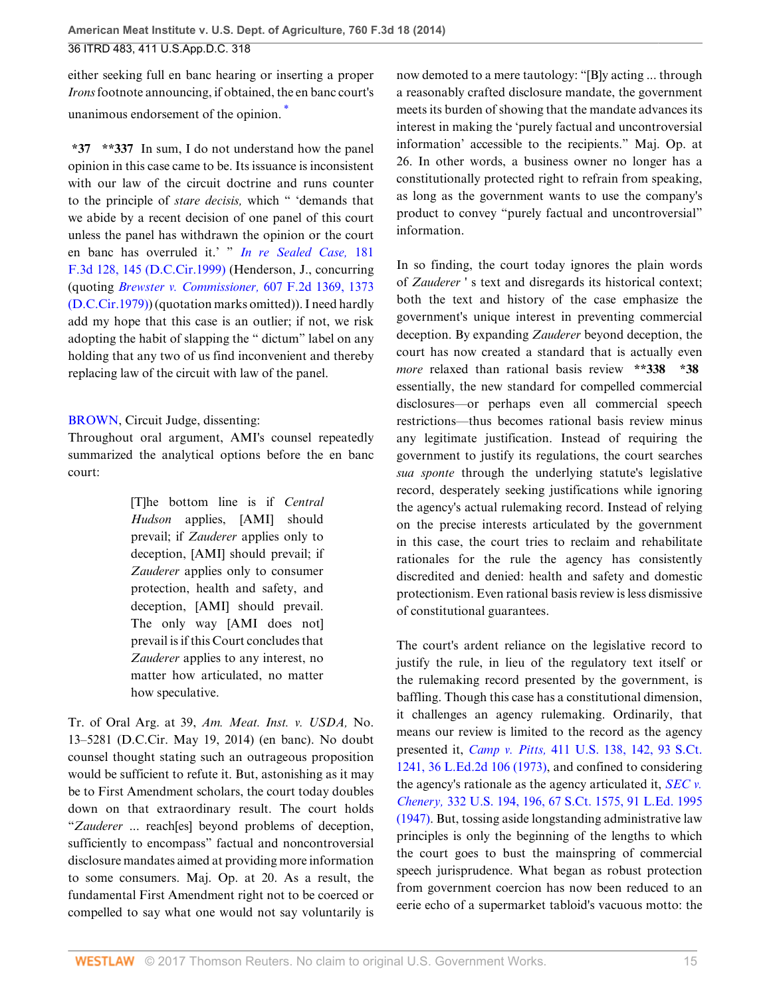either seeking full en banc hearing or inserting a proper *Irons* footnote announcing, if obtained, the en banc court's unanimous endorsement of the opinion. [\\*](#page-27-3)

**\*37 \*\*337** In sum, I do not understand how the panel opinion in this case came to be. Its issuance is inconsistent with our law of the circuit doctrine and runs counter to the principle of *stare decisis,* which " 'demands that we abide by a recent decision of one panel of this court unless the panel has withdrawn the opinion or the court en banc has overruled it.' " *[In re Sealed Case,](http://www.westlaw.com/Link/Document/FullText?findType=Y&serNum=1999149183&pubNum=0000506&originatingDoc=Ibd3810a6181711e490d4edf60ce7d742&refType=RP&fi=co_pp_sp_506_145&originationContext=document&vr=3.0&rs=cblt1.0&transitionType=DocumentItem&contextData=(sc.History*oc.UserEnteredCitation)#co_pp_sp_506_145)* 181 [F.3d 128, 145 \(D.C.Cir.1999\)](http://www.westlaw.com/Link/Document/FullText?findType=Y&serNum=1999149183&pubNum=0000506&originatingDoc=Ibd3810a6181711e490d4edf60ce7d742&refType=RP&fi=co_pp_sp_506_145&originationContext=document&vr=3.0&rs=cblt1.0&transitionType=DocumentItem&contextData=(sc.History*oc.UserEnteredCitation)#co_pp_sp_506_145) (Henderson, J., concurring (quoting *[Brewster v. Commissioner,](http://www.westlaw.com/Link/Document/FullText?findType=Y&serNum=1979115018&pubNum=0000350&originatingDoc=Ibd3810a6181711e490d4edf60ce7d742&refType=RP&fi=co_pp_sp_350_1373&originationContext=document&vr=3.0&rs=cblt1.0&transitionType=DocumentItem&contextData=(sc.History*oc.UserEnteredCitation)#co_pp_sp_350_1373)* 607 F.2d 1369, 1373 [\(D.C.Cir.1979\)\)](http://www.westlaw.com/Link/Document/FullText?findType=Y&serNum=1979115018&pubNum=0000350&originatingDoc=Ibd3810a6181711e490d4edf60ce7d742&refType=RP&fi=co_pp_sp_350_1373&originationContext=document&vr=3.0&rs=cblt1.0&transitionType=DocumentItem&contextData=(sc.History*oc.UserEnteredCitation)#co_pp_sp_350_1373) (quotation marks omitted)). I need hardly add my hope that this case is an outlier; if not, we risk adopting the habit of slapping the " dictum" label on any holding that any two of us find inconvenient and thereby replacing law of the circuit with law of the panel.

## [BROWN](http://www.westlaw.com/Link/Document/FullText?findType=h&pubNum=176284&cite=0120941401&originatingDoc=Ibd3810a6181711e490d4edf60ce7d742&refType=RQ&originationContext=document&vr=3.0&rs=cblt1.0&transitionType=DocumentItem&contextData=(sc.History*oc.UserEnteredCitation)), Circuit Judge, dissenting:

Throughout oral argument, AMI's counsel repeatedly summarized the analytical options before the en banc court:

> [T]he bottom line is if *Central Hudson* applies, [AMI] should prevail; if *Zauderer* applies only to deception, [AMI] should prevail; if *Zauderer* applies only to consumer protection, health and safety, and deception, [AMI] should prevail. The only way [AMI does not] prevail is if this Court concludes that *Zauderer* applies to any interest, no matter how articulated, no matter how speculative.

Tr. of Oral Arg. at 39, *Am. Meat. Inst. v. USDA,* No. 13–5281 (D.C.Cir. May 19, 2014) (en banc). No doubt counsel thought stating such an outrageous proposition would be sufficient to refute it. But, astonishing as it may be to First Amendment scholars, the court today doubles down on that extraordinary result. The court holds "*Zauderer* ... reach[es] beyond problems of deception, sufficiently to encompass" factual and noncontroversial disclosure mandates aimed at providing more information to some consumers. Maj. Op. at 20. As a result, the fundamental First Amendment right not to be coerced or compelled to say what one would not say voluntarily is

<span id="page-14-0"></span>now demoted to a mere tautology: "[B]y acting ... through a reasonably crafted disclosure mandate, the government meets its burden of showing that the mandate advances its interest in making the 'purely factual and uncontroversial information' accessible to the recipients." Maj. Op. at 26. In other words, a business owner no longer has a constitutionally protected right to refrain from speaking, as long as the government wants to use the company's product to convey "purely factual and uncontroversial" information.

In so finding, the court today ignores the plain words of *Zauderer* ' s text and disregards its historical context; both the text and history of the case emphasize the government's unique interest in preventing commercial deception. By expanding *Zauderer* beyond deception, the court has now created a standard that is actually even *more* relaxed than rational basis review **\*\*338 \*38** essentially, the new standard for compelled commercial disclosures—or perhaps even all commercial speech restrictions—thus becomes rational basis review minus any legitimate justification. Instead of requiring the government to justify its regulations, the court searches *sua sponte* through the underlying statute's legislative record, desperately seeking justifications while ignoring the agency's actual rulemaking record. Instead of relying on the precise interests articulated by the government in this case, the court tries to reclaim and rehabilitate rationales for the rule the agency has consistently discredited and denied: health and safety and domestic protectionism. Even rational basis review is less dismissive of constitutional guarantees.

The court's ardent reliance on the legislative record to justify the rule, in lieu of the regulatory text itself or the rulemaking record presented by the government, is baffling. Though this case has a constitutional dimension, it challenges an agency rulemaking. Ordinarily, that means our review is limited to the record as the agency presented it, *Camp v. Pitts,* [411 U.S. 138, 142, 93 S.Ct.](http://www.westlaw.com/Link/Document/FullText?findType=Y&serNum=1973126358&pubNum=0000708&originatingDoc=Ibd3810a6181711e490d4edf60ce7d742&refType=RP&originationContext=document&vr=3.0&rs=cblt1.0&transitionType=DocumentItem&contextData=(sc.History*oc.UserEnteredCitation)) [1241, 36 L.Ed.2d 106 \(1973\)](http://www.westlaw.com/Link/Document/FullText?findType=Y&serNum=1973126358&pubNum=0000708&originatingDoc=Ibd3810a6181711e490d4edf60ce7d742&refType=RP&originationContext=document&vr=3.0&rs=cblt1.0&transitionType=DocumentItem&contextData=(sc.History*oc.UserEnteredCitation)), and confined to considering the agency's rationale as the agency articulated it, *[SEC v.](http://www.westlaw.com/Link/Document/FullText?findType=Y&serNum=1947116758&pubNum=0000708&originatingDoc=Ibd3810a6181711e490d4edf60ce7d742&refType=RP&originationContext=document&vr=3.0&rs=cblt1.0&transitionType=DocumentItem&contextData=(sc.History*oc.UserEnteredCitation)) Chenery,* [332 U.S. 194, 196, 67 S.Ct. 1575, 91 L.Ed. 1995](http://www.westlaw.com/Link/Document/FullText?findType=Y&serNum=1947116758&pubNum=0000708&originatingDoc=Ibd3810a6181711e490d4edf60ce7d742&refType=RP&originationContext=document&vr=3.0&rs=cblt1.0&transitionType=DocumentItem&contextData=(sc.History*oc.UserEnteredCitation)) [\(1947\).](http://www.westlaw.com/Link/Document/FullText?findType=Y&serNum=1947116758&pubNum=0000708&originatingDoc=Ibd3810a6181711e490d4edf60ce7d742&refType=RP&originationContext=document&vr=3.0&rs=cblt1.0&transitionType=DocumentItem&contextData=(sc.History*oc.UserEnteredCitation)) But, tossing aside longstanding administrative law principles is only the beginning of the lengths to which the court goes to bust the mainspring of commercial speech jurisprudence. What began as robust protection from government coercion has now been reduced to an eerie echo of a supermarket tabloid's vacuous motto: the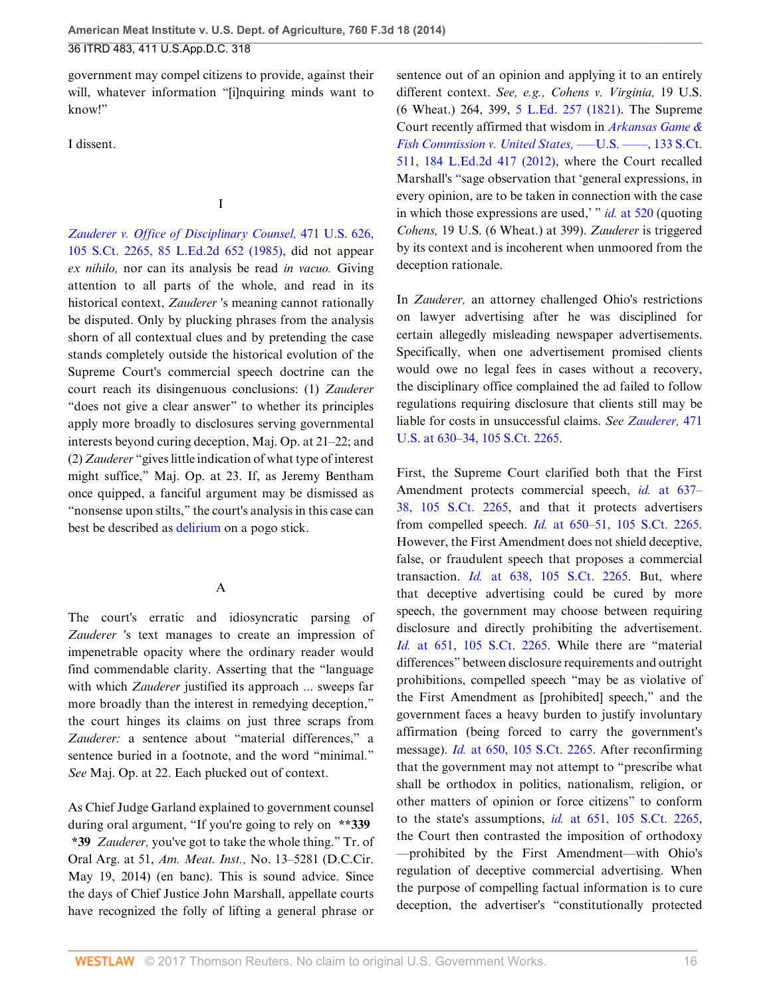government may compel citizens to provide, against their will, whatever information "[i]nquiring minds want to know!"

I dissent.

I

*[Zauderer v. Office of Disciplinary Counsel,](http://www.westlaw.com/Link/Document/FullText?findType=Y&serNum=1985126962&pubNum=0000708&originatingDoc=Ibd3810a6181711e490d4edf60ce7d742&refType=RP&originationContext=document&vr=3.0&rs=cblt1.0&transitionType=DocumentItem&contextData=(sc.History*oc.UserEnteredCitation))* 471 U.S. 626, [105 S.Ct. 2265, 85 L.Ed.2d 652 \(1985\)](http://www.westlaw.com/Link/Document/FullText?findType=Y&serNum=1985126962&pubNum=0000708&originatingDoc=Ibd3810a6181711e490d4edf60ce7d742&refType=RP&originationContext=document&vr=3.0&rs=cblt1.0&transitionType=DocumentItem&contextData=(sc.History*oc.UserEnteredCitation)), did not appear *ex nihilo,* nor can its analysis be read *in vacuo.* Giving attention to all parts of the whole, and read in its historical context, *Zauderer* 's meaning cannot rationally be disputed. Only by plucking phrases from the analysis shorn of all contextual clues and by pretending the case stands completely outside the historical evolution of the Supreme Court's commercial speech doctrine can the court reach its disingenuous conclusions: (1) *Zauderer* "does not give a clear answer" to whether its principles apply more broadly to disclosures serving governmental interests beyond curing deception, Maj. Op. at 21–22; and (2) *Zauderer* "gives little indication of what type of interest might suffice," Maj. Op. at 23. If, as Jeremy Bentham once quipped, a fanciful argument may be dismissed as "nonsense upon stilts," the court's analysis in this case can best be described as [delirium](http://www.westlaw.com/Link/Document/FullText?entityType=disease&entityId=Ib311e1c9475411db9765f9243f53508a&originationContext=document&transitionType=DocumentItem&contextData=(sc.Default)&vr=3.0&rs=cblt1.0) on a pogo stick.

A

The court's erratic and idiosyncratic parsing of *Zauderer* 's text manages to create an impression of impenetrable opacity where the ordinary reader would find commendable clarity. Asserting that the "language with which *Zauderer* justified its approach ... sweeps far more broadly than the interest in remedying deception," the court hinges its claims on just three scraps from *Zauderer:* a sentence about "material differences," a sentence buried in a footnote, and the word "minimal." *See* Maj. Op. at 22. Each plucked out of context.

As Chief Judge Garland explained to government counsel during oral argument, "If you're going to rely on **\*\*339 \*39** *Zauderer,* you've got to take the whole thing." Tr. of Oral Arg. at 51, *Am. Meat. Inst.,* No. 13–5281 (D.C.Cir. May 19, 2014) (en banc). This is sound advice. Since the days of Chief Justice John Marshall, appellate courts have recognized the folly of lifting a general phrase or

sentence out of an opinion and applying it to an entirely different context. *See, e.g., Cohens v. Virginia,* 19 U.S. (6 Wheat.) 264, 399, [5 L.Ed. 257 \(1821\).](http://www.westlaw.com/Link/Document/FullText?findType=Y&serNum=1821192734&pubNum=0000470&originatingDoc=Ibd3810a6181711e490d4edf60ce7d742&refType=RP&originationContext=document&vr=3.0&rs=cblt1.0&transitionType=DocumentItem&contextData=(sc.History*oc.UserEnteredCitation)) The Supreme Court recently affirmed that wisdom in *[Arkansas Game &](http://www.westlaw.com/Link/Document/FullText?findType=Y&serNum=2029330773&pubNum=0000708&originatingDoc=Ibd3810a6181711e490d4edf60ce7d742&refType=RP&originationContext=document&vr=3.0&rs=cblt1.0&transitionType=DocumentItem&contextData=(sc.History*oc.UserEnteredCitation)) [Fish Commission v. United States,](http://www.westlaw.com/Link/Document/FullText?findType=Y&serNum=2029330773&pubNum=0000708&originatingDoc=Ibd3810a6181711e490d4edf60ce7d742&refType=RP&originationContext=document&vr=3.0&rs=cblt1.0&transitionType=DocumentItem&contextData=(sc.History*oc.UserEnteredCitation)) -- U.S. -- , 133 S.Ct.* [511, 184 L.Ed.2d 417 \(2012\)](http://www.westlaw.com/Link/Document/FullText?findType=Y&serNum=2029330773&pubNum=0000708&originatingDoc=Ibd3810a6181711e490d4edf60ce7d742&refType=RP&originationContext=document&vr=3.0&rs=cblt1.0&transitionType=DocumentItem&contextData=(sc.History*oc.UserEnteredCitation)), where the Court recalled Marshall's "sage observation that 'general expressions, in every opinion, are to be taken in connection with the case in which those expressions are used,' " *id.* [at 520](http://www.westlaw.com/Link/Document/FullText?findType=Y&serNum=2029330773&pubNum=0000708&originatingDoc=Ibd3810a6181711e490d4edf60ce7d742&refType=RP&fi=co_pp_sp_708_520&originationContext=document&vr=3.0&rs=cblt1.0&transitionType=DocumentItem&contextData=(sc.History*oc.UserEnteredCitation)#co_pp_sp_708_520) (quoting *Cohens,* 19 U.S. (6 Wheat.) at 399). *Zauderer* is triggered by its context and is incoherent when unmoored from the deception rationale.

In *Zauderer,* an attorney challenged Ohio's restrictions on lawyer advertising after he was disciplined for certain allegedly misleading newspaper advertisements. Specifically, when one advertisement promised clients would owe no legal fees in cases without a recovery, the disciplinary office complained the ad failed to follow regulations requiring disclosure that clients still may be liable for costs in unsuccessful claims. *See [Zauderer,](http://www.westlaw.com/Link/Document/FullText?findType=Y&serNum=1985126962&pubNum=0000708&originatingDoc=Ibd3810a6181711e490d4edf60ce7d742&refType=RP&originationContext=document&vr=3.0&rs=cblt1.0&transitionType=DocumentItem&contextData=(sc.History*oc.UserEnteredCitation))* 471 [U.S. at 630–34, 105 S.Ct. 2265](http://www.westlaw.com/Link/Document/FullText?findType=Y&serNum=1985126962&pubNum=0000708&originatingDoc=Ibd3810a6181711e490d4edf60ce7d742&refType=RP&originationContext=document&vr=3.0&rs=cblt1.0&transitionType=DocumentItem&contextData=(sc.History*oc.UserEnteredCitation)).

First, the Supreme Court clarified both that the First Amendment protects commercial speech, *id.* [at 637–](http://www.westlaw.com/Link/Document/FullText?findType=Y&serNum=1985126962&pubNum=0000708&originatingDoc=Ibd3810a6181711e490d4edf60ce7d742&refType=RP&originationContext=document&vr=3.0&rs=cblt1.0&transitionType=DocumentItem&contextData=(sc.History*oc.UserEnteredCitation)) [38, 105 S.Ct. 2265,](http://www.westlaw.com/Link/Document/FullText?findType=Y&serNum=1985126962&pubNum=0000708&originatingDoc=Ibd3810a6181711e490d4edf60ce7d742&refType=RP&originationContext=document&vr=3.0&rs=cblt1.0&transitionType=DocumentItem&contextData=(sc.History*oc.UserEnteredCitation)) and that it protects advertisers from compelled speech. *Id.* [at 650–51, 105 S.Ct. 2265](http://www.westlaw.com/Link/Document/FullText?findType=Y&serNum=1985126962&pubNum=0000708&originatingDoc=Ibd3810a6181711e490d4edf60ce7d742&refType=RP&originationContext=document&vr=3.0&rs=cblt1.0&transitionType=DocumentItem&contextData=(sc.History*oc.UserEnteredCitation)). However, the First Amendment does not shield deceptive, false, or fraudulent speech that proposes a commercial transaction. *Id.* [at 638, 105 S.Ct. 2265.](http://www.westlaw.com/Link/Document/FullText?findType=Y&serNum=1985126962&pubNum=0000708&originatingDoc=Ibd3810a6181711e490d4edf60ce7d742&refType=RP&originationContext=document&vr=3.0&rs=cblt1.0&transitionType=DocumentItem&contextData=(sc.History*oc.UserEnteredCitation)) But, where that deceptive advertising could be cured by more speech, the government may choose between requiring disclosure and directly prohibiting the advertisement. *Id.* [at 651, 105 S.Ct. 2265.](http://www.westlaw.com/Link/Document/FullText?findType=Y&serNum=1985126962&pubNum=0000708&originatingDoc=Ibd3810a6181711e490d4edf60ce7d742&refType=RP&originationContext=document&vr=3.0&rs=cblt1.0&transitionType=DocumentItem&contextData=(sc.History*oc.UserEnteredCitation)) While there are "material differences" between disclosure requirements and outright prohibitions, compelled speech "may be as violative of the First Amendment as [prohibited] speech," and the government faces a heavy burden to justify involuntary affirmation (being forced to carry the government's message). *Id.* [at 650, 105 S.Ct. 2265.](http://www.westlaw.com/Link/Document/FullText?findType=Y&serNum=1985126962&pubNum=0000708&originatingDoc=Ibd3810a6181711e490d4edf60ce7d742&refType=RP&originationContext=document&vr=3.0&rs=cblt1.0&transitionType=DocumentItem&contextData=(sc.History*oc.UserEnteredCitation)) After reconfirming that the government may not attempt to "prescribe what shall be orthodox in politics, nationalism, religion, or other matters of opinion or force citizens" to conform to the state's assumptions, *id.* [at 651, 105 S.Ct. 2265](http://www.westlaw.com/Link/Document/FullText?findType=Y&serNum=1985126962&pubNum=0000708&originatingDoc=Ibd3810a6181711e490d4edf60ce7d742&refType=RP&originationContext=document&vr=3.0&rs=cblt1.0&transitionType=DocumentItem&contextData=(sc.History*oc.UserEnteredCitation)), the Court then contrasted the imposition of orthodoxy —prohibited by the First Amendment—with Ohio's regulation of deceptive commercial advertising. When the purpose of compelling factual information is to cure deception, the advertiser's "constitutionally protected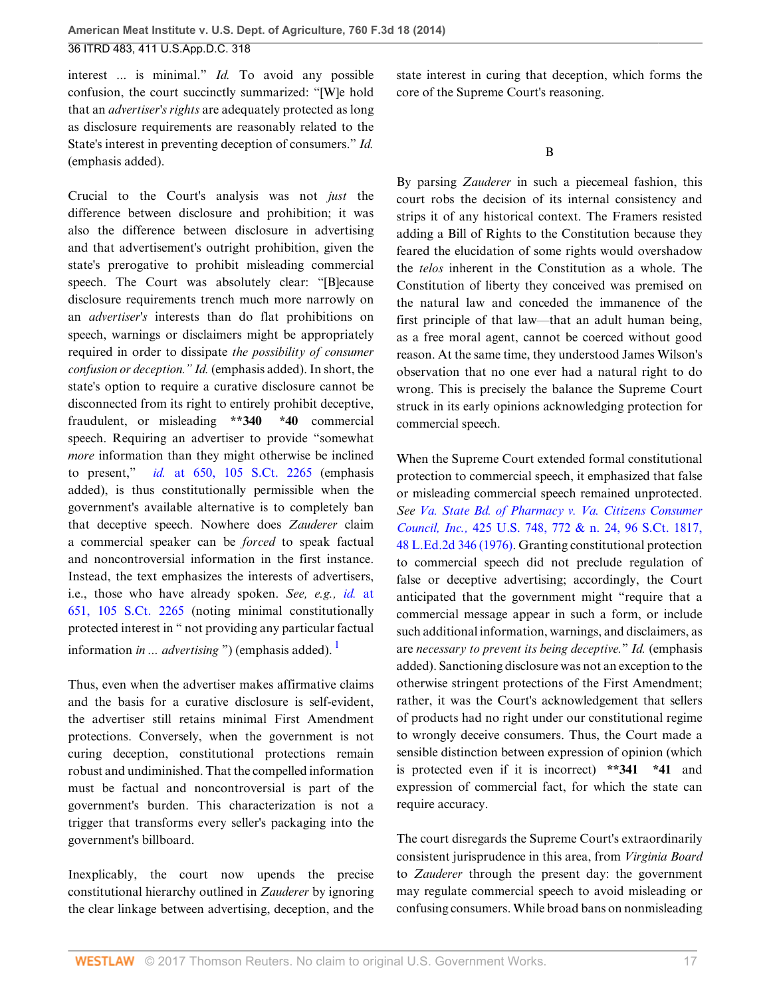interest ... is minimal." *Id.* To avoid any possible confusion, the court succinctly summarized: "[W]e hold that an *advertiser's rights* are adequately protected as long as disclosure requirements are reasonably related to the State's interest in preventing deception of consumers." *Id.* (emphasis added).

Crucial to the Court's analysis was not *just* the difference between disclosure and prohibition; it was also the difference between disclosure in advertising and that advertisement's outright prohibition, given the state's prerogative to prohibit misleading commercial speech. The Court was absolutely clear: "[B]ecause disclosure requirements trench much more narrowly on an *advertiser's* interests than do flat prohibitions on speech, warnings or disclaimers might be appropriately required in order to dissipate *the possibility of consumer confusion or deception." Id.* (emphasis added). In short, the state's option to require a curative disclosure cannot be disconnected from its right to entirely prohibit deceptive, fraudulent, or misleading **\*\*340 \*40** commercial speech. Requiring an advertiser to provide "somewhat *more* information than they might otherwise be inclined to present," *id.* [at 650, 105 S.Ct. 2265](http://www.westlaw.com/Link/Document/FullText?findType=Y&serNum=1985126962&pubNum=0000708&originatingDoc=Ibd3810a6181711e490d4edf60ce7d742&refType=RP&originationContext=document&vr=3.0&rs=cblt1.0&transitionType=DocumentItem&contextData=(sc.History*oc.UserEnteredCitation)) (emphasis added), is thus constitutionally permissible when the government's available alternative is to completely ban that deceptive speech. Nowhere does *Zauderer* claim a commercial speaker can be *forced* to speak factual and noncontroversial information in the first instance. Instead, the text emphasizes the interests of advertisers, i.e., those who have already spoken. *See, e.g., id.* [at](http://www.westlaw.com/Link/Document/FullText?findType=Y&serNum=1985126962&pubNum=0000708&originatingDoc=Ibd3810a6181711e490d4edf60ce7d742&refType=RP&originationContext=document&vr=3.0&rs=cblt1.0&transitionType=DocumentItem&contextData=(sc.History*oc.UserEnteredCitation)) [651, 105 S.Ct. 2265](http://www.westlaw.com/Link/Document/FullText?findType=Y&serNum=1985126962&pubNum=0000708&originatingDoc=Ibd3810a6181711e490d4edf60ce7d742&refType=RP&originationContext=document&vr=3.0&rs=cblt1.0&transitionType=DocumentItem&contextData=(sc.History*oc.UserEnteredCitation)) (noting minimal constitutionally protected interest in " not providing any particular factual information *in ... advertising* ") (emphasis added).<sup>[1](#page-27-4)</sup>

Thus, even when the advertiser makes affirmative claims and the basis for a curative disclosure is self-evident, the advertiser still retains minimal First Amendment protections. Conversely, when the government is not curing deception, constitutional protections remain robust and undiminished. That the compelled information must be factual and noncontroversial is part of the government's burden. This characterization is not a trigger that transforms every seller's packaging into the government's billboard.

Inexplicably, the court now upends the precise constitutional hierarchy outlined in *Zauderer* by ignoring the clear linkage between advertising, deception, and the

state interest in curing that deception, which forms the core of the Supreme Court's reasoning.

By parsing *Zauderer* in such a piecemeal fashion, this court robs the decision of its internal consistency and strips it of any historical context. The Framers resisted adding a Bill of Rights to the Constitution because they feared the elucidation of some rights would overshadow the *telos* inherent in the Constitution as a whole. The Constitution of liberty they conceived was premised on the natural law and conceded the immanence of the first principle of that law—that an adult human being, as a free moral agent, cannot be coerced without good reason. At the same time, they understood James Wilson's observation that no one ever had a natural right to do wrong. This is precisely the balance the Supreme Court struck in its early opinions acknowledging protection for commercial speech.

<span id="page-16-0"></span>When the Supreme Court extended formal constitutional protection to commercial speech, it emphasized that false or misleading commercial speech remained unprotected. *See [Va. State Bd. of Pharmacy v. Va. Citizens Consumer](http://www.westlaw.com/Link/Document/FullText?findType=Y&serNum=1976142375&pubNum=0000708&originatingDoc=Ibd3810a6181711e490d4edf60ce7d742&refType=RP&originationContext=document&vr=3.0&rs=cblt1.0&transitionType=DocumentItem&contextData=(sc.History*oc.UserEnteredCitation)) Council, Inc.,* [425 U.S. 748, 772 & n. 24, 96 S.Ct. 1817,](http://www.westlaw.com/Link/Document/FullText?findType=Y&serNum=1976142375&pubNum=0000708&originatingDoc=Ibd3810a6181711e490d4edf60ce7d742&refType=RP&originationContext=document&vr=3.0&rs=cblt1.0&transitionType=DocumentItem&contextData=(sc.History*oc.UserEnteredCitation)) [48 L.Ed.2d 346 \(1976\)](http://www.westlaw.com/Link/Document/FullText?findType=Y&serNum=1976142375&pubNum=0000708&originatingDoc=Ibd3810a6181711e490d4edf60ce7d742&refType=RP&originationContext=document&vr=3.0&rs=cblt1.0&transitionType=DocumentItem&contextData=(sc.History*oc.UserEnteredCitation)). Granting constitutional protection to commercial speech did not preclude regulation of false or deceptive advertising; accordingly, the Court anticipated that the government might "require that a commercial message appear in such a form, or include such additional information, warnings, and disclaimers, as are *necessary to prevent its being deceptive.*" *Id.* (emphasis added). Sanctioning disclosure was not an exception to the otherwise stringent protections of the First Amendment; rather, it was the Court's acknowledgement that sellers of products had no right under our constitutional regime to wrongly deceive consumers. Thus, the Court made a sensible distinction between expression of opinion (which is protected even if it is incorrect) **\*\*341 \*41** and expression of commercial fact, for which the state can require accuracy.

The court disregards the Supreme Court's extraordinarily consistent jurisprudence in this area, from *Virginia Board* to *Zauderer* through the present day: the government may regulate commercial speech to avoid misleading or confusing consumers. While broad bans on nonmisleading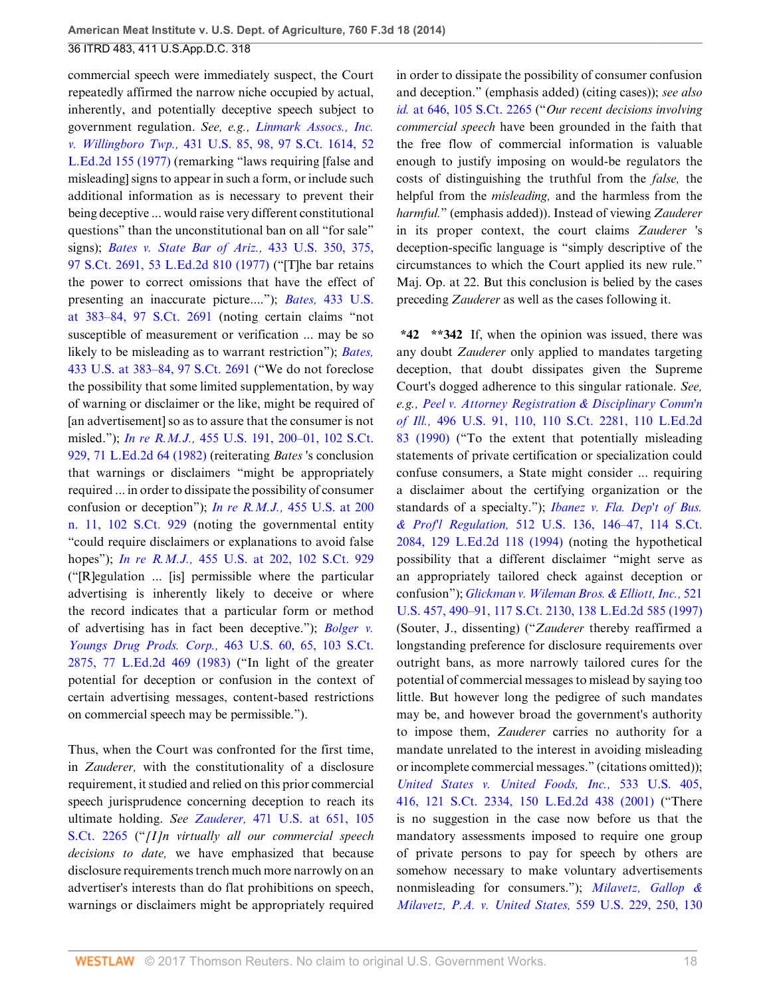commercial speech were immediately suspect, the Court repeatedly affirmed the narrow niche occupied by actual, inherently, and potentially deceptive speech subject to government regulation. *See, e.g., [Linmark Assocs., Inc.](http://www.westlaw.com/Link/Document/FullText?findType=Y&serNum=1977118771&pubNum=0000708&originatingDoc=Ibd3810a6181711e490d4edf60ce7d742&refType=RP&originationContext=document&vr=3.0&rs=cblt1.0&transitionType=DocumentItem&contextData=(sc.History*oc.UserEnteredCitation)) v. Willingboro Twp.,* [431 U.S. 85, 98, 97 S.Ct. 1614, 52](http://www.westlaw.com/Link/Document/FullText?findType=Y&serNum=1977118771&pubNum=0000708&originatingDoc=Ibd3810a6181711e490d4edf60ce7d742&refType=RP&originationContext=document&vr=3.0&rs=cblt1.0&transitionType=DocumentItem&contextData=(sc.History*oc.UserEnteredCitation)) [L.Ed.2d 155 \(1977\)](http://www.westlaw.com/Link/Document/FullText?findType=Y&serNum=1977118771&pubNum=0000708&originatingDoc=Ibd3810a6181711e490d4edf60ce7d742&refType=RP&originationContext=document&vr=3.0&rs=cblt1.0&transitionType=DocumentItem&contextData=(sc.History*oc.UserEnteredCitation)) (remarking "laws requiring [false and misleading] signs to appear in such a form, or include such additional information as is necessary to prevent their being deceptive ... would raise very different constitutional questions" than the unconstitutional ban on all "for sale" signs); *[Bates v. State Bar of Ariz.,](http://www.westlaw.com/Link/Document/FullText?findType=Y&serNum=1977118840&pubNum=0000708&originatingDoc=Ibd3810a6181711e490d4edf60ce7d742&refType=RP&originationContext=document&vr=3.0&rs=cblt1.0&transitionType=DocumentItem&contextData=(sc.History*oc.UserEnteredCitation))* 433 U.S. 350, 375, [97 S.Ct. 2691, 53 L.Ed.2d 810 \(1977\)](http://www.westlaw.com/Link/Document/FullText?findType=Y&serNum=1977118840&pubNum=0000708&originatingDoc=Ibd3810a6181711e490d4edf60ce7d742&refType=RP&originationContext=document&vr=3.0&rs=cblt1.0&transitionType=DocumentItem&contextData=(sc.History*oc.UserEnteredCitation)) ("[T]he bar retains the power to correct omissions that have the effect of presenting an inaccurate picture...."); *Bates,* [433 U.S.](http://www.westlaw.com/Link/Document/FullText?findType=Y&serNum=1977118840&pubNum=0000708&originatingDoc=Ibd3810a6181711e490d4edf60ce7d742&refType=RP&originationContext=document&vr=3.0&rs=cblt1.0&transitionType=DocumentItem&contextData=(sc.History*oc.UserEnteredCitation)) [at 383–84, 97 S.Ct. 2691](http://www.westlaw.com/Link/Document/FullText?findType=Y&serNum=1977118840&pubNum=0000708&originatingDoc=Ibd3810a6181711e490d4edf60ce7d742&refType=RP&originationContext=document&vr=3.0&rs=cblt1.0&transitionType=DocumentItem&contextData=(sc.History*oc.UserEnteredCitation)) (noting certain claims "not susceptible of measurement or verification ... may be so likely to be misleading as to warrant restriction"); *[Bates,](http://www.westlaw.com/Link/Document/FullText?findType=Y&serNum=1977118840&pubNum=0000708&originatingDoc=Ibd3810a6181711e490d4edf60ce7d742&refType=RP&originationContext=document&vr=3.0&rs=cblt1.0&transitionType=DocumentItem&contextData=(sc.History*oc.UserEnteredCitation))* [433 U.S. at 383–84, 97 S.Ct. 2691](http://www.westlaw.com/Link/Document/FullText?findType=Y&serNum=1977118840&pubNum=0000708&originatingDoc=Ibd3810a6181711e490d4edf60ce7d742&refType=RP&originationContext=document&vr=3.0&rs=cblt1.0&transitionType=DocumentItem&contextData=(sc.History*oc.UserEnteredCitation)) ("We do not foreclose the possibility that some limited supplementation, by way of warning or disclaimer or the like, might be required of [an advertisement] so as to assure that the consumer is not misled."); *In re R.M.J.,* [455 U.S. 191, 200–01, 102 S.Ct.](http://www.westlaw.com/Link/Document/FullText?findType=Y&serNum=1982103627&pubNum=0000708&originatingDoc=Ibd3810a6181711e490d4edf60ce7d742&refType=RP&originationContext=document&vr=3.0&rs=cblt1.0&transitionType=DocumentItem&contextData=(sc.History*oc.UserEnteredCitation)) [929, 71 L.Ed.2d 64 \(1982\)](http://www.westlaw.com/Link/Document/FullText?findType=Y&serNum=1982103627&pubNum=0000708&originatingDoc=Ibd3810a6181711e490d4edf60ce7d742&refType=RP&originationContext=document&vr=3.0&rs=cblt1.0&transitionType=DocumentItem&contextData=(sc.History*oc.UserEnteredCitation)) (reiterating *Bates* 's conclusion that warnings or disclaimers "might be appropriately required ... in order to dissipate the possibility of consumer confusion or deception"); *In re R.M.J.,* [455 U.S. at 200](http://www.westlaw.com/Link/Document/FullText?findType=Y&serNum=1982103627&pubNum=0000708&originatingDoc=Ibd3810a6181711e490d4edf60ce7d742&refType=RP&originationContext=document&vr=3.0&rs=cblt1.0&transitionType=DocumentItem&contextData=(sc.History*oc.UserEnteredCitation)) [n. 11, 102 S.Ct. 929](http://www.westlaw.com/Link/Document/FullText?findType=Y&serNum=1982103627&pubNum=0000708&originatingDoc=Ibd3810a6181711e490d4edf60ce7d742&refType=RP&originationContext=document&vr=3.0&rs=cblt1.0&transitionType=DocumentItem&contextData=(sc.History*oc.UserEnteredCitation)) (noting the governmental entity "could require disclaimers or explanations to avoid false hopes"); *In re R.M.J.,* [455 U.S. at 202, 102 S.Ct. 929](http://www.westlaw.com/Link/Document/FullText?findType=Y&serNum=1982103627&pubNum=0000708&originatingDoc=Ibd3810a6181711e490d4edf60ce7d742&refType=RP&originationContext=document&vr=3.0&rs=cblt1.0&transitionType=DocumentItem&contextData=(sc.History*oc.UserEnteredCitation)) ("[R]egulation ... [is] permissible where the particular advertising is inherently likely to deceive or where the record indicates that a particular form or method of advertising has in fact been deceptive."); *[Bolger v.](http://www.westlaw.com/Link/Document/FullText?findType=Y&serNum=1983129662&pubNum=0000708&originatingDoc=Ibd3810a6181711e490d4edf60ce7d742&refType=RP&originationContext=document&vr=3.0&rs=cblt1.0&transitionType=DocumentItem&contextData=(sc.History*oc.UserEnteredCitation)) Youngs Drug Prods. Corp.,* [463 U.S. 60, 65, 103 S.Ct.](http://www.westlaw.com/Link/Document/FullText?findType=Y&serNum=1983129662&pubNum=0000708&originatingDoc=Ibd3810a6181711e490d4edf60ce7d742&refType=RP&originationContext=document&vr=3.0&rs=cblt1.0&transitionType=DocumentItem&contextData=(sc.History*oc.UserEnteredCitation)) [2875, 77 L.Ed.2d 469 \(1983\)](http://www.westlaw.com/Link/Document/FullText?findType=Y&serNum=1983129662&pubNum=0000708&originatingDoc=Ibd3810a6181711e490d4edf60ce7d742&refType=RP&originationContext=document&vr=3.0&rs=cblt1.0&transitionType=DocumentItem&contextData=(sc.History*oc.UserEnteredCitation)) ("In light of the greater potential for deception or confusion in the context of certain advertising messages, content-based restrictions on commercial speech may be permissible.").

Thus, when the Court was confronted for the first time, in *Zauderer,* with the constitutionality of a disclosure requirement, it studied and relied on this prior commercial speech jurisprudence concerning deception to reach its ultimate holding. *See Zauderer,* [471 U.S. at 651, 105](http://www.westlaw.com/Link/Document/FullText?findType=Y&serNum=1985126962&pubNum=0000708&originatingDoc=Ibd3810a6181711e490d4edf60ce7d742&refType=RP&originationContext=document&vr=3.0&rs=cblt1.0&transitionType=DocumentItem&contextData=(sc.History*oc.UserEnteredCitation)) [S.Ct. 2265](http://www.westlaw.com/Link/Document/FullText?findType=Y&serNum=1985126962&pubNum=0000708&originatingDoc=Ibd3810a6181711e490d4edf60ce7d742&refType=RP&originationContext=document&vr=3.0&rs=cblt1.0&transitionType=DocumentItem&contextData=(sc.History*oc.UserEnteredCitation)) ("*[I]n virtually all our commercial speech decisions to date,* we have emphasized that because disclosure requirements trench much more narrowly on an advertiser's interests than do flat prohibitions on speech, warnings or disclaimers might be appropriately required

in order to dissipate the possibility of consumer confusion and deception." (emphasis added) (citing cases)); *see also id.* [at 646, 105 S.Ct. 2265](http://www.westlaw.com/Link/Document/FullText?findType=Y&serNum=1985126962&pubNum=0000708&originatingDoc=Ibd3810a6181711e490d4edf60ce7d742&refType=RP&originationContext=document&vr=3.0&rs=cblt1.0&transitionType=DocumentItem&contextData=(sc.History*oc.UserEnteredCitation)) ("*Our recent decisions involving commercial speech* have been grounded in the faith that the free flow of commercial information is valuable enough to justify imposing on would-be regulators the costs of distinguishing the truthful from the *false,* the helpful from the *misleading,* and the harmless from the *harmful.*" (emphasis added)). Instead of viewing *Zauderer* in its proper context, the court claims *Zauderer* 's deception-specific language is "simply descriptive of the circumstances to which the Court applied its new rule." Maj. Op. at 22. But this conclusion is belied by the cases preceding *Zauderer* as well as the cases following it.

**\*42 \*\*342** If, when the opinion was issued, there was any doubt *Zauderer* only applied to mandates targeting deception, that doubt dissipates given the Supreme Court's dogged adherence to this singular rationale. *See, e.g., [Peel v. Attorney Registration & Disciplinary Comm'n](http://www.westlaw.com/Link/Document/FullText?findType=Y&serNum=1990086724&pubNum=0000708&originatingDoc=Ibd3810a6181711e490d4edf60ce7d742&refType=RP&originationContext=document&vr=3.0&rs=cblt1.0&transitionType=DocumentItem&contextData=(sc.History*oc.UserEnteredCitation)) of Ill.,* [496 U.S. 91, 110, 110 S.Ct. 2281, 110 L.Ed.2d](http://www.westlaw.com/Link/Document/FullText?findType=Y&serNum=1990086724&pubNum=0000708&originatingDoc=Ibd3810a6181711e490d4edf60ce7d742&refType=RP&originationContext=document&vr=3.0&rs=cblt1.0&transitionType=DocumentItem&contextData=(sc.History*oc.UserEnteredCitation)) [83 \(1990\)](http://www.westlaw.com/Link/Document/FullText?findType=Y&serNum=1990086724&pubNum=0000708&originatingDoc=Ibd3810a6181711e490d4edf60ce7d742&refType=RP&originationContext=document&vr=3.0&rs=cblt1.0&transitionType=DocumentItem&contextData=(sc.History*oc.UserEnteredCitation)) ("To the extent that potentially misleading statements of private certification or specialization could confuse consumers, a State might consider ... requiring a disclaimer about the certifying organization or the standards of a specialty."); *[Ibanez v. Fla. Dep't of Bus.](http://www.westlaw.com/Link/Document/FullText?findType=Y&serNum=1994126963&pubNum=0000708&originatingDoc=Ibd3810a6181711e490d4edf60ce7d742&refType=RP&originationContext=document&vr=3.0&rs=cblt1.0&transitionType=DocumentItem&contextData=(sc.History*oc.UserEnteredCitation)) & Prof'l Regulation,* [512 U.S. 136, 146–47, 114 S.Ct.](http://www.westlaw.com/Link/Document/FullText?findType=Y&serNum=1994126963&pubNum=0000708&originatingDoc=Ibd3810a6181711e490d4edf60ce7d742&refType=RP&originationContext=document&vr=3.0&rs=cblt1.0&transitionType=DocumentItem&contextData=(sc.History*oc.UserEnteredCitation)) [2084, 129 L.Ed.2d 118 \(1994\)](http://www.westlaw.com/Link/Document/FullText?findType=Y&serNum=1994126963&pubNum=0000708&originatingDoc=Ibd3810a6181711e490d4edf60ce7d742&refType=RP&originationContext=document&vr=3.0&rs=cblt1.0&transitionType=DocumentItem&contextData=(sc.History*oc.UserEnteredCitation)) (noting the hypothetical possibility that a different disclaimer "might serve as an appropriately tailored check against deception or confusion"); *[Glickman v. Wileman Bros. & Elliott, Inc.,](http://www.westlaw.com/Link/Document/FullText?findType=Y&serNum=1997134126&pubNum=0000708&originatingDoc=Ibd3810a6181711e490d4edf60ce7d742&refType=RP&originationContext=document&vr=3.0&rs=cblt1.0&transitionType=DocumentItem&contextData=(sc.History*oc.UserEnteredCitation))* 521 [U.S. 457, 490–91, 117 S.Ct. 2130, 138 L.Ed.2d 585 \(1997\)](http://www.westlaw.com/Link/Document/FullText?findType=Y&serNum=1997134126&pubNum=0000708&originatingDoc=Ibd3810a6181711e490d4edf60ce7d742&refType=RP&originationContext=document&vr=3.0&rs=cblt1.0&transitionType=DocumentItem&contextData=(sc.History*oc.UserEnteredCitation)) (Souter, J., dissenting) ("*Zauderer* thereby reaffirmed a longstanding preference for disclosure requirements over outright bans, as more narrowly tailored cures for the potential of commercial messages to mislead by saying too little. But however long the pedigree of such mandates may be, and however broad the government's authority to impose them, *Zauderer* carries no authority for a mandate unrelated to the interest in avoiding misleading or incomplete commercial messages." (citations omitted)); *[United States v. United Foods, Inc.,](http://www.westlaw.com/Link/Document/FullText?findType=Y&serNum=2001536113&pubNum=0000708&originatingDoc=Ibd3810a6181711e490d4edf60ce7d742&refType=RP&originationContext=document&vr=3.0&rs=cblt1.0&transitionType=DocumentItem&contextData=(sc.History*oc.UserEnteredCitation))* 533 U.S. 405, [416, 121 S.Ct. 2334, 150 L.Ed.2d 438 \(2001\)](http://www.westlaw.com/Link/Document/FullText?findType=Y&serNum=2001536113&pubNum=0000708&originatingDoc=Ibd3810a6181711e490d4edf60ce7d742&refType=RP&originationContext=document&vr=3.0&rs=cblt1.0&transitionType=DocumentItem&contextData=(sc.History*oc.UserEnteredCitation)) ("There is no suggestion in the case now before us that the mandatory assessments imposed to require one group of private persons to pay for speech by others are somehow necessary to make voluntary advertisements nonmisleading for consumers."); *[Milavetz, Gallop &](http://www.westlaw.com/Link/Document/FullText?findType=Y&serNum=2021490121&pubNum=0000708&originatingDoc=Ibd3810a6181711e490d4edf60ce7d742&refType=RP&originationContext=document&vr=3.0&rs=cblt1.0&transitionType=DocumentItem&contextData=(sc.History*oc.UserEnteredCitation)) [Milavetz, P.A. v. United States,](http://www.westlaw.com/Link/Document/FullText?findType=Y&serNum=2021490121&pubNum=0000708&originatingDoc=Ibd3810a6181711e490d4edf60ce7d742&refType=RP&originationContext=document&vr=3.0&rs=cblt1.0&transitionType=DocumentItem&contextData=(sc.History*oc.UserEnteredCitation))* 559 U.S. 229, 250, 130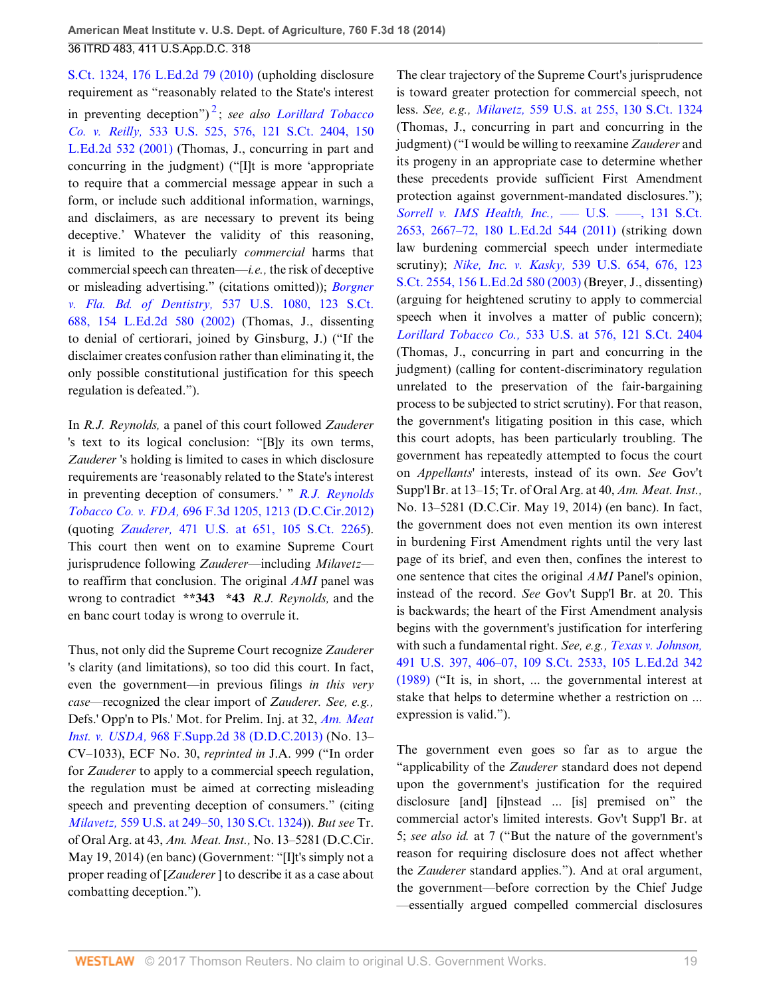<span id="page-18-0"></span>[S.Ct. 1324, 176 L.Ed.2d 79 \(2010\)](http://www.westlaw.com/Link/Document/FullText?findType=Y&serNum=2021490121&pubNum=0000708&originatingDoc=Ibd3810a6181711e490d4edf60ce7d742&refType=RP&originationContext=document&vr=3.0&rs=cblt1.0&transitionType=DocumentItem&contextData=(sc.History*oc.UserEnteredCitation)) (upholding disclosure requirement as "reasonably related to the State's interest in preventing deception") [2](#page-28-0) ; *see also [Lorillard Tobacco](http://www.westlaw.com/Link/Document/FullText?findType=Y&serNum=2001552278&pubNum=0000708&originatingDoc=Ibd3810a6181711e490d4edf60ce7d742&refType=RP&originationContext=document&vr=3.0&rs=cblt1.0&transitionType=DocumentItem&contextData=(sc.History*oc.UserEnteredCitation)) Co. v. Reilly,* [533 U.S. 525, 576, 121 S.Ct. 2404, 150](http://www.westlaw.com/Link/Document/FullText?findType=Y&serNum=2001552278&pubNum=0000708&originatingDoc=Ibd3810a6181711e490d4edf60ce7d742&refType=RP&originationContext=document&vr=3.0&rs=cblt1.0&transitionType=DocumentItem&contextData=(sc.History*oc.UserEnteredCitation)) [L.Ed.2d 532 \(2001\)](http://www.westlaw.com/Link/Document/FullText?findType=Y&serNum=2001552278&pubNum=0000708&originatingDoc=Ibd3810a6181711e490d4edf60ce7d742&refType=RP&originationContext=document&vr=3.0&rs=cblt1.0&transitionType=DocumentItem&contextData=(sc.History*oc.UserEnteredCitation)) (Thomas, J., concurring in part and concurring in the judgment) ("[I]t is more 'appropriate to require that a commercial message appear in such a form, or include such additional information, warnings, and disclaimers, as are necessary to prevent its being deceptive.' Whatever the validity of this reasoning, it is limited to the peculiarly *commercial* harms that commercial speech can threaten—*i.e.,* the risk of deceptive or misleading advertising." (citations omitted)); *[Borgner](http://www.westlaw.com/Link/Document/FullText?findType=Y&serNum=2002494923&pubNum=0000708&originatingDoc=Ibd3810a6181711e490d4edf60ce7d742&refType=RP&originationContext=document&vr=3.0&rs=cblt1.0&transitionType=DocumentItem&contextData=(sc.History*oc.UserEnteredCitation)) v. Fla. Bd. of Dentistry,* [537 U.S. 1080, 123 S.Ct.](http://www.westlaw.com/Link/Document/FullText?findType=Y&serNum=2002494923&pubNum=0000708&originatingDoc=Ibd3810a6181711e490d4edf60ce7d742&refType=RP&originationContext=document&vr=3.0&rs=cblt1.0&transitionType=DocumentItem&contextData=(sc.History*oc.UserEnteredCitation)) [688, 154 L.Ed.2d 580 \(2002\)](http://www.westlaw.com/Link/Document/FullText?findType=Y&serNum=2002494923&pubNum=0000708&originatingDoc=Ibd3810a6181711e490d4edf60ce7d742&refType=RP&originationContext=document&vr=3.0&rs=cblt1.0&transitionType=DocumentItem&contextData=(sc.History*oc.UserEnteredCitation)) (Thomas, J., dissenting to denial of certiorari, joined by Ginsburg, J.) ("If the disclaimer creates confusion rather than eliminating it, the only possible constitutional justification for this speech regulation is defeated.").

In *R.J. Reynolds,* a panel of this court followed *Zauderer* 's text to its logical conclusion: "[B]y its own terms, *Zauderer* 's holding is limited to cases in which disclosure requirements are 'reasonably related to the State's interest in preventing deception of consumers.' " *[R.J. Reynolds](http://www.westlaw.com/Link/Document/FullText?findType=Y&serNum=2028474677&pubNum=0000506&originatingDoc=Ibd3810a6181711e490d4edf60ce7d742&refType=RP&fi=co_pp_sp_506_1213&originationContext=document&vr=3.0&rs=cblt1.0&transitionType=DocumentItem&contextData=(sc.History*oc.UserEnteredCitation)#co_pp_sp_506_1213) Tobacco Co. v. FDA,* [696 F.3d 1205, 1213 \(D.C.Cir.2012\)](http://www.westlaw.com/Link/Document/FullText?findType=Y&serNum=2028474677&pubNum=0000506&originatingDoc=Ibd3810a6181711e490d4edf60ce7d742&refType=RP&fi=co_pp_sp_506_1213&originationContext=document&vr=3.0&rs=cblt1.0&transitionType=DocumentItem&contextData=(sc.History*oc.UserEnteredCitation)#co_pp_sp_506_1213) (quoting *Zauderer,* [471 U.S. at 651, 105 S.Ct. 2265\)](http://www.westlaw.com/Link/Document/FullText?findType=Y&serNum=1985126962&pubNum=0000708&originatingDoc=Ibd3810a6181711e490d4edf60ce7d742&refType=RP&originationContext=document&vr=3.0&rs=cblt1.0&transitionType=DocumentItem&contextData=(sc.History*oc.UserEnteredCitation)). This court then went on to examine Supreme Court jurisprudence following *Zauderer*—including *Milavetz* to reaffirm that conclusion. The original *AMI* panel was wrong to contradict **\*\*343 \*43** *R.J. Reynolds,* and the en banc court today is wrong to overrule it.

Thus, not only did the Supreme Court recognize *Zauderer* 's clarity (and limitations), so too did this court. In fact, even the government—in previous filings *in this very case*—recognized the clear import of *Zauderer. See, e.g.,* Defs.' Opp'n to Pls.' Mot. for Prelim. Inj. at 32, *[Am. Meat](http://www.westlaw.com/Link/Document/FullText?findType=Y&serNum=2031527722&pubNum=0004637&originatingDoc=Ibd3810a6181711e490d4edf60ce7d742&refType=RP&originationContext=document&vr=3.0&rs=cblt1.0&transitionType=DocumentItem&contextData=(sc.History*oc.UserEnteredCitation)) Inst. v. USDA,* [968 F.Supp.2d 38 \(D.D.C.2013\)](http://www.westlaw.com/Link/Document/FullText?findType=Y&serNum=2031527722&pubNum=0004637&originatingDoc=Ibd3810a6181711e490d4edf60ce7d742&refType=RP&originationContext=document&vr=3.0&rs=cblt1.0&transitionType=DocumentItem&contextData=(sc.History*oc.UserEnteredCitation)) (No. 13– CV–1033), ECF No. 30, *reprinted in* J.A. 999 ("In order for *Zauderer* to apply to a commercial speech regulation, the regulation must be aimed at correcting misleading speech and preventing deception of consumers." (citing *Milavetz,* [559 U.S. at 249–50, 130 S.Ct. 1324](http://www.westlaw.com/Link/Document/FullText?findType=Y&serNum=2021490121&pubNum=0000708&originatingDoc=Ibd3810a6181711e490d4edf60ce7d742&refType=RP&originationContext=document&vr=3.0&rs=cblt1.0&transitionType=DocumentItem&contextData=(sc.History*oc.UserEnteredCitation)))). *But see* Tr. of Oral Arg. at 43, *Am. Meat. Inst.,* No. 13–5281 (D.C.Cir. May 19, 2014) (en banc) (Government: "[I]t's simply not a proper reading of [*Zauderer* ] to describe it as a case about combatting deception.").

The clear trajectory of the Supreme Court's jurisprudence is toward greater protection for commercial speech, not less. *See, e.g., Milavetz,* [559 U.S. at 255, 130 S.Ct. 1324](http://www.westlaw.com/Link/Document/FullText?findType=Y&serNum=2021490121&pubNum=0000708&originatingDoc=Ibd3810a6181711e490d4edf60ce7d742&refType=RP&originationContext=document&vr=3.0&rs=cblt1.0&transitionType=DocumentItem&contextData=(sc.History*oc.UserEnteredCitation)) (Thomas, J., concurring in part and concurring in the judgment) ("I would be willing to reexamine *Zauderer* and its progeny in an appropriate case to determine whether these precedents provide sufficient First Amendment protection against government-mandated disclosures."); *[Sorrell v. IMS Health, Inc.,](http://www.westlaw.com/Link/Document/FullText?findType=Y&serNum=2025536619&pubNum=0000708&originatingDoc=Ibd3810a6181711e490d4edf60ce7d742&refType=RP&fi=co_pp_sp_708_2667&originationContext=document&vr=3.0&rs=cblt1.0&transitionType=DocumentItem&contextData=(sc.History*oc.UserEnteredCitation)#co_pp_sp_708_2667) — U.S. — , 131 S.Ct.* [2653, 2667–72, 180 L.Ed.2d 544 \(2011\)](http://www.westlaw.com/Link/Document/FullText?findType=Y&serNum=2025536619&pubNum=0000708&originatingDoc=Ibd3810a6181711e490d4edf60ce7d742&refType=RP&fi=co_pp_sp_708_2667&originationContext=document&vr=3.0&rs=cblt1.0&transitionType=DocumentItem&contextData=(sc.History*oc.UserEnteredCitation)#co_pp_sp_708_2667) (striking down law burdening commercial speech under intermediate scrutiny); *Nike, Inc. v. Kasky,* [539 U.S. 654, 676, 123](http://www.westlaw.com/Link/Document/FullText?findType=Y&serNum=2003452416&pubNum=0000708&originatingDoc=Ibd3810a6181711e490d4edf60ce7d742&refType=RP&originationContext=document&vr=3.0&rs=cblt1.0&transitionType=DocumentItem&contextData=(sc.History*oc.UserEnteredCitation)) [S.Ct. 2554, 156 L.Ed.2d 580 \(2003\)](http://www.westlaw.com/Link/Document/FullText?findType=Y&serNum=2003452416&pubNum=0000708&originatingDoc=Ibd3810a6181711e490d4edf60ce7d742&refType=RP&originationContext=document&vr=3.0&rs=cblt1.0&transitionType=DocumentItem&contextData=(sc.History*oc.UserEnteredCitation)) (Breyer, J., dissenting) (arguing for heightened scrutiny to apply to commercial speech when it involves a matter of public concern); *Lorillard Tobacco Co.,* [533 U.S. at 576, 121 S.Ct. 2404](http://www.westlaw.com/Link/Document/FullText?findType=Y&serNum=2001552278&pubNum=0000708&originatingDoc=Ibd3810a6181711e490d4edf60ce7d742&refType=RP&originationContext=document&vr=3.0&rs=cblt1.0&transitionType=DocumentItem&contextData=(sc.History*oc.UserEnteredCitation)) (Thomas, J., concurring in part and concurring in the judgment) (calling for content-discriminatory regulation unrelated to the preservation of the fair-bargaining process to be subjected to strict scrutiny). For that reason, the government's litigating position in this case, which this court adopts, has been particularly troubling. The government has repeatedly attempted to focus the court on *Appellants'* interests, instead of its own. *See* Gov't Supp'l Br. at 13–15; Tr. of Oral Arg. at 40, *Am. Meat. Inst.,* No. 13–5281 (D.C.Cir. May 19, 2014) (en banc). In fact, the government does not even mention its own interest in burdening First Amendment rights until the very last page of its brief, and even then, confines the interest to one sentence that cites the original *AMI* Panel's opinion, instead of the record. *See* Gov't Supp'l Br. at 20. This is backwards; the heart of the First Amendment analysis begins with the government's justification for interfering with such a fundamental right. *See, e.g., [Texas v. Johnson,](http://www.westlaw.com/Link/Document/FullText?findType=Y&serNum=1989092395&pubNum=0000708&originatingDoc=Ibd3810a6181711e490d4edf60ce7d742&refType=RP&originationContext=document&vr=3.0&rs=cblt1.0&transitionType=DocumentItem&contextData=(sc.History*oc.UserEnteredCitation))* [491 U.S. 397, 406–07, 109 S.Ct. 2533, 105 L.Ed.2d 342](http://www.westlaw.com/Link/Document/FullText?findType=Y&serNum=1989092395&pubNum=0000708&originatingDoc=Ibd3810a6181711e490d4edf60ce7d742&refType=RP&originationContext=document&vr=3.0&rs=cblt1.0&transitionType=DocumentItem&contextData=(sc.History*oc.UserEnteredCitation)) [\(1989\)](http://www.westlaw.com/Link/Document/FullText?findType=Y&serNum=1989092395&pubNum=0000708&originatingDoc=Ibd3810a6181711e490d4edf60ce7d742&refType=RP&originationContext=document&vr=3.0&rs=cblt1.0&transitionType=DocumentItem&contextData=(sc.History*oc.UserEnteredCitation)) ("It is, in short, ... the governmental interest at stake that helps to determine whether a restriction on ... expression is valid.").

The government even goes so far as to argue the "applicability of the *Zauderer* standard does not depend upon the government's justification for the required disclosure [and] [i]nstead ... [is] premised on" the commercial actor's limited interests. Gov't Supp'l Br. at 5; *see also id.* at 7 ("But the nature of the government's reason for requiring disclosure does not affect whether the *Zauderer* standard applies."). And at oral argument, the government—before correction by the Chief Judge —essentially argued compelled commercial disclosures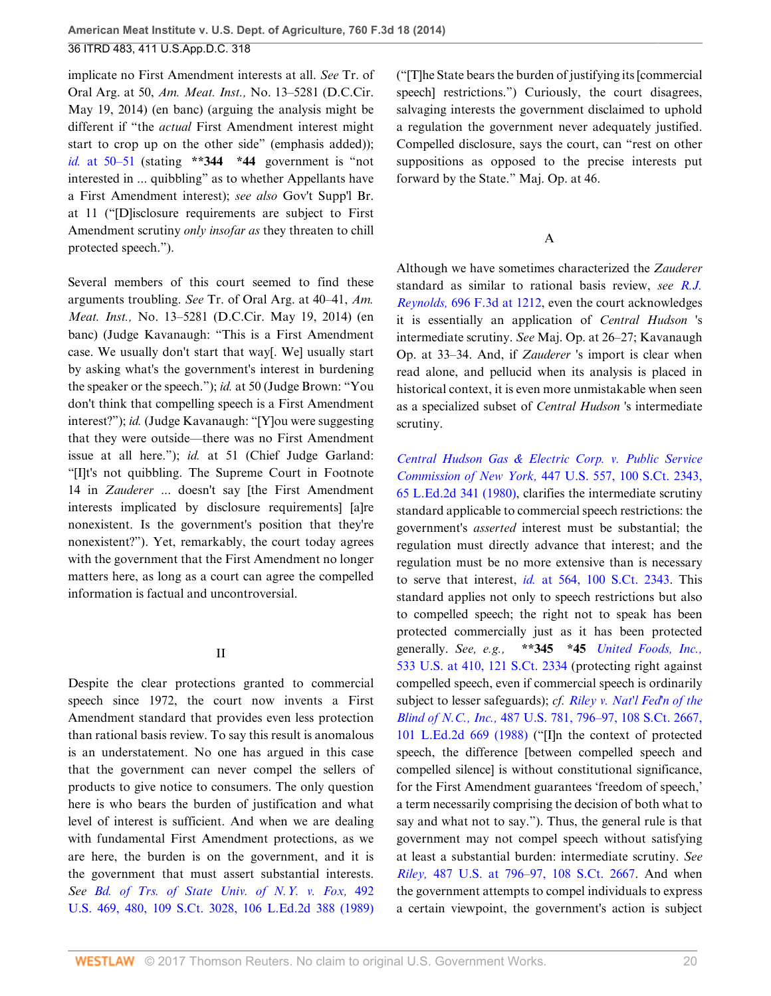implicate no First Amendment interests at all. *See* Tr. of Oral Arg. at 50, *Am. Meat. Inst.,* No. 13–5281 (D.C.Cir. May 19, 2014) (en banc) (arguing the analysis might be different if "the *actual* First Amendment interest might start to crop up on the other side" (emphasis added)); *id.* [at 50–51](http://www.westlaw.com/Link/Document/FullText?findType=Y&serNum=2031527722&pubNum=0004637&originatingDoc=Ibd3810a6181711e490d4edf60ce7d742&refType=RP&fi=co_pp_sp_4637_50&originationContext=document&vr=3.0&rs=cblt1.0&transitionType=DocumentItem&contextData=(sc.History*oc.UserEnteredCitation)#co_pp_sp_4637_50) (stating **\*\*344 \*44** government is "not interested in ... quibbling" as to whether Appellants have a First Amendment interest); *see also* Gov't Supp'l Br. at 11 ("[D]isclosure requirements are subject to First Amendment scrutiny *only insofar as* they threaten to chill protected speech.").

Several members of this court seemed to find these arguments troubling. *See* Tr. of Oral Arg. at 40–41, *Am. Meat. Inst.,* No. 13–5281 (D.C.Cir. May 19, 2014) (en banc) (Judge Kavanaugh: "This is a First Amendment case. We usually don't start that way[. We] usually start by asking what's the government's interest in burdening the speaker or the speech."); *id.* at 50 (Judge Brown: "You don't think that compelling speech is a First Amendment interest?"); *id.* (Judge Kavanaugh: "[Y]ou were suggesting that they were outside—there was no First Amendment issue at all here."); *id.* at 51 (Chief Judge Garland: "[I]t's not quibbling. The Supreme Court in Footnote 14 in *Zauderer* ... doesn't say [the First Amendment interests implicated by disclosure requirements] [a]re nonexistent. Is the government's position that they're nonexistent?"). Yet, remarkably, the court today agrees with the government that the First Amendment no longer matters here, as long as a court can agree the compelled information is factual and uncontroversial.

### II

Despite the clear protections granted to commercial speech since 1972, the court now invents a First Amendment standard that provides even less protection than rational basis review. To say this result is anomalous is an understatement. No one has argued in this case that the government can never compel the sellers of products to give notice to consumers. The only question here is who bears the burden of justification and what level of interest is sufficient. And when we are dealing with fundamental First Amendment protections, as we are here, the burden is on the government, and it is the government that must assert substantial interests. *See [Bd. of Trs. of State Univ. of N.Y. v. Fox,](http://www.westlaw.com/Link/Document/FullText?findType=Y&serNum=1989096929&pubNum=0000708&originatingDoc=Ibd3810a6181711e490d4edf60ce7d742&refType=RP&originationContext=document&vr=3.0&rs=cblt1.0&transitionType=DocumentItem&contextData=(sc.History*oc.UserEnteredCitation))* 492 [U.S. 469, 480, 109 S.Ct. 3028, 106 L.Ed.2d 388 \(1989\)](http://www.westlaw.com/Link/Document/FullText?findType=Y&serNum=1989096929&pubNum=0000708&originatingDoc=Ibd3810a6181711e490d4edf60ce7d742&refType=RP&originationContext=document&vr=3.0&rs=cblt1.0&transitionType=DocumentItem&contextData=(sc.History*oc.UserEnteredCitation)) ("[T]he State bears the burden of justifying its [commercial speech] restrictions.") Curiously, the court disagrees, salvaging interests the government disclaimed to uphold a regulation the government never adequately justified. Compelled disclosure, says the court, can "rest on other suppositions as opposed to the precise interests put forward by the State." Maj. Op. at 46.

# A

Although we have sometimes characterized the *Zauderer* standard as similar to rational basis review, *see [R.J.](http://www.westlaw.com/Link/Document/FullText?findType=Y&serNum=2028474677&pubNum=0000506&originatingDoc=Ibd3810a6181711e490d4edf60ce7d742&refType=RP&fi=co_pp_sp_506_1212&originationContext=document&vr=3.0&rs=cblt1.0&transitionType=DocumentItem&contextData=(sc.History*oc.UserEnteredCitation)#co_pp_sp_506_1212) Reynolds,* [696 F.3d at 1212](http://www.westlaw.com/Link/Document/FullText?findType=Y&serNum=2028474677&pubNum=0000506&originatingDoc=Ibd3810a6181711e490d4edf60ce7d742&refType=RP&fi=co_pp_sp_506_1212&originationContext=document&vr=3.0&rs=cblt1.0&transitionType=DocumentItem&contextData=(sc.History*oc.UserEnteredCitation)#co_pp_sp_506_1212), even the court acknowledges it is essentially an application of *Central Hudson* 's intermediate scrutiny. *See* Maj. Op. at 26–27; Kavanaugh Op. at 33–34. And, if *Zauderer* 's import is clear when read alone, and pellucid when its analysis is placed in historical context, it is even more unmistakable when seen as a specialized subset of *Central Hudson* 's intermediate scrutiny.

*[Central Hudson Gas & Electric Corp. v. Public Service](http://www.westlaw.com/Link/Document/FullText?findType=Y&serNum=1980116785&pubNum=0000708&originatingDoc=Ibd3810a6181711e490d4edf60ce7d742&refType=RP&originationContext=document&vr=3.0&rs=cblt1.0&transitionType=DocumentItem&contextData=(sc.History*oc.UserEnteredCitation)) Commission of New York,* [447 U.S. 557, 100 S.Ct. 2343,](http://www.westlaw.com/Link/Document/FullText?findType=Y&serNum=1980116785&pubNum=0000708&originatingDoc=Ibd3810a6181711e490d4edf60ce7d742&refType=RP&originationContext=document&vr=3.0&rs=cblt1.0&transitionType=DocumentItem&contextData=(sc.History*oc.UserEnteredCitation)) [65 L.Ed.2d 341 \(1980\)](http://www.westlaw.com/Link/Document/FullText?findType=Y&serNum=1980116785&pubNum=0000708&originatingDoc=Ibd3810a6181711e490d4edf60ce7d742&refType=RP&originationContext=document&vr=3.0&rs=cblt1.0&transitionType=DocumentItem&contextData=(sc.History*oc.UserEnteredCitation)), clarifies the intermediate scrutiny standard applicable to commercial speech restrictions: the government's *asserted* interest must be substantial; the regulation must directly advance that interest; and the regulation must be no more extensive than is necessary to serve that interest, *id.* [at 564, 100 S.Ct. 2343.](http://www.westlaw.com/Link/Document/FullText?findType=Y&serNum=1980116785&pubNum=0000708&originatingDoc=Ibd3810a6181711e490d4edf60ce7d742&refType=RP&originationContext=document&vr=3.0&rs=cblt1.0&transitionType=DocumentItem&contextData=(sc.History*oc.UserEnteredCitation)) This standard applies not only to speech restrictions but also to compelled speech; the right not to speak has been protected commercially just as it has been protected generally. *See, e.g.,* **\*\*345 \*45** *[United Foods, Inc.,](http://www.westlaw.com/Link/Document/FullText?findType=Y&serNum=2001536113&pubNum=0000708&originatingDoc=Ibd3810a6181711e490d4edf60ce7d742&refType=RP&originationContext=document&vr=3.0&rs=cblt1.0&transitionType=DocumentItem&contextData=(sc.History*oc.UserEnteredCitation))* [533 U.S. at 410, 121 S.Ct. 2334](http://www.westlaw.com/Link/Document/FullText?findType=Y&serNum=2001536113&pubNum=0000708&originatingDoc=Ibd3810a6181711e490d4edf60ce7d742&refType=RP&originationContext=document&vr=3.0&rs=cblt1.0&transitionType=DocumentItem&contextData=(sc.History*oc.UserEnteredCitation)) (protecting right against compelled speech, even if commercial speech is ordinarily subject to lesser safeguards); *cf. [Riley v. Nat'l Fed'n of the](http://www.westlaw.com/Link/Document/FullText?findType=Y&serNum=1988084194&pubNum=0000708&originatingDoc=Ibd3810a6181711e490d4edf60ce7d742&refType=RP&originationContext=document&vr=3.0&rs=cblt1.0&transitionType=DocumentItem&contextData=(sc.History*oc.UserEnteredCitation)) Blind of N.C., Inc.,* [487 U.S. 781, 796–97, 108 S.Ct. 2667,](http://www.westlaw.com/Link/Document/FullText?findType=Y&serNum=1988084194&pubNum=0000708&originatingDoc=Ibd3810a6181711e490d4edf60ce7d742&refType=RP&originationContext=document&vr=3.0&rs=cblt1.0&transitionType=DocumentItem&contextData=(sc.History*oc.UserEnteredCitation)) [101 L.Ed.2d 669 \(1988\)](http://www.westlaw.com/Link/Document/FullText?findType=Y&serNum=1988084194&pubNum=0000708&originatingDoc=Ibd3810a6181711e490d4edf60ce7d742&refType=RP&originationContext=document&vr=3.0&rs=cblt1.0&transitionType=DocumentItem&contextData=(sc.History*oc.UserEnteredCitation)) ("[I]n the context of protected speech, the difference [between compelled speech and compelled silence] is without constitutional significance, for the First Amendment guarantees 'freedom of speech,' a term necessarily comprising the decision of both what to say and what not to say."). Thus, the general rule is that government may not compel speech without satisfying at least a substantial burden: intermediate scrutiny. *See Riley,* [487 U.S. at 796–97, 108 S.Ct. 2667](http://www.westlaw.com/Link/Document/FullText?findType=Y&serNum=1988084194&pubNum=0000708&originatingDoc=Ibd3810a6181711e490d4edf60ce7d742&refType=RP&originationContext=document&vr=3.0&rs=cblt1.0&transitionType=DocumentItem&contextData=(sc.History*oc.UserEnteredCitation)). And when the government attempts to compel individuals to express a certain viewpoint, the government's action is subject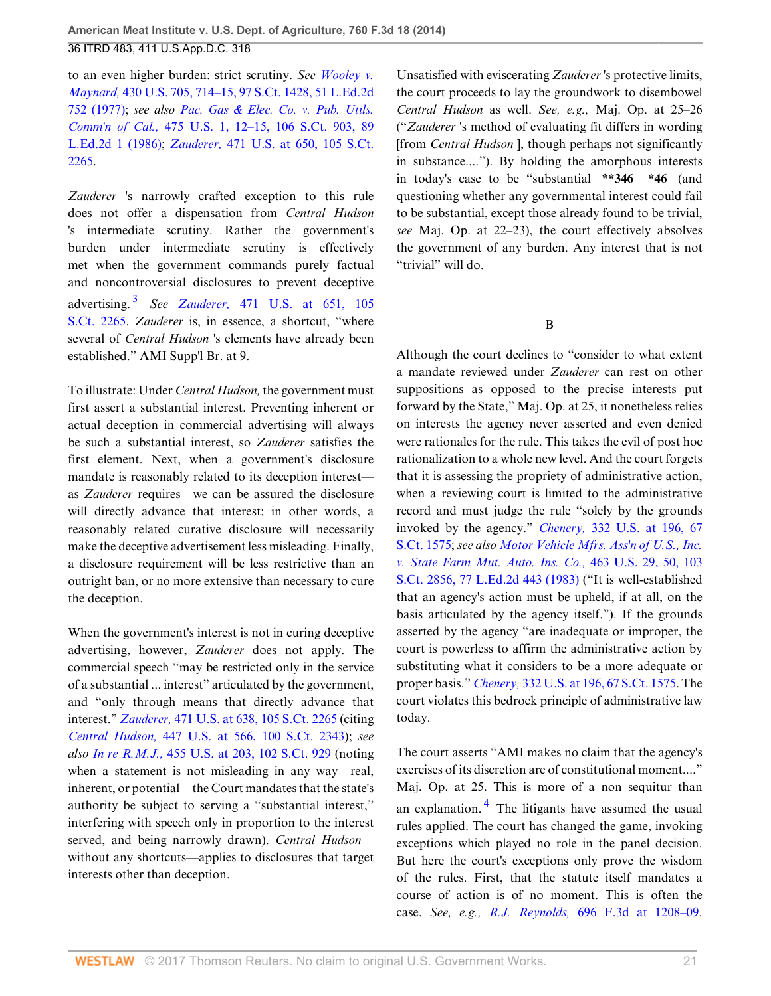to an even higher burden: strict scrutiny. *See [Wooley v.](http://www.westlaw.com/Link/Document/FullText?findType=Y&serNum=1977118764&pubNum=0000708&originatingDoc=Ibd3810a6181711e490d4edf60ce7d742&refType=RP&originationContext=document&vr=3.0&rs=cblt1.0&transitionType=DocumentItem&contextData=(sc.History*oc.UserEnteredCitation)) Maynard,* [430 U.S. 705, 714–15, 97 S.Ct. 1428, 51 L.Ed.2d](http://www.westlaw.com/Link/Document/FullText?findType=Y&serNum=1977118764&pubNum=0000708&originatingDoc=Ibd3810a6181711e490d4edf60ce7d742&refType=RP&originationContext=document&vr=3.0&rs=cblt1.0&transitionType=DocumentItem&contextData=(sc.History*oc.UserEnteredCitation)) [752 \(1977\)](http://www.westlaw.com/Link/Document/FullText?findType=Y&serNum=1977118764&pubNum=0000708&originatingDoc=Ibd3810a6181711e490d4edf60ce7d742&refType=RP&originationContext=document&vr=3.0&rs=cblt1.0&transitionType=DocumentItem&contextData=(sc.History*oc.UserEnteredCitation)); *see also [Pac. Gas & Elec. Co. v. Pub. Utils.](http://www.westlaw.com/Link/Document/FullText?findType=Y&serNum=1986109852&pubNum=0000708&originatingDoc=Ibd3810a6181711e490d4edf60ce7d742&refType=RP&originationContext=document&vr=3.0&rs=cblt1.0&transitionType=DocumentItem&contextData=(sc.History*oc.UserEnteredCitation)) Comm'n of Cal.,* [475 U.S. 1, 12–15, 106 S.Ct. 903, 89](http://www.westlaw.com/Link/Document/FullText?findType=Y&serNum=1986109852&pubNum=0000708&originatingDoc=Ibd3810a6181711e490d4edf60ce7d742&refType=RP&originationContext=document&vr=3.0&rs=cblt1.0&transitionType=DocumentItem&contextData=(sc.History*oc.UserEnteredCitation)) [L.Ed.2d 1 \(1986\)](http://www.westlaw.com/Link/Document/FullText?findType=Y&serNum=1986109852&pubNum=0000708&originatingDoc=Ibd3810a6181711e490d4edf60ce7d742&refType=RP&originationContext=document&vr=3.0&rs=cblt1.0&transitionType=DocumentItem&contextData=(sc.History*oc.UserEnteredCitation)); *Zauderer,* [471 U.S. at 650, 105 S.Ct.](http://www.westlaw.com/Link/Document/FullText?findType=Y&serNum=1985126962&pubNum=0000708&originatingDoc=Ibd3810a6181711e490d4edf60ce7d742&refType=RP&originationContext=document&vr=3.0&rs=cblt1.0&transitionType=DocumentItem&contextData=(sc.History*oc.UserEnteredCitation)) [2265](http://www.westlaw.com/Link/Document/FullText?findType=Y&serNum=1985126962&pubNum=0000708&originatingDoc=Ibd3810a6181711e490d4edf60ce7d742&refType=RP&originationContext=document&vr=3.0&rs=cblt1.0&transitionType=DocumentItem&contextData=(sc.History*oc.UserEnteredCitation)).

*Zauderer* 's narrowly crafted exception to this rule does not offer a dispensation from *Central Hudson* 's intermediate scrutiny. Rather the government's burden under intermediate scrutiny is effectively met when the government commands purely factual and noncontroversial disclosures to prevent deceptive advertising. [3](#page-28-1) *See Zauderer,* [471 U.S. at 651, 105](http://www.westlaw.com/Link/Document/FullText?findType=Y&serNum=1985126962&pubNum=0000708&originatingDoc=Ibd3810a6181711e490d4edf60ce7d742&refType=RP&originationContext=document&vr=3.0&rs=cblt1.0&transitionType=DocumentItem&contextData=(sc.History*oc.UserEnteredCitation)) [S.Ct. 2265.](http://www.westlaw.com/Link/Document/FullText?findType=Y&serNum=1985126962&pubNum=0000708&originatingDoc=Ibd3810a6181711e490d4edf60ce7d742&refType=RP&originationContext=document&vr=3.0&rs=cblt1.0&transitionType=DocumentItem&contextData=(sc.History*oc.UserEnteredCitation)) *Zauderer* is, in essence, a shortcut, "where several of *Central Hudson* 's elements have already been established." AMI Supp'l Br. at 9.

<span id="page-20-0"></span>To illustrate: Under *Central Hudson,* the government must first assert a substantial interest. Preventing inherent or actual deception in commercial advertising will always be such a substantial interest, so *Zauderer* satisfies the first element. Next, when a government's disclosure mandate is reasonably related to its deception interest as *Zauderer* requires—we can be assured the disclosure will directly advance that interest; in other words, a reasonably related curative disclosure will necessarily make the deceptive advertisement less misleading. Finally, a disclosure requirement will be less restrictive than an outright ban, or no more extensive than necessary to cure the deception.

When the government's interest is not in curing deceptive advertising, however, *Zauderer* does not apply. The commercial speech "may be restricted only in the service of a substantial ... interest" articulated by the government, and "only through means that directly advance that interest." *Zauderer,* [471 U.S. at 638, 105 S.Ct. 2265](http://www.westlaw.com/Link/Document/FullText?findType=Y&serNum=1985126962&pubNum=0000708&originatingDoc=Ibd3810a6181711e490d4edf60ce7d742&refType=RP&originationContext=document&vr=3.0&rs=cblt1.0&transitionType=DocumentItem&contextData=(sc.History*oc.UserEnteredCitation)) (citing *Central Hudson,* [447 U.S. at 566, 100 S.Ct. 2343\)](http://www.westlaw.com/Link/Document/FullText?findType=Y&serNum=1980116785&pubNum=0000708&originatingDoc=Ibd3810a6181711e490d4edf60ce7d742&refType=RP&originationContext=document&vr=3.0&rs=cblt1.0&transitionType=DocumentItem&contextData=(sc.History*oc.UserEnteredCitation)); *see also In re R.M.J.,* [455 U.S. at 203, 102 S.Ct. 929](http://www.westlaw.com/Link/Document/FullText?findType=Y&serNum=1982103627&pubNum=0000708&originatingDoc=Ibd3810a6181711e490d4edf60ce7d742&refType=RP&originationContext=document&vr=3.0&rs=cblt1.0&transitionType=DocumentItem&contextData=(sc.History*oc.UserEnteredCitation)) (noting when a statement is not misleading in any way—real, inherent, or potential—the Court mandates that the state's authority be subject to serving a "substantial interest," interfering with speech only in proportion to the interest served, and being narrowly drawn). *Central Hudson* without any shortcuts—applies to disclosures that target interests other than deception.

Unsatisfied with eviscerating *Zauderer* 's protective limits, the court proceeds to lay the groundwork to disembowel *Central Hudson* as well. *See, e.g.,* Maj. Op. at 25–26 ("*Zauderer* 's method of evaluating fit differs in wording [from *Central Hudson* ], though perhaps not significantly in substance...."). By holding the amorphous interests in today's case to be "substantial **\*\*346 \*46** (and questioning whether any governmental interest could fail to be substantial, except those already found to be trivial, *see* Maj. Op. at 22–23), the court effectively absolves the government of any burden. Any interest that is not "trivial" will do.

B

Although the court declines to "consider to what extent a mandate reviewed under *Zauderer* can rest on other suppositions as opposed to the precise interests put forward by the State," Maj. Op. at 25, it nonetheless relies on interests the agency never asserted and even denied were rationales for the rule. This takes the evil of post hoc rationalization to a whole new level. And the court forgets that it is assessing the propriety of administrative action, when a reviewing court is limited to the administrative record and must judge the rule "solely by the grounds invoked by the agency." *Chenery,* [332 U.S. at 196, 67](http://www.westlaw.com/Link/Document/FullText?findType=Y&serNum=1947116758&pubNum=0000708&originatingDoc=Ibd3810a6181711e490d4edf60ce7d742&refType=RP&originationContext=document&vr=3.0&rs=cblt1.0&transitionType=DocumentItem&contextData=(sc.History*oc.UserEnteredCitation)) [S.Ct. 1575](http://www.westlaw.com/Link/Document/FullText?findType=Y&serNum=1947116758&pubNum=0000708&originatingDoc=Ibd3810a6181711e490d4edf60ce7d742&refType=RP&originationContext=document&vr=3.0&rs=cblt1.0&transitionType=DocumentItem&contextData=(sc.History*oc.UserEnteredCitation)); *see also [Motor Vehicle Mfrs. Ass'n of U.S., Inc.](http://www.westlaw.com/Link/Document/FullText?findType=Y&serNum=1983129661&pubNum=0000708&originatingDoc=Ibd3810a6181711e490d4edf60ce7d742&refType=RP&originationContext=document&vr=3.0&rs=cblt1.0&transitionType=DocumentItem&contextData=(sc.History*oc.UserEnteredCitation)) [v. State Farm Mut. Auto. Ins. Co.,](http://www.westlaw.com/Link/Document/FullText?findType=Y&serNum=1983129661&pubNum=0000708&originatingDoc=Ibd3810a6181711e490d4edf60ce7d742&refType=RP&originationContext=document&vr=3.0&rs=cblt1.0&transitionType=DocumentItem&contextData=(sc.History*oc.UserEnteredCitation))* 463 U.S. 29, 50, 103 [S.Ct. 2856, 77 L.Ed.2d 443 \(1983\)](http://www.westlaw.com/Link/Document/FullText?findType=Y&serNum=1983129661&pubNum=0000708&originatingDoc=Ibd3810a6181711e490d4edf60ce7d742&refType=RP&originationContext=document&vr=3.0&rs=cblt1.0&transitionType=DocumentItem&contextData=(sc.History*oc.UserEnteredCitation)) ("It is well-established that an agency's action must be upheld, if at all, on the basis articulated by the agency itself."). If the grounds asserted by the agency "are inadequate or improper, the court is powerless to affirm the administrative action by substituting what it considers to be a more adequate or proper basis." *Chenery,* [332 U.S. at 196, 67 S.Ct. 1575.](http://www.westlaw.com/Link/Document/FullText?findType=Y&serNum=1947116758&pubNum=0000708&originatingDoc=Ibd3810a6181711e490d4edf60ce7d742&refType=RP&originationContext=document&vr=3.0&rs=cblt1.0&transitionType=DocumentItem&contextData=(sc.History*oc.UserEnteredCitation)) The court violates this bedrock principle of administrative law today.

<span id="page-20-1"></span>The court asserts "AMI makes no claim that the agency's exercises of its discretion are of constitutional moment...." Maj. Op. at 25. This is more of a non sequitur than an explanation.<sup>[4](#page-28-2)</sup> The litigants have assumed the usual rules applied. The court has changed the game, invoking exceptions which played no role in the panel decision. But here the court's exceptions only prove the wisdom of the rules. First, that the statute itself mandates a course of action is of no moment. This is often the case. *See, e.g., R.J. Reynolds,* [696 F.3d at 1208–09](http://www.westlaw.com/Link/Document/FullText?findType=Y&serNum=2028474677&pubNum=0000506&originatingDoc=Ibd3810a6181711e490d4edf60ce7d742&refType=RP&fi=co_pp_sp_506_1208&originationContext=document&vr=3.0&rs=cblt1.0&transitionType=DocumentItem&contextData=(sc.History*oc.UserEnteredCitation)#co_pp_sp_506_1208).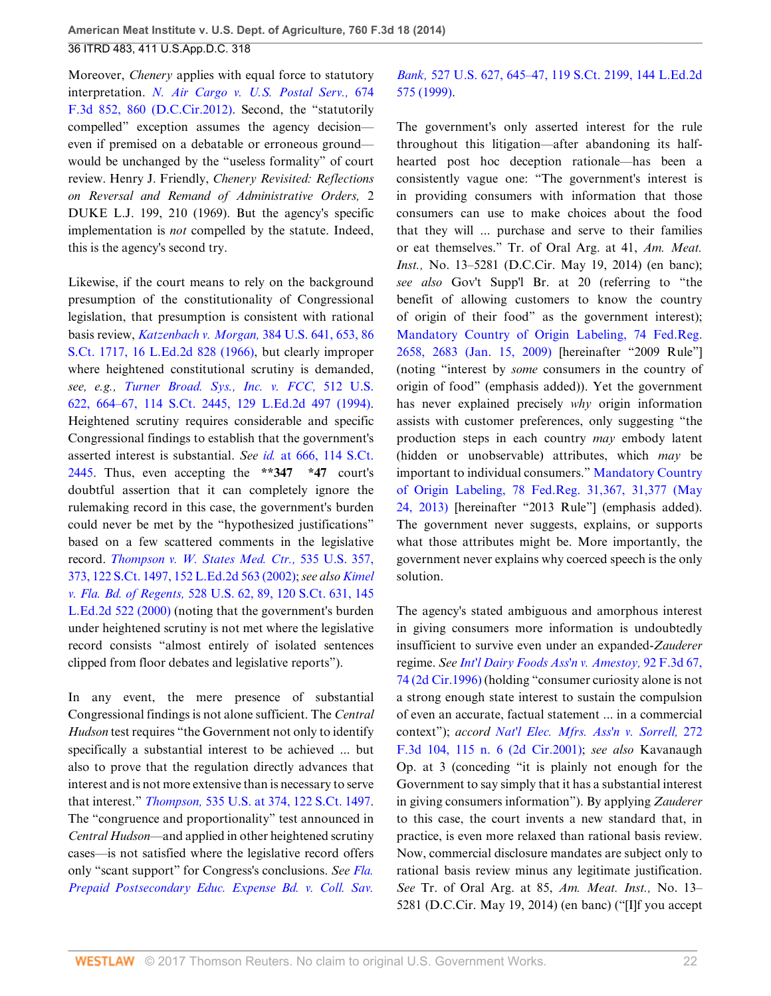Moreover, *Chenery* applies with equal force to statutory interpretation. *[N. Air Cargo v. U.S. Postal Serv.,](http://www.westlaw.com/Link/Document/FullText?findType=Y&serNum=2027427085&pubNum=0000506&originatingDoc=Ibd3810a6181711e490d4edf60ce7d742&refType=RP&fi=co_pp_sp_506_860&originationContext=document&vr=3.0&rs=cblt1.0&transitionType=DocumentItem&contextData=(sc.History*oc.UserEnteredCitation)#co_pp_sp_506_860)* 674 [F.3d 852, 860 \(D.C.Cir.2012\)](http://www.westlaw.com/Link/Document/FullText?findType=Y&serNum=2027427085&pubNum=0000506&originatingDoc=Ibd3810a6181711e490d4edf60ce7d742&refType=RP&fi=co_pp_sp_506_860&originationContext=document&vr=3.0&rs=cblt1.0&transitionType=DocumentItem&contextData=(sc.History*oc.UserEnteredCitation)#co_pp_sp_506_860). Second, the "statutorily compelled" exception assumes the agency decision even if premised on a debatable or erroneous ground would be unchanged by the "useless formality" of court review. Henry J. Friendly, *Chenery Revisited: Reflections on Reversal and Remand of Administrative Orders,* 2 DUKE L.J. 199, 210 (1969). But the agency's specific implementation is *not* compelled by the statute. Indeed, this is the agency's second try.

Likewise, if the court means to rely on the background presumption of the constitutionality of Congressional legislation, that presumption is consistent with rational basis review, *[Katzenbach v. Morgan,](http://www.westlaw.com/Link/Document/FullText?findType=Y&serNum=1966102945&pubNum=0000708&originatingDoc=Ibd3810a6181711e490d4edf60ce7d742&refType=RP&originationContext=document&vr=3.0&rs=cblt1.0&transitionType=DocumentItem&contextData=(sc.History*oc.UserEnteredCitation))* 384 U.S. 641, 653, 86 [S.Ct. 1717, 16 L.Ed.2d 828 \(1966\),](http://www.westlaw.com/Link/Document/FullText?findType=Y&serNum=1966102945&pubNum=0000708&originatingDoc=Ibd3810a6181711e490d4edf60ce7d742&refType=RP&originationContext=document&vr=3.0&rs=cblt1.0&transitionType=DocumentItem&contextData=(sc.History*oc.UserEnteredCitation)) but clearly improper where heightened constitutional scrutiny is demanded, *see, e.g., [Turner Broad. Sys., Inc. v. FCC,](http://www.westlaw.com/Link/Document/FullText?findType=Y&serNum=1994136435&pubNum=0000708&originatingDoc=Ibd3810a6181711e490d4edf60ce7d742&refType=RP&originationContext=document&vr=3.0&rs=cblt1.0&transitionType=DocumentItem&contextData=(sc.History*oc.UserEnteredCitation))* 512 U.S. [622, 664–67, 114 S.Ct. 2445, 129 L.Ed.2d 497 \(1994\)](http://www.westlaw.com/Link/Document/FullText?findType=Y&serNum=1994136435&pubNum=0000708&originatingDoc=Ibd3810a6181711e490d4edf60ce7d742&refType=RP&originationContext=document&vr=3.0&rs=cblt1.0&transitionType=DocumentItem&contextData=(sc.History*oc.UserEnteredCitation)). Heightened scrutiny requires considerable and specific Congressional findings to establish that the government's asserted interest is substantial. *See id.* [at 666, 114 S.Ct.](http://www.westlaw.com/Link/Document/FullText?findType=Y&serNum=1994136435&pubNum=0000708&originatingDoc=Ibd3810a6181711e490d4edf60ce7d742&refType=RP&originationContext=document&vr=3.0&rs=cblt1.0&transitionType=DocumentItem&contextData=(sc.History*oc.UserEnteredCitation)) [2445](http://www.westlaw.com/Link/Document/FullText?findType=Y&serNum=1994136435&pubNum=0000708&originatingDoc=Ibd3810a6181711e490d4edf60ce7d742&refType=RP&originationContext=document&vr=3.0&rs=cblt1.0&transitionType=DocumentItem&contextData=(sc.History*oc.UserEnteredCitation)). Thus, even accepting the **\*\*347 \*47** court's doubtful assertion that it can completely ignore the rulemaking record in this case, the government's burden could never be met by the "hypothesized justifications" based on a few scattered comments in the legislative record. *[Thompson v. W. States Med. Ctr.,](http://www.westlaw.com/Link/Document/FullText?findType=Y&serNum=2002263897&pubNum=0000708&originatingDoc=Ibd3810a6181711e490d4edf60ce7d742&refType=RP&originationContext=document&vr=3.0&rs=cblt1.0&transitionType=DocumentItem&contextData=(sc.History*oc.UserEnteredCitation))* 535 U.S. 357, [373, 122 S.Ct. 1497, 152 L.Ed.2d 563 \(2002\);](http://www.westlaw.com/Link/Document/FullText?findType=Y&serNum=2002263897&pubNum=0000708&originatingDoc=Ibd3810a6181711e490d4edf60ce7d742&refType=RP&originationContext=document&vr=3.0&rs=cblt1.0&transitionType=DocumentItem&contextData=(sc.History*oc.UserEnteredCitation)) *see also [Kimel](http://www.westlaw.com/Link/Document/FullText?findType=Y&serNum=2000028881&pubNum=0000708&originatingDoc=Ibd3810a6181711e490d4edf60ce7d742&refType=RP&originationContext=document&vr=3.0&rs=cblt1.0&transitionType=DocumentItem&contextData=(sc.History*oc.UserEnteredCitation)) v. Fla. Bd. of Regents,* [528 U.S. 62, 89, 120 S.Ct. 631, 145](http://www.westlaw.com/Link/Document/FullText?findType=Y&serNum=2000028881&pubNum=0000708&originatingDoc=Ibd3810a6181711e490d4edf60ce7d742&refType=RP&originationContext=document&vr=3.0&rs=cblt1.0&transitionType=DocumentItem&contextData=(sc.History*oc.UserEnteredCitation)) [L.Ed.2d 522 \(2000\)](http://www.westlaw.com/Link/Document/FullText?findType=Y&serNum=2000028881&pubNum=0000708&originatingDoc=Ibd3810a6181711e490d4edf60ce7d742&refType=RP&originationContext=document&vr=3.0&rs=cblt1.0&transitionType=DocumentItem&contextData=(sc.History*oc.UserEnteredCitation)) (noting that the government's burden under heightened scrutiny is not met where the legislative record consists "almost entirely of isolated sentences clipped from floor debates and legislative reports").

In any event, the mere presence of substantial Congressional findings is not alone sufficient. The *Central Hudson* test requires "the Government not only to identify specifically a substantial interest to be achieved ... but also to prove that the regulation directly advances that interest and is not more extensive than is necessary to serve that interest." *Thompson,* [535 U.S. at 374, 122 S.Ct. 1497](http://www.westlaw.com/Link/Document/FullText?findType=Y&serNum=2002263897&pubNum=0000708&originatingDoc=Ibd3810a6181711e490d4edf60ce7d742&refType=RP&originationContext=document&vr=3.0&rs=cblt1.0&transitionType=DocumentItem&contextData=(sc.History*oc.UserEnteredCitation)). The "congruence and proportionality" test announced in *Central Hudson*—and applied in other heightened scrutiny cases—is not satisfied where the legislative record offers only "scant support" for Congress's conclusions. *See [Fla.](http://www.westlaw.com/Link/Document/FullText?findType=Y&serNum=1999146905&pubNum=0000708&originatingDoc=Ibd3810a6181711e490d4edf60ce7d742&refType=RP&originationContext=document&vr=3.0&rs=cblt1.0&transitionType=DocumentItem&contextData=(sc.History*oc.UserEnteredCitation)) [Prepaid Postsecondary Educ. Expense Bd. v. Coll. Sav.](http://www.westlaw.com/Link/Document/FullText?findType=Y&serNum=1999146905&pubNum=0000708&originatingDoc=Ibd3810a6181711e490d4edf60ce7d742&refType=RP&originationContext=document&vr=3.0&rs=cblt1.0&transitionType=DocumentItem&contextData=(sc.History*oc.UserEnteredCitation))*

## *Bank,* [527 U.S. 627, 645–47, 119 S.Ct. 2199, 144 L.Ed.2d](http://www.westlaw.com/Link/Document/FullText?findType=Y&serNum=1999146905&pubNum=0000708&originatingDoc=Ibd3810a6181711e490d4edf60ce7d742&refType=RP&originationContext=document&vr=3.0&rs=cblt1.0&transitionType=DocumentItem&contextData=(sc.History*oc.UserEnteredCitation)) [575 \(1999\)](http://www.westlaw.com/Link/Document/FullText?findType=Y&serNum=1999146905&pubNum=0000708&originatingDoc=Ibd3810a6181711e490d4edf60ce7d742&refType=RP&originationContext=document&vr=3.0&rs=cblt1.0&transitionType=DocumentItem&contextData=(sc.History*oc.UserEnteredCitation)).

The government's only asserted interest for the rule throughout this litigation—after abandoning its halfhearted post hoc deception rationale—has been a consistently vague one: "The government's interest is in providing consumers with information that those consumers can use to make choices about the food that they will ... purchase and serve to their families or eat themselves." Tr. of Oral Arg. at 41, *Am. Meat. Inst.*, No. 13–5281 (D.C.Cir. May 19, 2014) (en banc); *see also* Gov't Supp'l Br. at 20 (referring to "the benefit of allowing customers to know the country of origin of their food" as the government interest); [Mandatory Country of Origin Labeling, 74 Fed.Reg.](http://www.westlaw.com/Link/Document/FullText?findType=l&pubNum=0001037&cite=UUID(I55F3E240E2FE11DDAACDD3115145B9BC)&originatingDoc=Ibd3810a6181711e490d4edf60ce7d742&refType=CP&fi=co_pp_sp_1037_2658&originationContext=document&vr=3.0&rs=cblt1.0&transitionType=DocumentItem&contextData=(sc.History*oc.UserEnteredCitation)#co_pp_sp_1037_2658) [2658, 2683 \(Jan. 15, 2009\)](http://www.westlaw.com/Link/Document/FullText?findType=l&pubNum=0001037&cite=UUID(I55F3E240E2FE11DDAACDD3115145B9BC)&originatingDoc=Ibd3810a6181711e490d4edf60ce7d742&refType=CP&fi=co_pp_sp_1037_2658&originationContext=document&vr=3.0&rs=cblt1.0&transitionType=DocumentItem&contextData=(sc.History*oc.UserEnteredCitation)#co_pp_sp_1037_2658) [hereinafter "2009 Rule"] (noting "interest by *some* consumers in the country of origin of food" (emphasis added)). Yet the government has never explained precisely *why* origin information assists with customer preferences, only suggesting "the production steps in each country *may* embody latent (hidden or unobservable) attributes, which *may* be important to individual consumers." [Mandatory Country](http://www.westlaw.com/Link/Document/FullText?findType=l&pubNum=0001037&cite=UUID(IF96D9BB0C43F11E2B7A4F439D27B8EF7)&originatingDoc=Ibd3810a6181711e490d4edf60ce7d742&refType=CP&fi=co_pp_sp_1037_31367&originationContext=document&vr=3.0&rs=cblt1.0&transitionType=DocumentItem&contextData=(sc.History*oc.UserEnteredCitation)#co_pp_sp_1037_31367) [of Origin Labeling, 78 Fed.Reg. 31,367, 31,377 \(May](http://www.westlaw.com/Link/Document/FullText?findType=l&pubNum=0001037&cite=UUID(IF96D9BB0C43F11E2B7A4F439D27B8EF7)&originatingDoc=Ibd3810a6181711e490d4edf60ce7d742&refType=CP&fi=co_pp_sp_1037_31367&originationContext=document&vr=3.0&rs=cblt1.0&transitionType=DocumentItem&contextData=(sc.History*oc.UserEnteredCitation)#co_pp_sp_1037_31367) [24, 2013\)](http://www.westlaw.com/Link/Document/FullText?findType=l&pubNum=0001037&cite=UUID(IF96D9BB0C43F11E2B7A4F439D27B8EF7)&originatingDoc=Ibd3810a6181711e490d4edf60ce7d742&refType=CP&fi=co_pp_sp_1037_31367&originationContext=document&vr=3.0&rs=cblt1.0&transitionType=DocumentItem&contextData=(sc.History*oc.UserEnteredCitation)#co_pp_sp_1037_31367) [hereinafter "2013 Rule"] (emphasis added). The government never suggests, explains, or supports what those attributes might be. More importantly, the government never explains why coerced speech is the only solution.

The agency's stated ambiguous and amorphous interest in giving consumers more information is undoubtedly insufficient to survive even under an expanded-*Zauderer* regime. *See [Int'l Dairy Foods Ass'n v. Amestoy,](http://www.westlaw.com/Link/Document/FullText?findType=Y&serNum=1996179932&pubNum=0000506&originatingDoc=Ibd3810a6181711e490d4edf60ce7d742&refType=RP&fi=co_pp_sp_506_74&originationContext=document&vr=3.0&rs=cblt1.0&transitionType=DocumentItem&contextData=(sc.History*oc.UserEnteredCitation)#co_pp_sp_506_74)* 92 F.3d 67, [74 \(2d Cir.1996\)](http://www.westlaw.com/Link/Document/FullText?findType=Y&serNum=1996179932&pubNum=0000506&originatingDoc=Ibd3810a6181711e490d4edf60ce7d742&refType=RP&fi=co_pp_sp_506_74&originationContext=document&vr=3.0&rs=cblt1.0&transitionType=DocumentItem&contextData=(sc.History*oc.UserEnteredCitation)#co_pp_sp_506_74) (holding "consumer curiosity alone is not a strong enough state interest to sustain the compulsion of even an accurate, factual statement ... in a commercial context"); *accord [Nat'l Elec. Mfrs. Ass'n v. Sorrell,](http://www.westlaw.com/Link/Document/FullText?findType=Y&serNum=2001934129&pubNum=0000506&originatingDoc=Ibd3810a6181711e490d4edf60ce7d742&refType=RP&fi=co_pp_sp_506_115&originationContext=document&vr=3.0&rs=cblt1.0&transitionType=DocumentItem&contextData=(sc.History*oc.UserEnteredCitation)#co_pp_sp_506_115)* 272 [F.3d 104, 115 n. 6 \(2d Cir.2001\)](http://www.westlaw.com/Link/Document/FullText?findType=Y&serNum=2001934129&pubNum=0000506&originatingDoc=Ibd3810a6181711e490d4edf60ce7d742&refType=RP&fi=co_pp_sp_506_115&originationContext=document&vr=3.0&rs=cblt1.0&transitionType=DocumentItem&contextData=(sc.History*oc.UserEnteredCitation)#co_pp_sp_506_115); *see also* Kavanaugh Op. at 3 (conceding "it is plainly not enough for the Government to say simply that it has a substantial interest in giving consumers information"). By applying *Zauderer* to this case, the court invents a new standard that, in practice, is even more relaxed than rational basis review. Now, commercial disclosure mandates are subject only to rational basis review minus any legitimate justification. *See* Tr. of Oral Arg. at 85, *Am. Meat. Inst.,* No. 13– 5281 (D.C.Cir. May 19, 2014) (en banc) ("[I]f you accept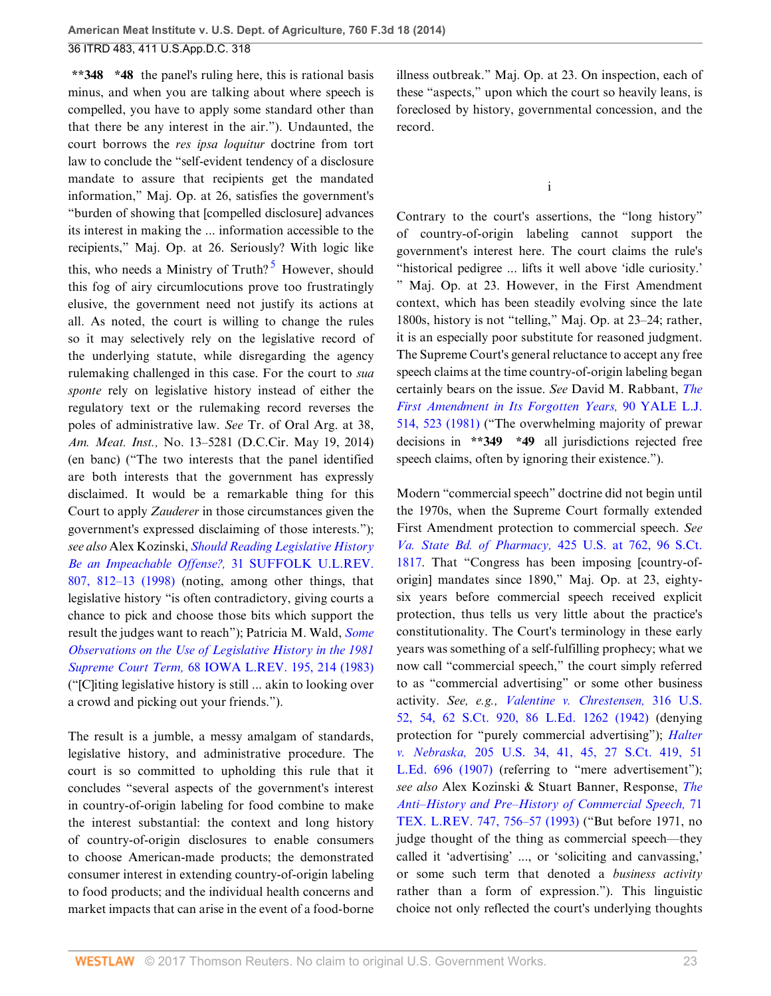**\*\*348 \*48** the panel's ruling here, this is rational basis minus, and when you are talking about where speech is compelled, you have to apply some standard other than that there be any interest in the air."). Undaunted, the court borrows the *res ipsa loquitur* doctrine from tort law to conclude the "self-evident tendency of a disclosure mandate to assure that recipients get the mandated information," Maj. Op. at 26, satisfies the government's "burden of showing that [compelled disclosure] advances its interest in making the ... information accessible to the recipients," Maj. Op. at 26. Seriously? With logic like this, who needs a Ministry of Truth?<sup>[5](#page-28-3)</sup> However, should this fog of airy circumlocutions prove too frustratingly elusive, the government need not justify its actions at all. As noted, the court is willing to change the rules so it may selectively rely on the legislative record of the underlying statute, while disregarding the agency rulemaking challenged in this case. For the court to *sua sponte* rely on legislative history instead of either the regulatory text or the rulemaking record reverses the poles of administrative law. *See* Tr. of Oral Arg. at 38, *Am. Meat. Inst.,* No. 13–5281 (D.C.Cir. May 19, 2014) (en banc) ("The two interests that the panel identified are both interests that the government has expressly disclaimed. It would be a remarkable thing for this Court to apply *Zauderer* in those circumstances given the government's expressed disclaiming of those interests."); *see also* Alex Kozinski, *[Should Reading Legislative History](http://www.westlaw.com/Link/Document/FullText?findType=Y&serNum=0111026723&pubNum=0001242&originatingDoc=Ibd3810a6181711e490d4edf60ce7d742&refType=LR&fi=co_pp_sp_1242_812&originationContext=document&vr=3.0&rs=cblt1.0&transitionType=DocumentItem&contextData=(sc.History*oc.UserEnteredCitation)#co_pp_sp_1242_812) [Be an Impeachable Offense?,](http://www.westlaw.com/Link/Document/FullText?findType=Y&serNum=0111026723&pubNum=0001242&originatingDoc=Ibd3810a6181711e490d4edf60ce7d742&refType=LR&fi=co_pp_sp_1242_812&originationContext=document&vr=3.0&rs=cblt1.0&transitionType=DocumentItem&contextData=(sc.History*oc.UserEnteredCitation)#co_pp_sp_1242_812)* 31 SUFFOLK U.L.REV. [807, 812–13 \(1998\)](http://www.westlaw.com/Link/Document/FullText?findType=Y&serNum=0111026723&pubNum=0001242&originatingDoc=Ibd3810a6181711e490d4edf60ce7d742&refType=LR&fi=co_pp_sp_1242_812&originationContext=document&vr=3.0&rs=cblt1.0&transitionType=DocumentItem&contextData=(sc.History*oc.UserEnteredCitation)#co_pp_sp_1242_812) (noting, among other things, that legislative history "is often contradictory, giving courts a chance to pick and choose those bits which support the result the judges want to reach"); Patricia M. Wald, *[Some](http://www.westlaw.com/Link/Document/FullText?findType=Y&serNum=0102600938&pubNum=0001168&originatingDoc=Ibd3810a6181711e490d4edf60ce7d742&refType=LR&fi=co_pp_sp_1168_214&originationContext=document&vr=3.0&rs=cblt1.0&transitionType=DocumentItem&contextData=(sc.History*oc.UserEnteredCitation)#co_pp_sp_1168_214) [Observations on the Use of Legislative History in the 1981](http://www.westlaw.com/Link/Document/FullText?findType=Y&serNum=0102600938&pubNum=0001168&originatingDoc=Ibd3810a6181711e490d4edf60ce7d742&refType=LR&fi=co_pp_sp_1168_214&originationContext=document&vr=3.0&rs=cblt1.0&transitionType=DocumentItem&contextData=(sc.History*oc.UserEnteredCitation)#co_pp_sp_1168_214) Supreme Court Term,* [68 IOWA L.REV. 195, 214 \(1983\)](http://www.westlaw.com/Link/Document/FullText?findType=Y&serNum=0102600938&pubNum=0001168&originatingDoc=Ibd3810a6181711e490d4edf60ce7d742&refType=LR&fi=co_pp_sp_1168_214&originationContext=document&vr=3.0&rs=cblt1.0&transitionType=DocumentItem&contextData=(sc.History*oc.UserEnteredCitation)#co_pp_sp_1168_214) ("[C]iting legislative history is still ... akin to looking over a crowd and picking out your friends.").

The result is a jumble, a messy amalgam of standards, legislative history, and administrative procedure. The court is so committed to upholding this rule that it concludes "several aspects of the government's interest in country-of-origin labeling for food combine to make the interest substantial: the context and long history of country-of-origin disclosures to enable consumers to choose American-made products; the demonstrated consumer interest in extending country-of-origin labeling to food products; and the individual health concerns and market impacts that can arise in the event of a food-borne illness outbreak." Maj. Op. at 23. On inspection, each of these "aspects," upon which the court so heavily leans, is foreclosed by history, governmental concession, and the record.

i

<span id="page-22-0"></span>Contrary to the court's assertions, the "long history" of country-of-origin labeling cannot support the government's interest here. The court claims the rule's "historical pedigree ... lifts it well above 'idle curiosity.' " Maj. Op. at 23. However, in the First Amendment context, which has been steadily evolving since the late 1800s, history is not "telling," Maj. Op. at 23–24; rather, it is an especially poor substitute for reasoned judgment. The Supreme Court's general reluctance to accept any free speech claims at the time country-of-origin labeling began certainly bears on the issue. *See* David M. Rabbant, *[The](http://www.westlaw.com/Link/Document/FullText?findType=Y&serNum=0332654077&pubNum=0001292&originatingDoc=Ibd3810a6181711e490d4edf60ce7d742&refType=LR&fi=co_pp_sp_1292_523&originationContext=document&vr=3.0&rs=cblt1.0&transitionType=DocumentItem&contextData=(sc.History*oc.UserEnteredCitation)#co_pp_sp_1292_523) [First Amendment in Its Forgotten Years,](http://www.westlaw.com/Link/Document/FullText?findType=Y&serNum=0332654077&pubNum=0001292&originatingDoc=Ibd3810a6181711e490d4edf60ce7d742&refType=LR&fi=co_pp_sp_1292_523&originationContext=document&vr=3.0&rs=cblt1.0&transitionType=DocumentItem&contextData=(sc.History*oc.UserEnteredCitation)#co_pp_sp_1292_523)* 90 YALE L.J. [514, 523 \(1981\)](http://www.westlaw.com/Link/Document/FullText?findType=Y&serNum=0332654077&pubNum=0001292&originatingDoc=Ibd3810a6181711e490d4edf60ce7d742&refType=LR&fi=co_pp_sp_1292_523&originationContext=document&vr=3.0&rs=cblt1.0&transitionType=DocumentItem&contextData=(sc.History*oc.UserEnteredCitation)#co_pp_sp_1292_523) ("The overwhelming majority of prewar decisions in **\*\*349 \*49** all jurisdictions rejected free speech claims, often by ignoring their existence.").

Modern "commercial speech" doctrine did not begin until the 1970s, when the Supreme Court formally extended First Amendment protection to commercial speech. *See [Va. State Bd. of Pharmacy,](http://www.westlaw.com/Link/Document/FullText?findType=Y&serNum=1976142375&pubNum=0000708&originatingDoc=Ibd3810a6181711e490d4edf60ce7d742&refType=RP&originationContext=document&vr=3.0&rs=cblt1.0&transitionType=DocumentItem&contextData=(sc.History*oc.UserEnteredCitation))* 425 U.S. at 762, 96 S.Ct. [1817](http://www.westlaw.com/Link/Document/FullText?findType=Y&serNum=1976142375&pubNum=0000708&originatingDoc=Ibd3810a6181711e490d4edf60ce7d742&refType=RP&originationContext=document&vr=3.0&rs=cblt1.0&transitionType=DocumentItem&contextData=(sc.History*oc.UserEnteredCitation)). That "Congress has been imposing [country-oforigin] mandates since 1890," Maj. Op. at 23, eightysix years before commercial speech received explicit protection, thus tells us very little about the practice's constitutionality. The Court's terminology in these early years was something of a self-fulfilling prophecy; what we now call "commercial speech," the court simply referred to as "commercial advertising" or some other business activity. *See, e.g., [Valentine v. Chrestensen,](http://www.westlaw.com/Link/Document/FullText?findType=Y&serNum=1942121646&pubNum=0000708&originatingDoc=Ibd3810a6181711e490d4edf60ce7d742&refType=RP&originationContext=document&vr=3.0&rs=cblt1.0&transitionType=DocumentItem&contextData=(sc.History*oc.UserEnteredCitation))* 316 U.S. [52, 54, 62 S.Ct. 920, 86 L.Ed. 1262 \(1942\)](http://www.westlaw.com/Link/Document/FullText?findType=Y&serNum=1942121646&pubNum=0000708&originatingDoc=Ibd3810a6181711e490d4edf60ce7d742&refType=RP&originationContext=document&vr=3.0&rs=cblt1.0&transitionType=DocumentItem&contextData=(sc.History*oc.UserEnteredCitation)) (denying protection for "purely commercial advertising"); *[Halter](http://www.westlaw.com/Link/Document/FullText?findType=Y&serNum=1907100562&pubNum=0000708&originatingDoc=Ibd3810a6181711e490d4edf60ce7d742&refType=RP&originationContext=document&vr=3.0&rs=cblt1.0&transitionType=DocumentItem&contextData=(sc.History*oc.UserEnteredCitation)) v. Nebraska,* [205 U.S. 34, 41, 45, 27 S.Ct. 419, 51](http://www.westlaw.com/Link/Document/FullText?findType=Y&serNum=1907100562&pubNum=0000708&originatingDoc=Ibd3810a6181711e490d4edf60ce7d742&refType=RP&originationContext=document&vr=3.0&rs=cblt1.0&transitionType=DocumentItem&contextData=(sc.History*oc.UserEnteredCitation)) [L.Ed. 696 \(1907\)](http://www.westlaw.com/Link/Document/FullText?findType=Y&serNum=1907100562&pubNum=0000708&originatingDoc=Ibd3810a6181711e490d4edf60ce7d742&refType=RP&originationContext=document&vr=3.0&rs=cblt1.0&transitionType=DocumentItem&contextData=(sc.History*oc.UserEnteredCitation)) (referring to "mere advertisement"); *see also* Alex Kozinski & Stuart Banner, Response, *[The](http://www.westlaw.com/Link/Document/FullText?findType=Y&serNum=0102734300&pubNum=0001251&originatingDoc=Ibd3810a6181711e490d4edf60ce7d742&refType=LR&fi=co_pp_sp_1251_756&originationContext=document&vr=3.0&rs=cblt1.0&transitionType=DocumentItem&contextData=(sc.History*oc.UserEnteredCitation)#co_pp_sp_1251_756) [Anti–History and Pre–History of Commercial Speech,](http://www.westlaw.com/Link/Document/FullText?findType=Y&serNum=0102734300&pubNum=0001251&originatingDoc=Ibd3810a6181711e490d4edf60ce7d742&refType=LR&fi=co_pp_sp_1251_756&originationContext=document&vr=3.0&rs=cblt1.0&transitionType=DocumentItem&contextData=(sc.History*oc.UserEnteredCitation)#co_pp_sp_1251_756)* 71 [TEX. L.REV. 747, 756–57 \(1993\)](http://www.westlaw.com/Link/Document/FullText?findType=Y&serNum=0102734300&pubNum=0001251&originatingDoc=Ibd3810a6181711e490d4edf60ce7d742&refType=LR&fi=co_pp_sp_1251_756&originationContext=document&vr=3.0&rs=cblt1.0&transitionType=DocumentItem&contextData=(sc.History*oc.UserEnteredCitation)#co_pp_sp_1251_756) ("But before 1971, no judge thought of the thing as commercial speech—they called it 'advertising' ..., or 'soliciting and canvassing,' or some such term that denoted a *business activity* rather than a form of expression."). This linguistic choice not only reflected the court's underlying thoughts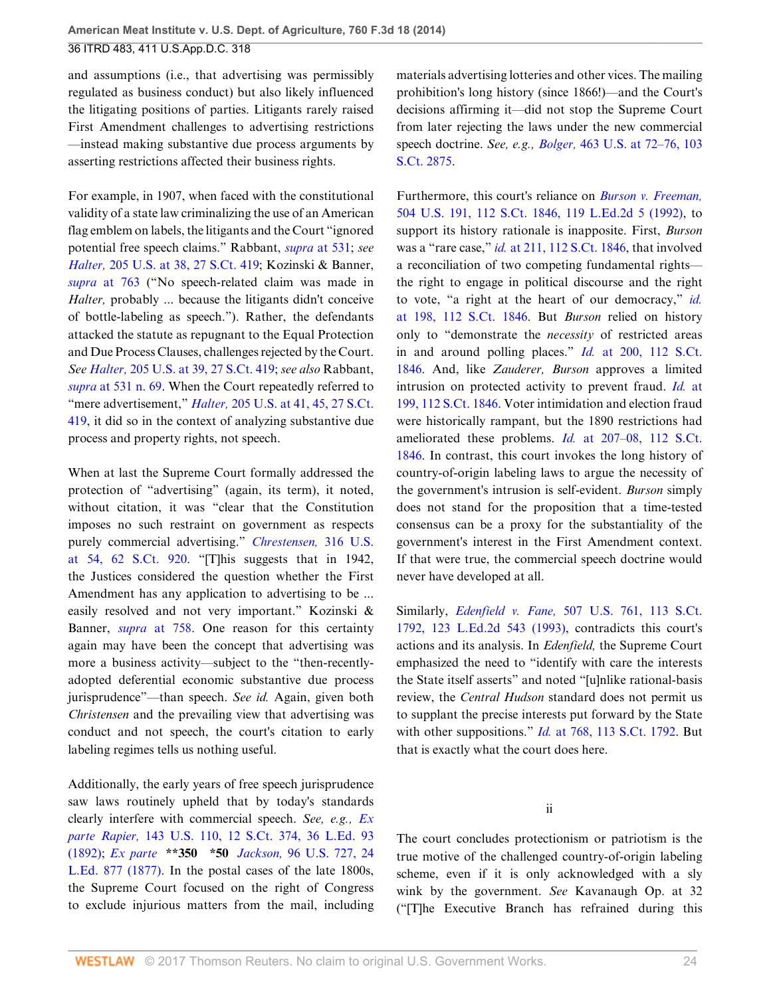and assumptions (i.e., that advertising was permissibly regulated as business conduct) but also likely influenced the litigating positions of parties. Litigants rarely raised First Amendment challenges to advertising restrictions —instead making substantive due process arguments by asserting restrictions affected their business rights.

For example, in 1907, when faced with the constitutional validity of a state law criminalizing the use of an American flag emblem on labels, the litigants and the Court "ignored potential free speech claims." Rabbant, *supra* [at 531;](http://www.westlaw.com/Link/Document/FullText?findType=Y&serNum=0332654077&pubNum=0001292&originatingDoc=Ibd3810a6181711e490d4edf60ce7d742&refType=LR&fi=co_pp_sp_1292_531&originationContext=document&vr=3.0&rs=cblt1.0&transitionType=DocumentItem&contextData=(sc.History*oc.UserEnteredCitation)#co_pp_sp_1292_531) *see Halter,* [205 U.S. at 38, 27 S.Ct. 419;](http://www.westlaw.com/Link/Document/FullText?findType=Y&serNum=1907100562&pubNum=0000708&originatingDoc=Ibd3810a6181711e490d4edf60ce7d742&refType=RP&originationContext=document&vr=3.0&rs=cblt1.0&transitionType=DocumentItem&contextData=(sc.History*oc.UserEnteredCitation)) Kozinski & Banner, *supra* [at 763](http://www.westlaw.com/Link/Document/FullText?findType=Y&serNum=0102734300&pubNum=0001251&originatingDoc=Ibd3810a6181711e490d4edf60ce7d742&refType=LR&fi=co_pp_sp_1251_763&originationContext=document&vr=3.0&rs=cblt1.0&transitionType=DocumentItem&contextData=(sc.History*oc.UserEnteredCitation)#co_pp_sp_1251_763) ("No speech-related claim was made in *Halter,* probably ... because the litigants didn't conceive of bottle-labeling as speech."). Rather, the defendants attacked the statute as repugnant to the Equal Protection and Due Process Clauses, challenges rejected by the Court. *See Halter,* [205 U.S. at 39, 27 S.Ct. 419](http://www.westlaw.com/Link/Document/FullText?findType=Y&serNum=1907100562&pubNum=0000708&originatingDoc=Ibd3810a6181711e490d4edf60ce7d742&refType=RP&originationContext=document&vr=3.0&rs=cblt1.0&transitionType=DocumentItem&contextData=(sc.History*oc.UserEnteredCitation)); *see also* Rabbant, *supra* [at 531 n. 69.](http://www.westlaw.com/Link/Document/FullText?findType=Y&serNum=0332654077&pubNum=0001292&originatingDoc=Ibd3810a6181711e490d4edf60ce7d742&refType=LR&fi=co_pp_sp_1292_531&originationContext=document&vr=3.0&rs=cblt1.0&transitionType=DocumentItem&contextData=(sc.History*oc.UserEnteredCitation)#co_pp_sp_1292_531) When the Court repeatedly referred to "mere advertisement," *Halter,* [205 U.S. at 41, 45, 27 S.Ct.](http://www.westlaw.com/Link/Document/FullText?findType=Y&serNum=1907100562&pubNum=0000708&originatingDoc=Ibd3810a6181711e490d4edf60ce7d742&refType=RP&originationContext=document&vr=3.0&rs=cblt1.0&transitionType=DocumentItem&contextData=(sc.History*oc.UserEnteredCitation)) [419](http://www.westlaw.com/Link/Document/FullText?findType=Y&serNum=1907100562&pubNum=0000708&originatingDoc=Ibd3810a6181711e490d4edf60ce7d742&refType=RP&originationContext=document&vr=3.0&rs=cblt1.0&transitionType=DocumentItem&contextData=(sc.History*oc.UserEnteredCitation)), it did so in the context of analyzing substantive due process and property rights, not speech.

When at last the Supreme Court formally addressed the protection of "advertising" (again, its term), it noted, without citation, it was "clear that the Constitution imposes no such restraint on government as respects purely commercial advertising." *[Chrestensen,](http://www.westlaw.com/Link/Document/FullText?findType=Y&serNum=1942121646&pubNum=0000708&originatingDoc=Ibd3810a6181711e490d4edf60ce7d742&refType=RP&originationContext=document&vr=3.0&rs=cblt1.0&transitionType=DocumentItem&contextData=(sc.History*oc.UserEnteredCitation))* 316 U.S. [at 54, 62 S.Ct. 920](http://www.westlaw.com/Link/Document/FullText?findType=Y&serNum=1942121646&pubNum=0000708&originatingDoc=Ibd3810a6181711e490d4edf60ce7d742&refType=RP&originationContext=document&vr=3.0&rs=cblt1.0&transitionType=DocumentItem&contextData=(sc.History*oc.UserEnteredCitation)). "[T]his suggests that in 1942, the Justices considered the question whether the First Amendment has any application to advertising to be ... easily resolved and not very important." Kozinski & Banner, *supra* [at 758](http://www.westlaw.com/Link/Document/FullText?findType=Y&serNum=0102734300&pubNum=0001251&originatingDoc=Ibd3810a6181711e490d4edf60ce7d742&refType=LR&fi=co_pp_sp_1251_758&originationContext=document&vr=3.0&rs=cblt1.0&transitionType=DocumentItem&contextData=(sc.History*oc.UserEnteredCitation)#co_pp_sp_1251_758). One reason for this certainty again may have been the concept that advertising was more a business activity—subject to the "then-recentlyadopted deferential economic substantive due process jurisprudence"—than speech. *See id.* Again, given both *Christensen* and the prevailing view that advertising was conduct and not speech, the court's citation to early labeling regimes tells us nothing useful.

Additionally, the early years of free speech jurisprudence saw laws routinely upheld that by today's standards clearly interfere with commercial speech. *See, e.g., [Ex](http://www.westlaw.com/Link/Document/FullText?findType=Y&serNum=1892180071&pubNum=0000708&originatingDoc=Ibd3810a6181711e490d4edf60ce7d742&refType=RP&originationContext=document&vr=3.0&rs=cblt1.0&transitionType=DocumentItem&contextData=(sc.History*oc.UserEnteredCitation)) parte Rapier,* [143 U.S. 110, 12 S.Ct. 374, 36 L.Ed. 93](http://www.westlaw.com/Link/Document/FullText?findType=Y&serNum=1892180071&pubNum=0000708&originatingDoc=Ibd3810a6181711e490d4edf60ce7d742&refType=RP&originationContext=document&vr=3.0&rs=cblt1.0&transitionType=DocumentItem&contextData=(sc.History*oc.UserEnteredCitation)) [\(1892\);](http://www.westlaw.com/Link/Document/FullText?findType=Y&serNum=1892180071&pubNum=0000708&originatingDoc=Ibd3810a6181711e490d4edf60ce7d742&refType=RP&originationContext=document&vr=3.0&rs=cblt1.0&transitionType=DocumentItem&contextData=(sc.History*oc.UserEnteredCitation)) *Ex parte* **\*\*350 \*50** *Jackson,* [96 U.S. 727, 24](http://www.westlaw.com/Link/Document/FullText?findType=Y&serNum=1877150359&pubNum=0000780&originatingDoc=Ibd3810a6181711e490d4edf60ce7d742&refType=RP&originationContext=document&vr=3.0&rs=cblt1.0&transitionType=DocumentItem&contextData=(sc.History*oc.UserEnteredCitation)) [L.Ed. 877 \(1877\)](http://www.westlaw.com/Link/Document/FullText?findType=Y&serNum=1877150359&pubNum=0000780&originatingDoc=Ibd3810a6181711e490d4edf60ce7d742&refType=RP&originationContext=document&vr=3.0&rs=cblt1.0&transitionType=DocumentItem&contextData=(sc.History*oc.UserEnteredCitation)). In the postal cases of the late 1800s, the Supreme Court focused on the right of Congress to exclude injurious matters from the mail, including materials advertising lotteries and other vices. The mailing prohibition's long history (since 1866!)—and the Court's decisions affirming it—did not stop the Supreme Court from later rejecting the laws under the new commercial speech doctrine. *See, e.g., Bolger,* [463 U.S. at 72–76, 103](http://www.westlaw.com/Link/Document/FullText?findType=Y&serNum=1983129662&pubNum=0000708&originatingDoc=Ibd3810a6181711e490d4edf60ce7d742&refType=RP&originationContext=document&vr=3.0&rs=cblt1.0&transitionType=DocumentItem&contextData=(sc.History*oc.UserEnteredCitation)) [S.Ct. 2875.](http://www.westlaw.com/Link/Document/FullText?findType=Y&serNum=1983129662&pubNum=0000708&originatingDoc=Ibd3810a6181711e490d4edf60ce7d742&refType=RP&originationContext=document&vr=3.0&rs=cblt1.0&transitionType=DocumentItem&contextData=(sc.History*oc.UserEnteredCitation))

Furthermore, this court's reliance on *[Burson v. Freeman,](http://www.westlaw.com/Link/Document/FullText?findType=Y&serNum=1992095635&pubNum=0000708&originatingDoc=Ibd3810a6181711e490d4edf60ce7d742&refType=RP&originationContext=document&vr=3.0&rs=cblt1.0&transitionType=DocumentItem&contextData=(sc.History*oc.UserEnteredCitation))* [504 U.S. 191, 112 S.Ct. 1846, 119 L.Ed.2d 5 \(1992\),](http://www.westlaw.com/Link/Document/FullText?findType=Y&serNum=1992095635&pubNum=0000708&originatingDoc=Ibd3810a6181711e490d4edf60ce7d742&refType=RP&originationContext=document&vr=3.0&rs=cblt1.0&transitionType=DocumentItem&contextData=(sc.History*oc.UserEnteredCitation)) to support its history rationale is inapposite. First, *Burson* was a "rare case," *id.* [at 211, 112 S.Ct. 1846](http://www.westlaw.com/Link/Document/FullText?findType=Y&serNum=1992095635&pubNum=0000708&originatingDoc=Ibd3810a6181711e490d4edf60ce7d742&refType=RP&originationContext=document&vr=3.0&rs=cblt1.0&transitionType=DocumentItem&contextData=(sc.History*oc.UserEnteredCitation)), that involved a reconciliation of two competing fundamental rights the right to engage in political discourse and the right to vote, "a right at the heart of our democracy," *[id.](http://www.westlaw.com/Link/Document/FullText?findType=Y&serNum=1992095635&pubNum=0000708&originatingDoc=Ibd3810a6181711e490d4edf60ce7d742&refType=RP&originationContext=document&vr=3.0&rs=cblt1.0&transitionType=DocumentItem&contextData=(sc.History*oc.UserEnteredCitation))* [at 198, 112 S.Ct. 1846](http://www.westlaw.com/Link/Document/FullText?findType=Y&serNum=1992095635&pubNum=0000708&originatingDoc=Ibd3810a6181711e490d4edf60ce7d742&refType=RP&originationContext=document&vr=3.0&rs=cblt1.0&transitionType=DocumentItem&contextData=(sc.History*oc.UserEnteredCitation)). But *Burson* relied on history only to "demonstrate the *necessity* of restricted areas in and around polling places." *Id.* [at 200, 112 S.Ct.](http://www.westlaw.com/Link/Document/FullText?findType=Y&serNum=1992095635&pubNum=0000708&originatingDoc=Ibd3810a6181711e490d4edf60ce7d742&refType=RP&originationContext=document&vr=3.0&rs=cblt1.0&transitionType=DocumentItem&contextData=(sc.History*oc.UserEnteredCitation)) [1846](http://www.westlaw.com/Link/Document/FullText?findType=Y&serNum=1992095635&pubNum=0000708&originatingDoc=Ibd3810a6181711e490d4edf60ce7d742&refType=RP&originationContext=document&vr=3.0&rs=cblt1.0&transitionType=DocumentItem&contextData=(sc.History*oc.UserEnteredCitation)). And, like *Zauderer, Burson* approves a limited intrusion on protected activity to prevent fraud. *Id.* [at](http://www.westlaw.com/Link/Document/FullText?findType=Y&serNum=1992095635&pubNum=0000708&originatingDoc=Ibd3810a6181711e490d4edf60ce7d742&refType=RP&originationContext=document&vr=3.0&rs=cblt1.0&transitionType=DocumentItem&contextData=(sc.History*oc.UserEnteredCitation)) [199, 112 S.Ct. 1846](http://www.westlaw.com/Link/Document/FullText?findType=Y&serNum=1992095635&pubNum=0000708&originatingDoc=Ibd3810a6181711e490d4edf60ce7d742&refType=RP&originationContext=document&vr=3.0&rs=cblt1.0&transitionType=DocumentItem&contextData=(sc.History*oc.UserEnteredCitation)). Voter intimidation and election fraud were historically rampant, but the 1890 restrictions had ameliorated these problems. *Id.* [at 207–08, 112 S.Ct.](http://www.westlaw.com/Link/Document/FullText?findType=Y&serNum=1992095635&pubNum=0000708&originatingDoc=Ibd3810a6181711e490d4edf60ce7d742&refType=RP&originationContext=document&vr=3.0&rs=cblt1.0&transitionType=DocumentItem&contextData=(sc.History*oc.UserEnteredCitation)) [1846](http://www.westlaw.com/Link/Document/FullText?findType=Y&serNum=1992095635&pubNum=0000708&originatingDoc=Ibd3810a6181711e490d4edf60ce7d742&refType=RP&originationContext=document&vr=3.0&rs=cblt1.0&transitionType=DocumentItem&contextData=(sc.History*oc.UserEnteredCitation)). In contrast, this court invokes the long history of country-of-origin labeling laws to argue the necessity of the government's intrusion is self-evident. *Burson* simply does not stand for the proposition that a time-tested consensus can be a proxy for the substantiality of the government's interest in the First Amendment context. If that were true, the commercial speech doctrine would never have developed at all.

Similarly, *Edenfield v. Fane,* [507 U.S. 761, 113 S.Ct.](http://www.westlaw.com/Link/Document/FullText?findType=Y&serNum=1993091488&pubNum=0000708&originatingDoc=Ibd3810a6181711e490d4edf60ce7d742&refType=RP&originationContext=document&vr=3.0&rs=cblt1.0&transitionType=DocumentItem&contextData=(sc.History*oc.UserEnteredCitation)) [1792, 123 L.Ed.2d 543 \(1993\)](http://www.westlaw.com/Link/Document/FullText?findType=Y&serNum=1993091488&pubNum=0000708&originatingDoc=Ibd3810a6181711e490d4edf60ce7d742&refType=RP&originationContext=document&vr=3.0&rs=cblt1.0&transitionType=DocumentItem&contextData=(sc.History*oc.UserEnteredCitation)), contradicts this court's actions and its analysis. In *Edenfield,* the Supreme Court emphasized the need to "identify with care the interests the State itself asserts" and noted "[u]nlike rational-basis review, the *Central Hudson* standard does not permit us to supplant the precise interests put forward by the State with other suppositions." *Id.* [at 768, 113 S.Ct. 1792.](http://www.westlaw.com/Link/Document/FullText?findType=Y&serNum=1993091488&pubNum=0000708&originatingDoc=Ibd3810a6181711e490d4edf60ce7d742&refType=RP&originationContext=document&vr=3.0&rs=cblt1.0&transitionType=DocumentItem&contextData=(sc.History*oc.UserEnteredCitation)) But that is exactly what the court does here.

ii

The court concludes protectionism or patriotism is the true motive of the challenged country-of-origin labeling scheme, even if it is only acknowledged with a sly wink by the government. *See* Kavanaugh Op. at 32 ("[T]he Executive Branch has refrained during this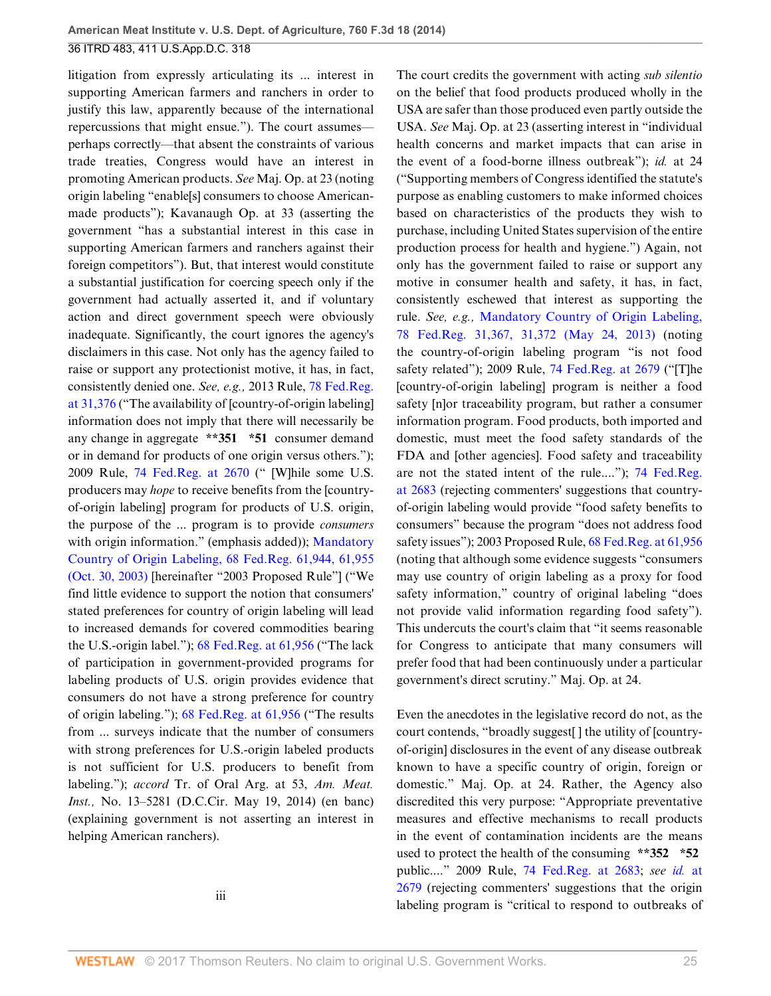litigation from expressly articulating its ... interest in supporting American farmers and ranchers in order to justify this law, apparently because of the international repercussions that might ensue."). The court assumes perhaps correctly—that absent the constraints of various trade treaties, Congress would have an interest in promoting American products. *See* Maj. Op. at 23 (noting origin labeling "enable[s] consumers to choose Americanmade products"); Kavanaugh Op. at 33 (asserting the government "has a substantial interest in this case in supporting American farmers and ranchers against their foreign competitors"). But, that interest would constitute a substantial justification for coercing speech only if the government had actually asserted it, and if voluntary action and direct government speech were obviously inadequate. Significantly, the court ignores the agency's disclaimers in this case. Not only has the agency failed to raise or support any protectionist motive, it has, in fact, consistently denied one. *See, e.g.,* 2013 Rule, [78 Fed.Reg.](http://www.westlaw.com/Link/Document/FullText?findType=l&pubNum=0001037&cite=UUID(IF96D9BB0C43F11E2B7A4F439D27B8EF7)&originatingDoc=Ibd3810a6181711e490d4edf60ce7d742&refType=CP&fi=co_pp_sp_1037_31376&originationContext=document&vr=3.0&rs=cblt1.0&transitionType=DocumentItem&contextData=(sc.History*oc.UserEnteredCitation)#co_pp_sp_1037_31376) [at 31,376](http://www.westlaw.com/Link/Document/FullText?findType=l&pubNum=0001037&cite=UUID(IF96D9BB0C43F11E2B7A4F439D27B8EF7)&originatingDoc=Ibd3810a6181711e490d4edf60ce7d742&refType=CP&fi=co_pp_sp_1037_31376&originationContext=document&vr=3.0&rs=cblt1.0&transitionType=DocumentItem&contextData=(sc.History*oc.UserEnteredCitation)#co_pp_sp_1037_31376) ("The availability of [country-of-origin labeling] information does not imply that there will necessarily be any change in aggregate **\*\*351 \*51** consumer demand or in demand for products of one origin versus others."); 2009 Rule, [74 Fed.Reg. at 2670](http://www.westlaw.com/Link/Document/FullText?findType=l&pubNum=0001037&cite=UUID(I55F3E240E2FE11DDAACDD3115145B9BC)&originatingDoc=Ibd3810a6181711e490d4edf60ce7d742&refType=CP&fi=co_pp_sp_1037_2670&originationContext=document&vr=3.0&rs=cblt1.0&transitionType=DocumentItem&contextData=(sc.History*oc.UserEnteredCitation)#co_pp_sp_1037_2670) (" [W]hile some U.S. producers may *hope* to receive benefits from the [countryof-origin labeling] program for products of U.S. origin, the purpose of the ... program is to provide *consumers* with origin information." (emphasis added)); [Mandatory](http://www.westlaw.com/Link/Document/FullText?findType=l&pubNum=0001037&cite=UUID(ID3E3CD303C4611DAA009E92B16555DD2)&originatingDoc=Ibd3810a6181711e490d4edf60ce7d742&refType=CP&fi=co_pp_sp_1037_61944&originationContext=document&vr=3.0&rs=cblt1.0&transitionType=DocumentItem&contextData=(sc.History*oc.UserEnteredCitation)#co_pp_sp_1037_61944) [Country of Origin Labeling, 68 Fed.Reg. 61,944, 61,955](http://www.westlaw.com/Link/Document/FullText?findType=l&pubNum=0001037&cite=UUID(ID3E3CD303C4611DAA009E92B16555DD2)&originatingDoc=Ibd3810a6181711e490d4edf60ce7d742&refType=CP&fi=co_pp_sp_1037_61944&originationContext=document&vr=3.0&rs=cblt1.0&transitionType=DocumentItem&contextData=(sc.History*oc.UserEnteredCitation)#co_pp_sp_1037_61944) [\(Oct. 30, 2003\)](http://www.westlaw.com/Link/Document/FullText?findType=l&pubNum=0001037&cite=UUID(ID3E3CD303C4611DAA009E92B16555DD2)&originatingDoc=Ibd3810a6181711e490d4edf60ce7d742&refType=CP&fi=co_pp_sp_1037_61944&originationContext=document&vr=3.0&rs=cblt1.0&transitionType=DocumentItem&contextData=(sc.History*oc.UserEnteredCitation)#co_pp_sp_1037_61944) [hereinafter "2003 Proposed Rule"] ("We find little evidence to support the notion that consumers' stated preferences for country of origin labeling will lead to increased demands for covered commodities bearing the U.S.-origin label."); [68 Fed.Reg. at 61,956](http://www.westlaw.com/Link/Document/FullText?findType=l&pubNum=0001037&cite=UUID(ID3E3CD303C4611DAA009E92B16555DD2)&originatingDoc=Ibd3810a6181711e490d4edf60ce7d742&refType=CP&fi=co_pp_sp_1037_61956&originationContext=document&vr=3.0&rs=cblt1.0&transitionType=DocumentItem&contextData=(sc.History*oc.UserEnteredCitation)#co_pp_sp_1037_61956) ("The lack of participation in government-provided programs for labeling products of U.S. origin provides evidence that consumers do not have a strong preference for country of origin labeling."); [68 Fed.Reg. at 61,956](http://www.westlaw.com/Link/Document/FullText?findType=l&pubNum=0001037&cite=UUID(ID3E3CD303C4611DAA009E92B16555DD2)&originatingDoc=Ibd3810a6181711e490d4edf60ce7d742&refType=CP&fi=co_pp_sp_1037_61956&originationContext=document&vr=3.0&rs=cblt1.0&transitionType=DocumentItem&contextData=(sc.History*oc.UserEnteredCitation)#co_pp_sp_1037_61956) ("The results from ... surveys indicate that the number of consumers with strong preferences for U.S.-origin labeled products is not sufficient for U.S. producers to benefit from labeling."); *accord* Tr. of Oral Arg. at 53, *Am. Meat. Inst.,* No. 13–5281 (D.C.Cir. May 19, 2014) (en banc) (explaining government is not asserting an interest in helping American ranchers).

The court credits the government with acting *sub silentio* on the belief that food products produced wholly in the USA are safer than those produced even partly outside the USA. *See* Maj. Op. at 23 (asserting interest in "individual health concerns and market impacts that can arise in the event of a food-borne illness outbreak"); *id.* at 24 ("Supporting members of Congress identified the statute's purpose as enabling customers to make informed choices based on characteristics of the products they wish to purchase, including United States supervision of the entire production process for health and hygiene.") Again, not only has the government failed to raise or support any motive in consumer health and safety, it has, in fact, consistently eschewed that interest as supporting the rule. *See, e.g.,* [Mandatory Country of Origin Labeling,](http://www.westlaw.com/Link/Document/FullText?findType=l&pubNum=0001037&cite=UUID(IF96D9BB0C43F11E2B7A4F439D27B8EF7)&originatingDoc=Ibd3810a6181711e490d4edf60ce7d742&refType=CP&fi=co_pp_sp_1037_31367&originationContext=document&vr=3.0&rs=cblt1.0&transitionType=DocumentItem&contextData=(sc.History*oc.UserEnteredCitation)#co_pp_sp_1037_31367) [78 Fed.Reg. 31,367, 31,372 \(May 24, 2013\)](http://www.westlaw.com/Link/Document/FullText?findType=l&pubNum=0001037&cite=UUID(IF96D9BB0C43F11E2B7A4F439D27B8EF7)&originatingDoc=Ibd3810a6181711e490d4edf60ce7d742&refType=CP&fi=co_pp_sp_1037_31367&originationContext=document&vr=3.0&rs=cblt1.0&transitionType=DocumentItem&contextData=(sc.History*oc.UserEnteredCitation)#co_pp_sp_1037_31367) (noting the country-of-origin labeling program "is not food safety related"); 2009 Rule, [74 Fed.Reg. at 2679](http://www.westlaw.com/Link/Document/FullText?findType=l&pubNum=0001037&cite=UUID(I55F3E240E2FE11DDAACDD3115145B9BC)&originatingDoc=Ibd3810a6181711e490d4edf60ce7d742&refType=CP&fi=co_pp_sp_1037_2679&originationContext=document&vr=3.0&rs=cblt1.0&transitionType=DocumentItem&contextData=(sc.History*oc.UserEnteredCitation)#co_pp_sp_1037_2679) ("[T]he [country-of-origin labeling] program is neither a food safety [n]or traceability program, but rather a consumer information program. Food products, both imported and domestic, must meet the food safety standards of the FDA and [other agencies]. Food safety and traceability are not the stated intent of the rule...."); [74 Fed.Reg.](http://www.westlaw.com/Link/Document/FullText?findType=l&pubNum=0001037&cite=UUID(I55F3E240E2FE11DDAACDD3115145B9BC)&originatingDoc=Ibd3810a6181711e490d4edf60ce7d742&refType=CP&fi=co_pp_sp_1037_2683&originationContext=document&vr=3.0&rs=cblt1.0&transitionType=DocumentItem&contextData=(sc.History*oc.UserEnteredCitation)#co_pp_sp_1037_2683) [at 2683](http://www.westlaw.com/Link/Document/FullText?findType=l&pubNum=0001037&cite=UUID(I55F3E240E2FE11DDAACDD3115145B9BC)&originatingDoc=Ibd3810a6181711e490d4edf60ce7d742&refType=CP&fi=co_pp_sp_1037_2683&originationContext=document&vr=3.0&rs=cblt1.0&transitionType=DocumentItem&contextData=(sc.History*oc.UserEnteredCitation)#co_pp_sp_1037_2683) (rejecting commenters' suggestions that countryof-origin labeling would provide "food safety benefits to consumers" because the program "does not address food safety issues"); 2003 Proposed Rule, [68 Fed.Reg. at 61,956](http://www.westlaw.com/Link/Document/FullText?findType=l&pubNum=0001037&cite=UUID(ID3E3CD303C4611DAA009E92B16555DD2)&originatingDoc=Ibd3810a6181711e490d4edf60ce7d742&refType=CP&fi=co_pp_sp_1037_61956&originationContext=document&vr=3.0&rs=cblt1.0&transitionType=DocumentItem&contextData=(sc.History*oc.UserEnteredCitation)#co_pp_sp_1037_61956) (noting that although some evidence suggests "consumers may use country of origin labeling as a proxy for food safety information," country of original labeling "does not provide valid information regarding food safety"). This undercuts the court's claim that "it seems reasonable for Congress to anticipate that many consumers will prefer food that had been continuously under a particular government's direct scrutiny." Maj. Op. at 24.

Even the anecdotes in the legislative record do not, as the court contends, "broadly suggest[ ] the utility of [countryof-origin] disclosures in the event of any disease outbreak known to have a specific country of origin, foreign or domestic." Maj. Op. at 24. Rather, the Agency also discredited this very purpose: "Appropriate preventative measures and effective mechanisms to recall products in the event of contamination incidents are the means used to protect the health of the consuming **\*\*352 \*52** public...." 2009 Rule, [74 Fed.Reg. at 2683](http://www.westlaw.com/Link/Document/FullText?findType=l&pubNum=0001037&cite=UUID(I55F3E240E2FE11DDAACDD3115145B9BC)&originatingDoc=Ibd3810a6181711e490d4edf60ce7d742&refType=CP&fi=co_pp_sp_1037_2683&originationContext=document&vr=3.0&rs=cblt1.0&transitionType=DocumentItem&contextData=(sc.History*oc.UserEnteredCitation)#co_pp_sp_1037_2683); *see id.* [at](http://www.westlaw.com/Link/Document/FullText?findType=l&pubNum=0001037&cite=UUID(I55F3E240E2FE11DDAACDD3115145B9BC)&originatingDoc=Ibd3810a6181711e490d4edf60ce7d742&refType=CP&fi=co_pp_sp_1037_2658&originationContext=document&vr=3.0&rs=cblt1.0&transitionType=DocumentItem&contextData=(sc.History*oc.UserEnteredCitation)#co_pp_sp_1037_2658) [2679](http://www.westlaw.com/Link/Document/FullText?findType=l&pubNum=0001037&cite=UUID(I55F3E240E2FE11DDAACDD3115145B9BC)&originatingDoc=Ibd3810a6181711e490d4edf60ce7d742&refType=CP&fi=co_pp_sp_1037_2658&originationContext=document&vr=3.0&rs=cblt1.0&transitionType=DocumentItem&contextData=(sc.History*oc.UserEnteredCitation)#co_pp_sp_1037_2658) (rejecting commenters' suggestions that the origin labeling program is "critical to respond to outbreaks of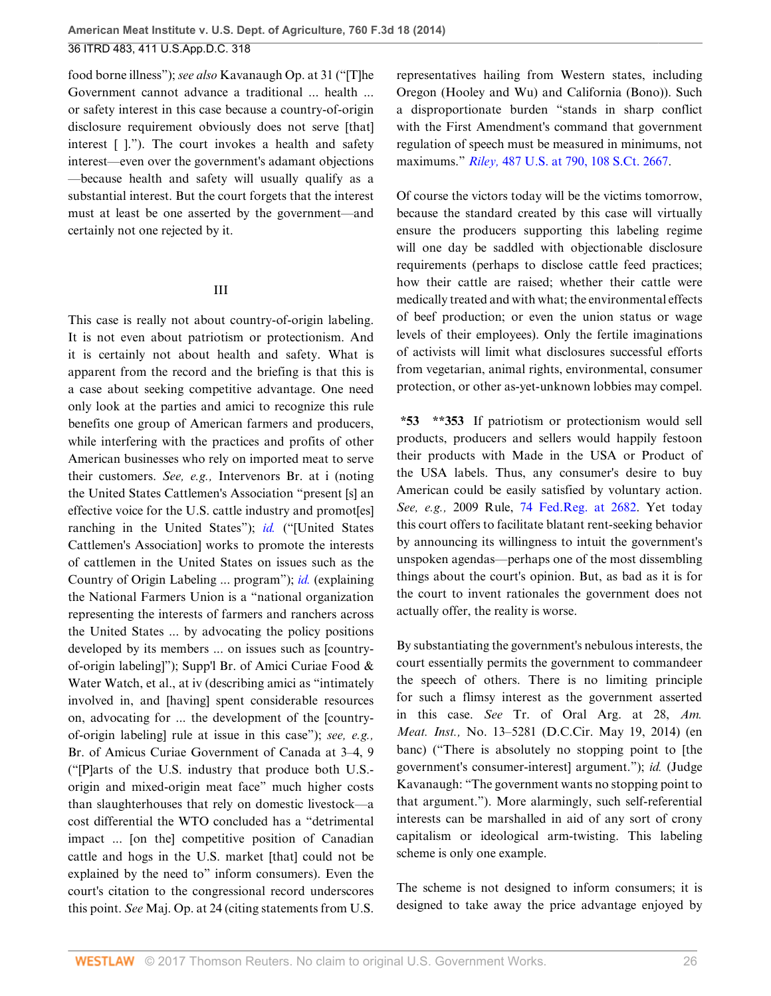food borne illness"); *see also* Kavanaugh Op. at 31 ("[T]he Government cannot advance a traditional ... health ... or safety interest in this case because a country-of-origin disclosure requirement obviously does not serve [that] interest [ ]."). The court invokes a health and safety interest—even over the government's adamant objections —because health and safety will usually qualify as a substantial interest. But the court forgets that the interest must at least be one asserted by the government—and certainly not one rejected by it.

### III

This case is really not about country-of-origin labeling. It is not even about patriotism or protectionism. And it is certainly not about health and safety. What is apparent from the record and the briefing is that this is a case about seeking competitive advantage. One need only look at the parties and amici to recognize this rule benefits one group of American farmers and producers, while interfering with the practices and profits of other American businesses who rely on imported meat to serve their customers. *See, e.g.,* Intervenors Br. at i (noting the United States Cattlemen's Association "present [s] an effective voice for the U.S. cattle industry and promoteral ranching in the United States"); *[id.](http://www.westlaw.com/Link/Document/FullText?findType=l&pubNum=0001037&cite=UUID(I55F3E240E2FE11DDAACDD3115145B9BC)&originatingDoc=Ibd3810a6181711e490d4edf60ce7d742&refType=CP&fi=co_pp_sp_1037_2658&originationContext=document&vr=3.0&rs=cblt1.0&transitionType=DocumentItem&contextData=(sc.History*oc.UserEnteredCitation)#co_pp_sp_1037_2658)* ("[United States Cattlemen's Association] works to promote the interests of cattlemen in the United States on issues such as the Country of Origin Labeling ... program"); *[id.](http://www.westlaw.com/Link/Document/FullText?findType=l&pubNum=0001037&cite=UUID(I55F3E240E2FE11DDAACDD3115145B9BC)&originatingDoc=Ibd3810a6181711e490d4edf60ce7d742&refType=CP&fi=co_pp_sp_1037_2658&originationContext=document&vr=3.0&rs=cblt1.0&transitionType=DocumentItem&contextData=(sc.History*oc.UserEnteredCitation)#co_pp_sp_1037_2658)* (explaining the National Farmers Union is a "national organization representing the interests of farmers and ranchers across the United States ... by advocating the policy positions developed by its members ... on issues such as [countryof-origin labeling]"); Supp'l Br. of Amici Curiae Food & Water Watch, et al., at iv (describing amici as "intimately involved in, and [having] spent considerable resources on, advocating for ... the development of the [countryof-origin labeling] rule at issue in this case"); *see, e.g.,* Br. of Amicus Curiae Government of Canada at 3–4, 9 ("[P]arts of the U.S. industry that produce both U.S. origin and mixed-origin meat face" much higher costs than slaughterhouses that rely on domestic livestock—a cost differential the WTO concluded has a "detrimental impact ... [on the] competitive position of Canadian cattle and hogs in the U.S. market [that] could not be explained by the need to" inform consumers). Even the court's citation to the congressional record underscores this point. *See* Maj. Op. at 24 (citing statements from U.S. representatives hailing from Western states, including Oregon (Hooley and Wu) and California (Bono)). Such a disproportionate burden "stands in sharp conflict with the First Amendment's command that government regulation of speech must be measured in minimums, not maximums." *Riley,* [487 U.S. at 790, 108 S.Ct. 2667.](http://www.westlaw.com/Link/Document/FullText?findType=Y&serNum=1988084194&pubNum=0000708&originatingDoc=Ibd3810a6181711e490d4edf60ce7d742&refType=RP&originationContext=document&vr=3.0&rs=cblt1.0&transitionType=DocumentItem&contextData=(sc.History*oc.UserEnteredCitation))

Of course the victors today will be the victims tomorrow, because the standard created by this case will virtually ensure the producers supporting this labeling regime will one day be saddled with objectionable disclosure requirements (perhaps to disclose cattle feed practices; how their cattle are raised; whether their cattle were medically treated and with what; the environmental effects of beef production; or even the union status or wage levels of their employees). Only the fertile imaginations of activists will limit what disclosures successful efforts from vegetarian, animal rights, environmental, consumer protection, or other as-yet-unknown lobbies may compel.

**\*53 \*\*353** If patriotism or protectionism would sell products, producers and sellers would happily festoon their products with Made in the USA or Product of the USA labels. Thus, any consumer's desire to buy American could be easily satisfied by voluntary action. *See, e.g.,* 2009 Rule, [74 Fed.Reg. at 2682](http://www.westlaw.com/Link/Document/FullText?findType=l&pubNum=0001037&cite=UUID(I55F3E240E2FE11DDAACDD3115145B9BC)&originatingDoc=Ibd3810a6181711e490d4edf60ce7d742&refType=CP&fi=co_pp_sp_1037_2682&originationContext=document&vr=3.0&rs=cblt1.0&transitionType=DocumentItem&contextData=(sc.History*oc.UserEnteredCitation)#co_pp_sp_1037_2682). Yet today this court offers to facilitate blatant rent-seeking behavior by announcing its willingness to intuit the government's unspoken agendas—perhaps one of the most dissembling things about the court's opinion. But, as bad as it is for the court to invent rationales the government does not actually offer, the reality is worse.

By substantiating the government's nebulous interests, the court essentially permits the government to commandeer the speech of others. There is no limiting principle for such a flimsy interest as the government asserted in this case. *See* Tr. of Oral Arg. at 28, *Am. Meat. Inst.,* No. 13–5281 (D.C.Cir. May 19, 2014) (en banc) ("There is absolutely no stopping point to [the government's consumer-interest] argument."); *id.* (Judge Kavanaugh: "The government wants no stopping point to that argument."). More alarmingly, such self-referential interests can be marshalled in aid of any sort of crony capitalism or ideological arm-twisting. This labeling scheme is only one example.

The scheme is not designed to inform consumers; it is designed to take away the price advantage enjoyed by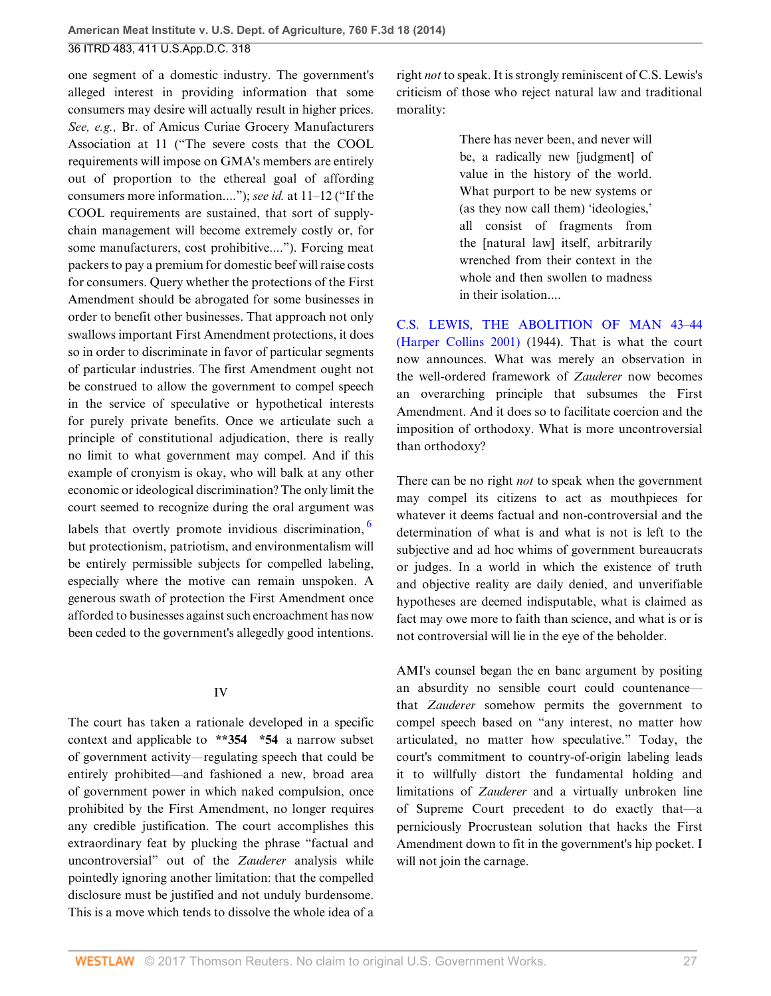one segment of a domestic industry. The government's alleged interest in providing information that some consumers may desire will actually result in higher prices. *See, e.g.,* Br. of Amicus Curiae Grocery Manufacturers Association at 11 ("The severe costs that the COOL requirements will impose on GMA's members are entirely out of proportion to the ethereal goal of affording consumers more information...."); *see id.* at 11–12 ("If the COOL requirements are sustained, that sort of supplychain management will become extremely costly or, for some manufacturers, cost prohibitive...."). Forcing meat packers to pay a premium for domestic beef will raise costs for consumers. Query whether the protections of the First Amendment should be abrogated for some businesses in order to benefit other businesses. That approach not only swallows important First Amendment protections, it does so in order to discriminate in favor of particular segments of particular industries. The first Amendment ought not be construed to allow the government to compel speech in the service of speculative or hypothetical interests for purely private benefits. Once we articulate such a principle of constitutional adjudication, there is really no limit to what government may compel. And if this example of cronyism is okay, who will balk at any other economic or ideological discrimination? The only limit the court seemed to recognize during the oral argument was labels that overtly promote invidious discrimination,  $<sup>6</sup>$  $<sup>6</sup>$  $<sup>6</sup>$ </sup> but protectionism, patriotism, and environmentalism will be entirely permissible subjects for compelled labeling,

especially where the motive can remain unspoken. A generous swath of protection the First Amendment once afforded to businesses against such encroachment has now been ceded to the government's allegedly good intentions.

### IV

The court has taken a rationale developed in a specific context and applicable to **\*\*354 \*54** a narrow subset of government activity—regulating speech that could be entirely prohibited—and fashioned a new, broad area of government power in which naked compulsion, once prohibited by the First Amendment, no longer requires any credible justification. The court accomplishes this extraordinary feat by plucking the phrase "factual and uncontroversial" out of the *Zauderer* analysis while pointedly ignoring another limitation: that the compelled disclosure must be justified and not unduly burdensome. This is a move which tends to dissolve the whole idea of a

right *not* to speak. It is strongly reminiscent of C.S. Lewis's criticism of those who reject natural law and traditional morality:

> There has never been, and never will be, a radically new [judgment] of value in the history of the world. What purport to be new systems or (as they now call them) 'ideologies,' all consist of fragments from the [natural law] itself, arbitrarily wrenched from their context in the whole and then swollen to madness in their isolation....

[C.S. LEWIS, THE ABOLITION OF MAN 43–44](http://www.westlaw.com/Link/Document/FullText?findType=Y&pubNum=0002514&cite=MANUNREPCAS43&originatingDoc=Ibd3810a6181711e490d4edf60ce7d742&refType=RP&fi=co_pp_sp_2514_44&originationContext=document&vr=3.0&rs=cblt1.0&transitionType=DocumentItem&contextData=(sc.History*oc.UserEnteredCitation)#co_pp_sp_2514_44) [\(Harper Collins 2001\)](http://www.westlaw.com/Link/Document/FullText?findType=Y&pubNum=0002514&cite=MANUNREPCAS43&originatingDoc=Ibd3810a6181711e490d4edf60ce7d742&refType=RP&fi=co_pp_sp_2514_44&originationContext=document&vr=3.0&rs=cblt1.0&transitionType=DocumentItem&contextData=(sc.History*oc.UserEnteredCitation)#co_pp_sp_2514_44) (1944). That is what the court now announces. What was merely an observation in the well-ordered framework of *Zauderer* now becomes an overarching principle that subsumes the First Amendment. And it does so to facilitate coercion and the imposition of orthodoxy. What is more uncontroversial than orthodoxy?

<span id="page-26-0"></span>There can be no right *not* to speak when the government may compel its citizens to act as mouthpieces for whatever it deems factual and non-controversial and the determination of what is and what is not is left to the subjective and ad hoc whims of government bureaucrats or judges. In a world in which the existence of truth and objective reality are daily denied, and unverifiable hypotheses are deemed indisputable, what is claimed as fact may owe more to faith than science, and what is or is not controversial will lie in the eye of the beholder.

AMI's counsel began the en banc argument by positing an absurdity no sensible court could countenance that *Zauderer* somehow permits the government to compel speech based on "any interest, no matter how articulated, no matter how speculative." Today, the court's commitment to country-of-origin labeling leads it to willfully distort the fundamental holding and limitations of *Zauderer* and a virtually unbroken line of Supreme Court precedent to do exactly that—a perniciously Procrustean solution that hacks the First Amendment down to fit in the government's hip pocket. I will not join the carnage.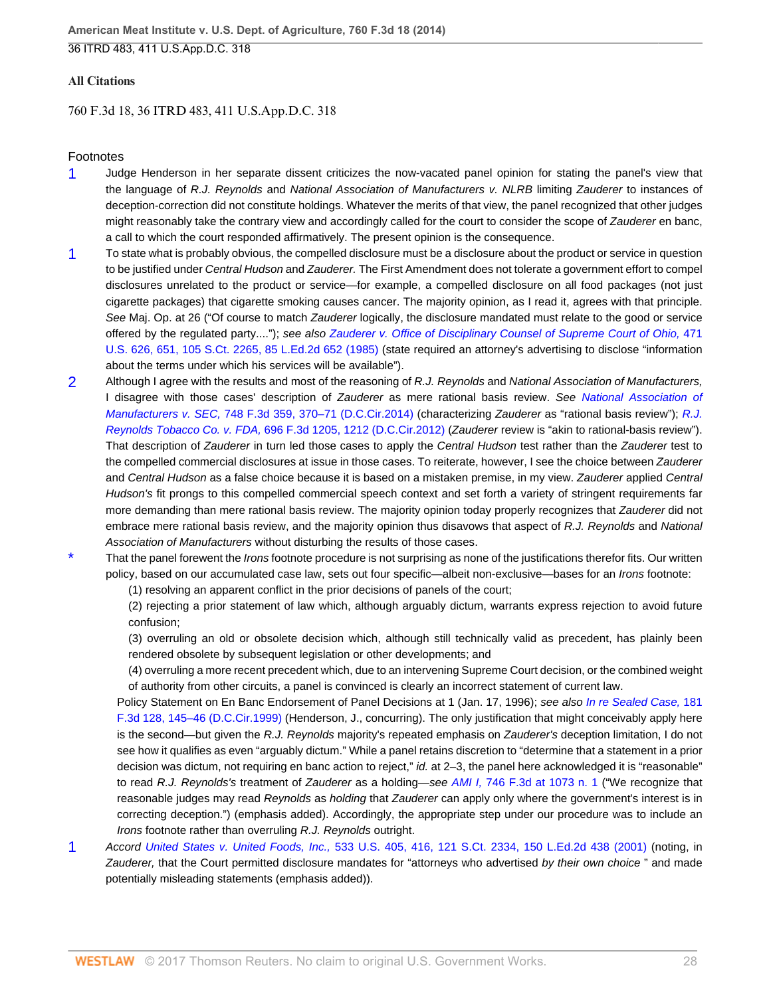### **All Citations**

### 760 F.3d 18, 36 ITRD 483, 411 U.S.App.D.C. 318

#### Footnotes

- <span id="page-27-0"></span>[1](#page-4-1) Judge Henderson in her separate dissent criticizes the now-vacated panel opinion for stating the panel's view that the language of R.J. Reynolds and National Association of Manufacturers v. NLRB limiting Zauderer to instances of deception-correction did not constitute holdings. Whatever the merits of that view, the panel recognized that other judges might reasonably take the contrary view and accordingly called for the court to consider the scope of Zauderer en banc, a call to which the court responded affirmatively. The present opinion is the consequence.
- <span id="page-27-1"></span>[1](#page-12-0) To state what is probably obvious, the compelled disclosure must be a disclosure about the product or service in question to be justified under Central Hudson and Zauderer. The First Amendment does not tolerate a government effort to compel disclosures unrelated to the product or service—for example, a compelled disclosure on all food packages (not just cigarette packages) that cigarette smoking causes cancer. The majority opinion, as I read it, agrees with that principle. See Maj. Op. at 26 ("Of course to match Zauderer logically, the disclosure mandated must relate to the good or service offered by the regulated party...."); see also [Zauderer v. Office of Disciplinary Counsel of Supreme Court of Ohio,](http://www.westlaw.com/Link/Document/FullText?findType=Y&serNum=1985126962&pubNum=0000708&originatingDoc=Ibd3810a6181711e490d4edf60ce7d742&refType=RP&originationContext=document&vr=3.0&rs=cblt1.0&transitionType=DocumentItem&contextData=(sc.History*oc.UserEnteredCitation)) 471 [U.S. 626, 651, 105 S.Ct. 2265, 85 L.Ed.2d 652 \(1985\)](http://www.westlaw.com/Link/Document/FullText?findType=Y&serNum=1985126962&pubNum=0000708&originatingDoc=Ibd3810a6181711e490d4edf60ce7d742&refType=RP&originationContext=document&vr=3.0&rs=cblt1.0&transitionType=DocumentItem&contextData=(sc.History*oc.UserEnteredCitation)) (state required an attorney's advertising to disclose "information about the terms under which his services will be available").
- <span id="page-27-2"></span>[2](#page-12-1) Although I agree with the results and most of the reasoning of R.J. Reynolds and National Association of Manufacturers, I disagree with those cases' description of Zauderer as mere rational basis review. See [National Association of](http://www.westlaw.com/Link/Document/FullText?findType=Y&serNum=2033156188&pubNum=0000506&originatingDoc=Ibd3810a6181711e490d4edf60ce7d742&refType=RP&fi=co_pp_sp_506_370&originationContext=document&vr=3.0&rs=cblt1.0&transitionType=DocumentItem&contextData=(sc.History*oc.UserEnteredCitation)#co_pp_sp_506_370) Manufacturers v. SEC, [748 F.3d 359, 370–71 \(D.C.Cir.2014\)](http://www.westlaw.com/Link/Document/FullText?findType=Y&serNum=2033156188&pubNum=0000506&originatingDoc=Ibd3810a6181711e490d4edf60ce7d742&refType=RP&fi=co_pp_sp_506_370&originationContext=document&vr=3.0&rs=cblt1.0&transitionType=DocumentItem&contextData=(sc.History*oc.UserEnteredCitation)#co_pp_sp_506_370) (characterizing Zauderer as "rational basis review"); [R.J.](http://www.westlaw.com/Link/Document/FullText?findType=Y&serNum=2028474677&pubNum=0000506&originatingDoc=Ibd3810a6181711e490d4edf60ce7d742&refType=RP&fi=co_pp_sp_506_1212&originationContext=document&vr=3.0&rs=cblt1.0&transitionType=DocumentItem&contextData=(sc.History*oc.UserEnteredCitation)#co_pp_sp_506_1212) Reynolds Tobacco Co. v. FDA, [696 F.3d 1205, 1212 \(D.C.Cir.2012\)](http://www.westlaw.com/Link/Document/FullText?findType=Y&serNum=2028474677&pubNum=0000506&originatingDoc=Ibd3810a6181711e490d4edf60ce7d742&refType=RP&fi=co_pp_sp_506_1212&originationContext=document&vr=3.0&rs=cblt1.0&transitionType=DocumentItem&contextData=(sc.History*oc.UserEnteredCitation)#co_pp_sp_506_1212) (Zauderer review is "akin to rational-basis review"). That description of Zauderer in turn led those cases to apply the Central Hudson test rather than the Zauderer test to the compelled commercial disclosures at issue in those cases. To reiterate, however, I see the choice between Zauderer and Central Hudson as a false choice because it is based on a mistaken premise, in my view. Zauderer applied Central Hudson's fit prongs to this compelled commercial speech context and set forth a variety of stringent requirements far more demanding than mere rational basis review. The majority opinion today properly recognizes that Zauderer did not embrace mere rational basis review, and the majority opinion thus disavows that aspect of R.J. Reynolds and National Association of Manufacturers without disturbing the results of those cases.
- <span id="page-27-3"></span>That the panel forewent the *Irons* footnote procedure is not surprising as none of the justifications therefor fits. Our written policy, based on our accumulated case law, sets out four specific—albeit non-exclusive—bases for an Irons footnote:
	- (1) resolving an apparent conflict in the prior decisions of panels of the court;

(2) rejecting a prior statement of law which, although arguably dictum, warrants express rejection to avoid future confusion;

(3) overruling an old or obsolete decision which, although still technically valid as precedent, has plainly been rendered obsolete by subsequent legislation or other developments; and

(4) overruling a more recent precedent which, due to an intervening Supreme Court decision, or the combined weight of authority from other circuits, a panel is convinced is clearly an incorrect statement of current law.

Policy Statement on En Banc Endorsement of Panel Decisions at 1 (Jan. 17, 1996); see also [In re Sealed Case,](http://www.westlaw.com/Link/Document/FullText?findType=Y&serNum=1999149183&pubNum=0000506&originatingDoc=Ibd3810a6181711e490d4edf60ce7d742&refType=RP&fi=co_pp_sp_506_145&originationContext=document&vr=3.0&rs=cblt1.0&transitionType=DocumentItem&contextData=(sc.History*oc.UserEnteredCitation)#co_pp_sp_506_145) 181 [F.3d 128, 145–46 \(D.C.Cir.1999\)](http://www.westlaw.com/Link/Document/FullText?findType=Y&serNum=1999149183&pubNum=0000506&originatingDoc=Ibd3810a6181711e490d4edf60ce7d742&refType=RP&fi=co_pp_sp_506_145&originationContext=document&vr=3.0&rs=cblt1.0&transitionType=DocumentItem&contextData=(sc.History*oc.UserEnteredCitation)#co_pp_sp_506_145) (Henderson, J., concurring). The only justification that might conceivably apply here is the second—but given the R.J. Reynolds majority's repeated emphasis on Zauderer's deception limitation, I do not see how it qualifies as even "arguably dictum." While a panel retains discretion to "determine that a statement in a prior decision was dictum, not requiring en banc action to reject," id. at 2-3, the panel here acknowledged it is "reasonable" to read R.J. Reynolds's treatment of Zauderer as a holding—see AMI I, [746 F.3d at 1073 n. 1](http://www.westlaw.com/Link/Document/FullText?findType=Y&serNum=2032982812&pubNum=0000506&originatingDoc=Ibd3810a6181711e490d4edf60ce7d742&refType=RP&fi=co_pp_sp_506_1073&originationContext=document&vr=3.0&rs=cblt1.0&transitionType=DocumentItem&contextData=(sc.History*oc.UserEnteredCitation)#co_pp_sp_506_1073) ("We recognize that reasonable judges may read Reynolds as holding that Zauderer can apply only where the government's interest is in correcting deception.") (emphasis added). Accordingly, the appropriate step under our procedure was to include an Irons footnote rather than overruling R.J. Reynolds outright.

<span id="page-27-4"></span>[1](#page-16-0) Accord United States v. United Foods, Inc., [533 U.S. 405, 416, 121 S.Ct. 2334, 150 L.Ed.2d 438 \(2001\)](http://www.westlaw.com/Link/Document/FullText?findType=Y&serNum=2001536113&pubNum=0000708&originatingDoc=Ibd3810a6181711e490d4edf60ce7d742&refType=RP&originationContext=document&vr=3.0&rs=cblt1.0&transitionType=DocumentItem&contextData=(sc.History*oc.UserEnteredCitation)) (noting, in Zauderer, that the Court permitted disclosure mandates for "attorneys who advertised by their own choice" and made potentially misleading statements (emphasis added)).